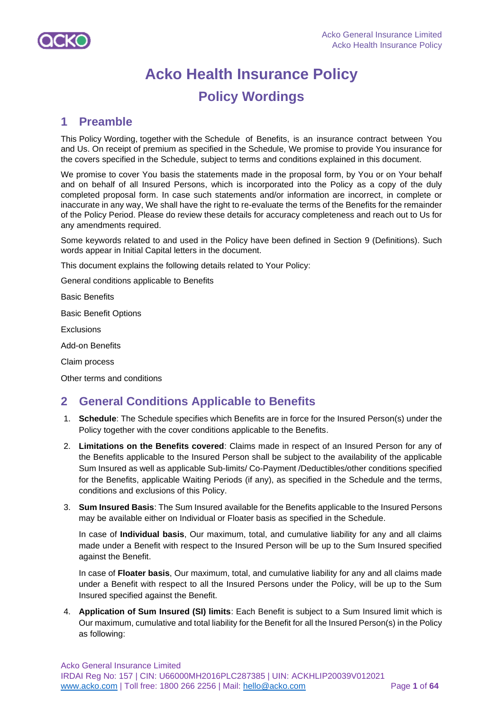

# **Acko Health Insurance Policy Policy Wordings**

## **1 Preamble**

This Policy Wording, together with the Schedule of Benefits, is an insurance contract between You and Us. On receipt of premium as specified in the Schedule, We promise to provide You insurance for the covers specified in the Schedule, subject to terms and conditions explained in this document.

We promise to cover You basis the statements made in the proposal form, by You or on Your behalf and on behalf of all Insured Persons, which is incorporated into the Policy as a copy of the duly completed proposal form. In case such statements and/or information are incorrect, in complete or inaccurate in any way, We shall have the right to re-evaluate the terms of the Benefits for the remainder of the Policy Period. Please do review these details for accuracy completeness and reach out to Us for any amendments required.

Some keywords related to and used in the Policy have been defined in Section 9 (Definitions). Such words appear in Initial Capital letters in the document.

This document explains the following details related to Your Policy:

General conditions applicable to Benefits

Basic Benefits

Basic Benefit Options

**Exclusions** 

Add-on Benefits

Claim process

Other terms and conditions

## **2 General Conditions Applicable to Benefits**

- 1. **Schedule**: The Schedule specifies which Benefits are in force for the Insured Person(s) under the Policy together with the cover conditions applicable to the Benefits.
- 2. **Limitations on the Benefits covered**: Claims made in respect of an Insured Person for any of the Benefits applicable to the Insured Person shall be subject to the availability of the applicable Sum Insured as well as applicable Sub-limits/ Co-Payment /Deductibles/other conditions specified for the Benefits, applicable Waiting Periods (if any), as specified in the Schedule and the terms, conditions and exclusions of this Policy.
- 3. **Sum Insured Basis**: The Sum Insured available for the Benefits applicable to the Insured Persons may be available either on Individual or Floater basis as specified in the Schedule.

In case of **Individual basis**, Our maximum, total, and cumulative liability for any and all claims made under a Benefit with respect to the Insured Person will be up to the Sum Insured specified against the Benefit.

In case of **Floater basis**, Our maximum, total, and cumulative liability for any and all claims made under a Benefit with respect to all the Insured Persons under the Policy, will be up to the Sum Insured specified against the Benefit.

4. **Application of Sum Insured (SI) limits**: Each Benefit is subject to a Sum Insured limit which is Our maximum, cumulative and total liability for the Benefit for all the Insured Person(s) in the Policy as following: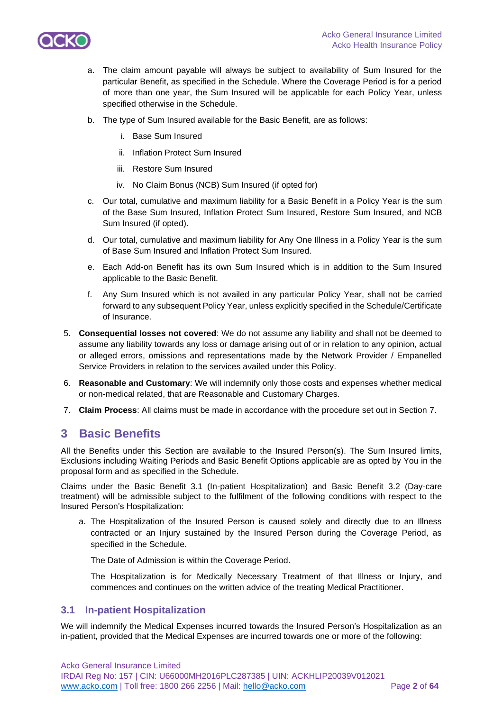

- a. The claim amount payable will always be subject to availability of Sum Insured for the particular Benefit, as specified in the Schedule. Where the Coverage Period is for a period of more than one year, the Sum Insured will be applicable for each Policy Year, unless specified otherwise in the Schedule.
- b. The type of Sum Insured available for the Basic Benefit, are as follows:
	- i. Base Sum Insured
	- ii. Inflation Protect Sum Insured
	- iii. Restore Sum Insured
	- iv. No Claim Bonus (NCB) Sum Insured (if opted for)
- c. Our total, cumulative and maximum liability for a Basic Benefit in a Policy Year is the sum of the Base Sum Insured, Inflation Protect Sum Insured, Restore Sum Insured, and NCB Sum Insured (if opted).
- d. Our total, cumulative and maximum liability for Any One Illness in a Policy Year is the sum of Base Sum Insured and Inflation Protect Sum Insured.
- e. Each Add-on Benefit has its own Sum Insured which is in addition to the Sum Insured applicable to the Basic Benefit.
- f. Any Sum Insured which is not availed in any particular Policy Year, shall not be carried forward to any subsequent Policy Year, unless explicitly specified in the Schedule/Certificate of Insurance.
- 5. **Consequential losses not covered**: We do not assume any liability and shall not be deemed to assume any liability towards any loss or damage arising out of or in relation to any opinion, actual or alleged errors, omissions and representations made by the Network Provider / Empanelled Service Providers in relation to the services availed under this Policy.
- 6. **Reasonable and Customary**: We will indemnify only those costs and expenses whether medical or non-medical related, that are Reasonable and Customary Charges.
- 7. **Claim Process**: All claims must be made in accordance with the procedure set out in Section 7.

## **3 Basic Benefits**

All the Benefits under this Section are available to the Insured Person(s). The Sum Insured limits, Exclusions including Waiting Periods and Basic Benefit Options applicable are as opted by You in the proposal form and as specified in the Schedule.

Claims under the Basic Benefit 3.1 (In-patient Hospitalization) and Basic Benefit 3.2 (Day-care treatment) will be admissible subject to the fulfilment of the following conditions with respect to the Insured Person's Hospitalization:

a. The Hospitalization of the Insured Person is caused solely and directly due to an Illness contracted or an Injury sustained by the Insured Person during the Coverage Period, as specified in the Schedule.

The Date of Admission is within the Coverage Period.

The Hospitalization is for Medically Necessary Treatment of that Illness or Injury, and commences and continues on the written advice of the treating Medical Practitioner.

## **3.1 In-patient Hospitalization**

We will indemnify the Medical Expenses incurred towards the Insured Person's Hospitalization as an in-patient, provided that the Medical Expenses are incurred towards one or more of the following: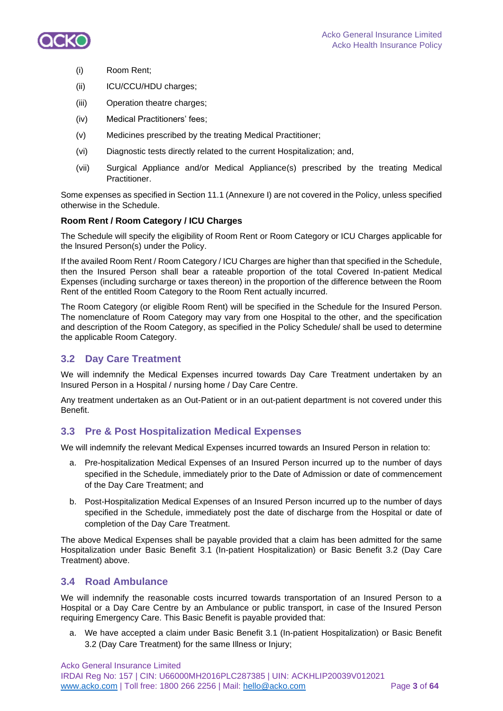

- (i) Room Rent;
- (ii) ICU/CCU/HDU charges;
- (iii) Operation theatre charges;
- (iv) Medical Practitioners' fees;
- (v) Medicines prescribed by the treating Medical Practitioner;
- (vi) Diagnostic tests directly related to the current Hospitalization; and,
- (vii) Surgical Appliance and/or Medical Appliance(s) prescribed by the treating Medical Practitioner.

Some expenses as specified in Section 11.1 (Annexure I) are not covered in the Policy, unless specified otherwise in the Schedule.

## **Room Rent / Room Category / ICU Charges**

The Schedule will specify the eligibility of Room Rent or Room Category or ICU Charges applicable for the lnsured Person(s) under the Policy.

If the availed Room Rent / Room Category / ICU Charges are higher than that specified in the Schedule, then the Insured Person shall bear a rateable proportion of the total Covered In-patient Medical Expenses (including surcharge or taxes thereon) in the proportion of the difference between the Room Rent of the entitled Room Category to the Room Rent actually incurred.

The Room Category (or eligible Room Rent) will be specified in the Schedule for the Insured Person. The nomenclature of Room Category may vary from one Hospital to the other, and the specification and description of the Room Category, as specified in the Policy Schedule/ shall be used to determine the applicable Room Category.

## **3.2 Day Care Treatment**

We will indemnify the Medical Expenses incurred towards Day Care Treatment undertaken by an Insured Person in a Hospital / nursing home / Day Care Centre.

Any treatment undertaken as an Out-Patient or in an out-patient department is not covered under this Benefit.

## **3.3 Pre & Post Hospitalization Medical Expenses**

We will indemnify the relevant Medical Expenses incurred towards an Insured Person in relation to:

- a. Pre-hospitalization Medical Expenses of an Insured Person incurred up to the number of days specified in the Schedule, immediately prior to the Date of Admission or date of commencement of the Day Care Treatment; and
- b. Post-Hospitalization Medical Expenses of an Insured Person incurred up to the number of days specified in the Schedule, immediately post the date of discharge from the Hospital or date of completion of the Day Care Treatment.

The above Medical Expenses shall be payable provided that a claim has been admitted for the same Hospitalization under Basic Benefit 3.1 (In-patient Hospitalization) or Basic Benefit 3.2 (Day Care Treatment) above.

## **3.4 Road Ambulance**

We will indemnify the reasonable costs incurred towards transportation of an Insured Person to a Hospital or a Day Care Centre by an Ambulance or public transport, in case of the Insured Person requiring Emergency Care. This Basic Benefit is payable provided that:

a. We have accepted a claim under Basic Benefit 3.1 (In-patient Hospitalization) or Basic Benefit 3.2 (Day Care Treatment) for the same Illness or Injury;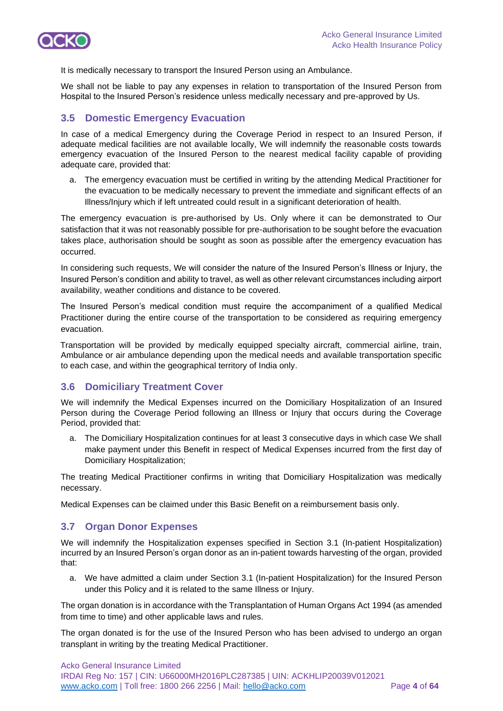

It is medically necessary to transport the Insured Person using an Ambulance.

We shall not be liable to pay any expenses in relation to transportation of the Insured Person from Hospital to the Insured Person's residence unless medically necessary and pre-approved by Us.

## **3.5 Domestic Emergency Evacuation**

In case of a medical Emergency during the Coverage Period in respect to an Insured Person, if adequate medical facilities are not available locally, We will indemnify the reasonable costs towards emergency evacuation of the Insured Person to the nearest medical facility capable of providing adequate care, provided that:

a. The emergency evacuation must be certified in writing by the attending Medical Practitioner for the evacuation to be medically necessary to prevent the immediate and significant effects of an Illness/Injury which if left untreated could result in a significant deterioration of health.

The emergency evacuation is pre-authorised by Us. Only where it can be demonstrated to Our satisfaction that it was not reasonably possible for pre-authorisation to be sought before the evacuation takes place, authorisation should be sought as soon as possible after the emergency evacuation has occurred.

In considering such requests, We will consider the nature of the Insured Person's Illness or Injury, the Insured Person's condition and ability to travel, as well as other relevant circumstances including airport availability, weather conditions and distance to be covered.

The Insured Person's medical condition must require the accompaniment of a qualified Medical Practitioner during the entire course of the transportation to be considered as requiring emergency evacuation.

Transportation will be provided by medically equipped specialty aircraft, commercial airline, train, Ambulance or air ambulance depending upon the medical needs and available transportation specific to each case, and within the geographical territory of India only.

## **3.6 Domiciliary Treatment Cover**

We will indemnify the Medical Expenses incurred on the Domiciliary Hospitalization of an Insured Person during the Coverage Period following an Illness or Injury that occurs during the Coverage Period, provided that:

a. The Domiciliary Hospitalization continues for at least 3 consecutive days in which case We shall make payment under this Benefit in respect of Medical Expenses incurred from the first day of Domiciliary Hospitalization;

The treating Medical Practitioner confirms in writing that Domiciliary Hospitalization was medically necessary.

Medical Expenses can be claimed under this Basic Benefit on a reimbursement basis only.

## **3.7 Organ Donor Expenses**

We will indemnify the Hospitalization expenses specified in Section 3.1 (In-patient Hospitalization) incurred by an Insured Person's organ donor as an in-patient towards harvesting of the organ, provided that:

a. We have admitted a claim under Section 3.1 (In-patient Hospitalization) for the Insured Person under this Policy and it is related to the same Illness or Injury.

The organ donation is in accordance with the Transplantation of Human Organs Act 1994 (as amended from time to time) and other applicable laws and rules.

The organ donated is for the use of the Insured Person who has been advised to undergo an organ transplant in writing by the treating Medical Practitioner.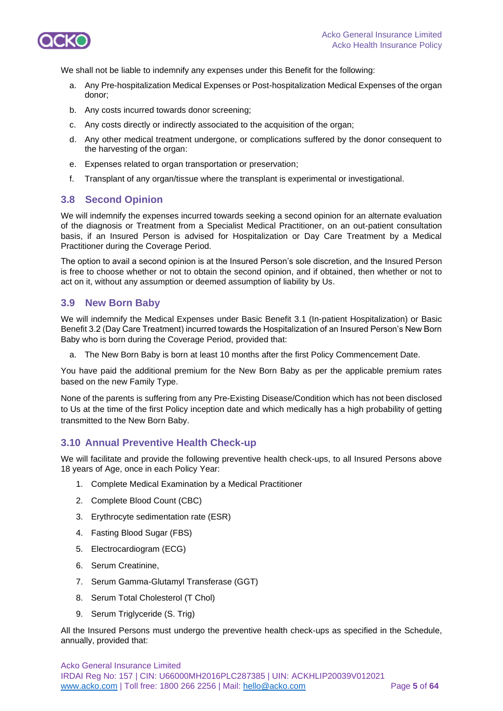

We shall not be liable to indemnify any expenses under this Benefit for the following:

- a. Any Pre-hospitalization Medical Expenses or Post-hospitalization Medical Expenses of the organ donor;
- b. Any costs incurred towards donor screening;
- c. Any costs directly or indirectly associated to the acquisition of the organ;
- d. Any other medical treatment undergone, or complications suffered by the donor consequent to the harvesting of the organ:
- e. Expenses related to organ transportation or preservation;
- f. Transplant of any organ/tissue where the transplant is experimental or investigational.

## **3.8 Second Opinion**

We will indemnify the expenses incurred towards seeking a second opinion for an alternate evaluation of the diagnosis or Treatment from a Specialist Medical Practitioner, on an out-patient consultation basis, if an Insured Person is advised for Hospitalization or Day Care Treatment by a Medical Practitioner during the Coverage Period.

The option to avail a second opinion is at the Insured Person's sole discretion, and the Insured Person is free to choose whether or not to obtain the second opinion, and if obtained, then whether or not to act on it, without any assumption or deemed assumption of liability by Us.

## **3.9 New Born Baby**

We will indemnify the Medical Expenses under Basic Benefit 3.1 (In-patient Hospitalization) or Basic Benefit 3.2 (Day Care Treatment) incurred towards the Hospitalization of an Insured Person's New Born Baby who is born during the Coverage Period, provided that:

a. The New Born Baby is born at least 10 months after the first Policy Commencement Date.

You have paid the additional premium for the New Born Baby as per the applicable premium rates based on the new Family Type.

None of the parents is suffering from any Pre-Existing Disease/Condition which has not been disclosed to Us at the time of the first Policy inception date and which medically has a high probability of getting transmitted to the New Born Baby.

## **3.10 Annual Preventive Health Check-up**

We will facilitate and provide the following preventive health check-ups, to all Insured Persons above 18 years of Age, once in each Policy Year:

- 1. Complete Medical Examination by a Medical Practitioner
- 2. Complete Blood Count (CBC)
- 3. Erythrocyte sedimentation rate (ESR)
- 4. Fasting Blood Sugar (FBS)
- 5. Electrocardiogram (ECG)
- 6. Serum Creatinine,
- 7. Serum Gamma-Glutamyl Transferase (GGT)
- 8. Serum Total Cholesterol (T Chol)
- 9. Serum Triglyceride (S. Trig)

All the Insured Persons must undergo the preventive health check-ups as specified in the Schedule, annually, provided that: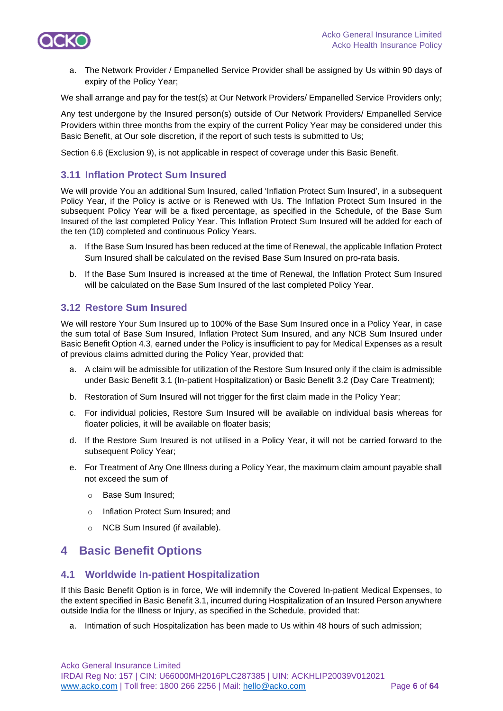

a. The Network Provider / Empanelled Service Provider shall be assigned by Us within 90 days of expiry of the Policy Year;

We shall arrange and pay for the test(s) at Our Network Providers/ Empanelled Service Providers only;

Any test undergone by the Insured person(s) outside of Our Network Providers/ Empanelled Service Providers within three months from the expiry of the current Policy Year may be considered under this Basic Benefit, at Our sole discretion, if the report of such tests is submitted to Us;

Section 6.6 (Exclusion 9), is not applicable in respect of coverage under this Basic Benefit.

## **3.11 Inflation Protect Sum Insured**

We will provide You an additional Sum Insured, called 'Inflation Protect Sum Insured', in a subsequent Policy Year, if the Policy is active or is Renewed with Us. The Inflation Protect Sum Insured in the subsequent Policy Year will be a fixed percentage, as specified in the Schedule, of the Base Sum Insured of the last completed Policy Year. This Inflation Protect Sum Insured will be added for each of the ten (10) completed and continuous Policy Years.

- a. If the Base Sum Insured has been reduced at the time of Renewal, the applicable Inflation Protect Sum Insured shall be calculated on the revised Base Sum Insured on pro-rata basis.
- b. If the Base Sum Insured is increased at the time of Renewal, the Inflation Protect Sum Insured will be calculated on the Base Sum Insured of the last completed Policy Year.

## **3.12 Restore Sum Insured**

We will restore Your Sum Insured up to 100% of the Base Sum Insured once in a Policy Year, in case the sum total of Base Sum Insured, Inflation Protect Sum Insured, and any NCB Sum Insured under Basic Benefit Option 4.3, earned under the Policy is insufficient to pay for Medical Expenses as a result of previous claims admitted during the Policy Year, provided that:

- a. A claim will be admissible for utilization of the Restore Sum Insured only if the claim is admissible under Basic Benefit 3.1 (In-patient Hospitalization) or Basic Benefit 3.2 (Day Care Treatment);
- b. Restoration of Sum Insured will not trigger for the first claim made in the Policy Year;
- c. For individual policies, Restore Sum Insured will be available on individual basis whereas for floater policies, it will be available on floater basis;
- d. If the Restore Sum Insured is not utilised in a Policy Year, it will not be carried forward to the subsequent Policy Year;
- e. For Treatment of Any One Illness during a Policy Year, the maximum claim amount payable shall not exceed the sum of
	- o Base Sum Insured;
	- o Inflation Protect Sum Insured; and
	- o NCB Sum Insured (if available).

## **4 Basic Benefit Options**

## **4.1 Worldwide In-patient Hospitalization**

If this Basic Benefit Option is in force, We will indemnify the Covered In-patient Medical Expenses, to the extent specified in Basic Benefit 3.1, incurred during Hospitalization of an Insured Person anywhere outside India for the Illness or Injury, as specified in the Schedule, provided that:

a. Intimation of such Hospitalization has been made to Us within 48 hours of such admission;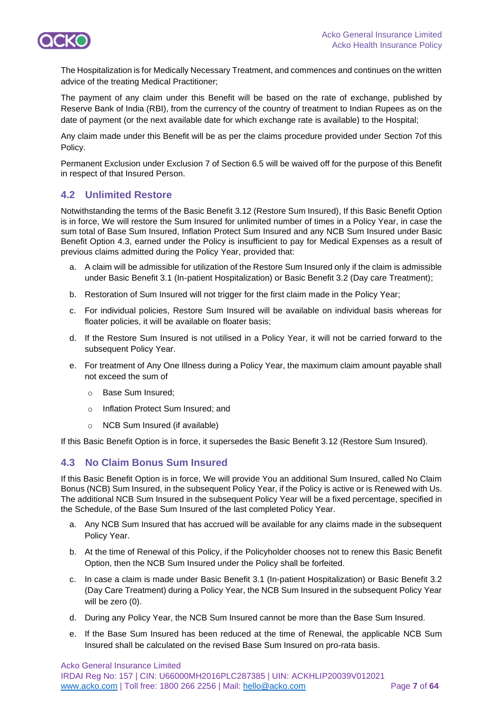

The Hospitalization is for Medically Necessary Treatment, and commences and continues on the written advice of the treating Medical Practitioner;

The payment of any claim under this Benefit will be based on the rate of exchange, published by Reserve Bank of India (RBI), from the currency of the country of treatment to Indian Rupees as on the date of payment (or the next available date for which exchange rate is available) to the Hospital;

Any claim made under this Benefit will be as per the claims procedure provided under Section 7of this Policy.

Permanent Exclusion under Exclusion 7 of Section 6.5 will be waived off for the purpose of this Benefit in respect of that Insured Person.

## **4.2 Unlimited Restore**

Notwithstanding the terms of the Basic Benefit 3.12 (Restore Sum Insured), If this Basic Benefit Option is in force, We will restore the Sum Insured for unlimited number of times in a Policy Year, in case the sum total of Base Sum Insured, Inflation Protect Sum Insured and any NCB Sum Insured under Basic Benefit Option 4.3, earned under the Policy is insufficient to pay for Medical Expenses as a result of previous claims admitted during the Policy Year, provided that:

- a. A claim will be admissible for utilization of the Restore Sum Insured only if the claim is admissible under Basic Benefit 3.1 (In-patient Hospitalization) or Basic Benefit 3.2 (Day care Treatment);
- b. Restoration of Sum Insured will not trigger for the first claim made in the Policy Year;
- c. For individual policies, Restore Sum Insured will be available on individual basis whereas for floater policies, it will be available on floater basis;
- d. If the Restore Sum Insured is not utilised in a Policy Year, it will not be carried forward to the subsequent Policy Year.
- e. For treatment of Any One Illness during a Policy Year, the maximum claim amount payable shall not exceed the sum of
	- o Base Sum Insured;
	- o Inflation Protect Sum Insured; and
	- o NCB Sum Insured (if available)

If this Basic Benefit Option is in force, it supersedes the Basic Benefit 3.12 (Restore Sum Insured).

## **4.3 No Claim Bonus Sum Insured**

If this Basic Benefit Option is in force, We will provide You an additional Sum Insured, called No Claim Bonus (NCB) Sum Insured, in the subsequent Policy Year, if the Policy is active or is Renewed with Us. The additional NCB Sum Insured in the subsequent Policy Year will be a fixed percentage, specified in the Schedule, of the Base Sum Insured of the last completed Policy Year.

- a. Any NCB Sum Insured that has accrued will be available for any claims made in the subsequent Policy Year.
- b. At the time of Renewal of this Policy, if the Policyholder chooses not to renew this Basic Benefit Option, then the NCB Sum Insured under the Policy shall be forfeited.
- c. In case a claim is made under Basic Benefit 3.1 (In-patient Hospitalization) or Basic Benefit 3.2 (Day Care Treatment) during a Policy Year, the NCB Sum Insured in the subsequent Policy Year will be zero (0).
- d. During any Policy Year, the NCB Sum Insured cannot be more than the Base Sum Insured.
- e. If the Base Sum Insured has been reduced at the time of Renewal, the applicable NCB Sum Insured shall be calculated on the revised Base Sum Insured on pro-rata basis.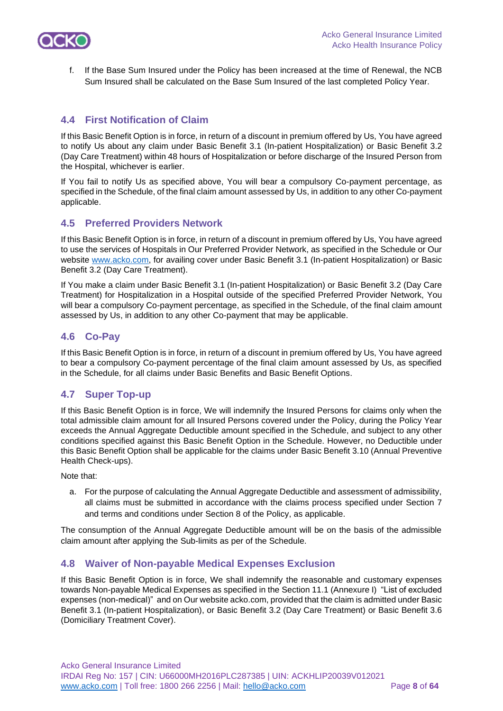

f. If the Base Sum Insured under the Policy has been increased at the time of Renewal, the NCB Sum Insured shall be calculated on the Base Sum Insured of the last completed Policy Year.

## **4.4 First Notification of Claim**

If this Basic Benefit Option is in force, in return of a discount in premium offered by Us, You have agreed to notify Us about any claim under Basic Benefit 3.1 (In-patient Hospitalization) or Basic Benefit 3.2 (Day Care Treatment) within 48 hours of Hospitalization or before discharge of the Insured Person from the Hospital, whichever is earlier.

If You fail to notify Us as specified above, You will bear a compulsory Co-payment percentage, as specified in the Schedule, of the final claim amount assessed by Us, in addition to any other Co-payment applicable.

## **4.5 Preferred Providers Network**

If this Basic Benefit Option is in force, in return of a discount in premium offered by Us, You have agreed to use the services of Hospitals in Our Preferred Provider Network, as specified in the Schedule or Our website [www.acko.com,](http://www.acko.com/) for availing cover under Basic Benefit 3.1 (In-patient Hospitalization) or Basic Benefit 3.2 (Day Care Treatment).

If You make a claim under Basic Benefit 3.1 (In-patient Hospitalization) or Basic Benefit 3.2 (Day Care Treatment) for Hospitalization in a Hospital outside of the specified Preferred Provider Network, You will bear a compulsory Co-payment percentage, as specified in the Schedule, of the final claim amount assessed by Us, in addition to any other Co-payment that may be applicable.

## **4.6 Co-Pay**

If this Basic Benefit Option is in force, in return of a discount in premium offered by Us, You have agreed to bear a compulsory Co-payment percentage of the final claim amount assessed by Us, as specified in the Schedule, for all claims under Basic Benefits and Basic Benefit Options.

## **4.7 Super Top-up**

If this Basic Benefit Option is in force, We will indemnify the Insured Persons for claims only when the total admissible claim amount for all Insured Persons covered under the Policy, during the Policy Year exceeds the Annual Aggregate Deductible amount specified in the Schedule, and subject to any other conditions specified against this Basic Benefit Option in the Schedule. However, no Deductible under this Basic Benefit Option shall be applicable for the claims under Basic Benefit 3.10 (Annual Preventive Health Check-ups).

Note that:

a. For the purpose of calculating the Annual Aggregate Deductible and assessment of admissibility, all claims must be submitted in accordance with the claims process specified under Section 7 and terms and conditions under Section 8 of the Policy, as applicable.

The consumption of the Annual Aggregate Deductible amount will be on the basis of the admissible claim amount after applying the Sub-limits as per of the Schedule.

## **4.8 Waiver of Non-payable Medical Expenses Exclusion**

If this Basic Benefit Option is in force, We shall indemnify the reasonable and customary expenses towards Non-payable Medical Expenses as specified in the Section 11.1 (Annexure I) "List of excluded expenses (non-medical)" and on Our website acko.com, provided that the claim is admitted under Basic Benefit 3.1 (In-patient Hospitalization), or Basic Benefit 3.2 (Day Care Treatment) or Basic Benefit 3.6 (Domiciliary Treatment Cover).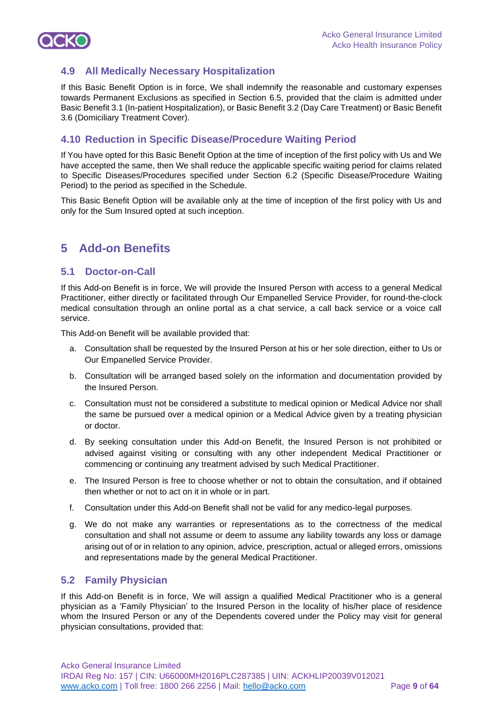

## **4.9 All Medically Necessary Hospitalization**

If this Basic Benefit Option is in force, We shall indemnify the reasonable and customary expenses towards Permanent Exclusions as specified in Section 6.5, provided that the claim is admitted under Basic Benefit 3.1 (In-patient Hospitalization), or Basic Benefit 3.2 (Day Care Treatment) or Basic Benefit 3.6 (Domiciliary Treatment Cover).

## **4.10 Reduction in Specific Disease/Procedure Waiting Period**

If You have opted for this Basic Benefit Option at the time of inception of the first policy with Us and We have accepted the same, then We shall reduce the applicable specific waiting period for claims related to Specific Diseases/Procedures specified under Section 6.2 (Specific Disease/Procedure Waiting Period) to the period as specified in the Schedule.

This Basic Benefit Option will be available only at the time of inception of the first policy with Us and only for the Sum Insured opted at such inception.

## **5 Add-on Benefits**

## **5.1 Doctor-on-Call**

If this Add-on Benefit is in force, We will provide the Insured Person with access to a general Medical Practitioner, either directly or facilitated through Our Empanelled Service Provider, for round-the-clock medical consultation through an online portal as a chat service, a call back service or a voice call service.

This Add-on Benefit will be available provided that:

- a. Consultation shall be requested by the Insured Person at his or her sole direction, either to Us or Our Empanelled Service Provider.
- b. Consultation will be arranged based solely on the information and documentation provided by the Insured Person.
- c. Consultation must not be considered a substitute to medical opinion or Medical Advice nor shall the same be pursued over a medical opinion or a Medical Advice given by a treating physician or doctor.
- d. By seeking consultation under this Add-on Benefit, the Insured Person is not prohibited or advised against visiting or consulting with any other independent Medical Practitioner or commencing or continuing any treatment advised by such Medical Practitioner.
- e. The Insured Person is free to choose whether or not to obtain the consultation, and if obtained then whether or not to act on it in whole or in part.
- f. Consultation under this Add-on Benefit shall not be valid for any medico-legal purposes.
- g. We do not make any warranties or representations as to the correctness of the medical consultation and shall not assume or deem to assume any liability towards any loss or damage arising out of or in relation to any opinion, advice, prescription, actual or alleged errors, omissions and representations made by the general Medical Practitioner.

## **5.2 Family Physician**

If this Add-on Benefit is in force, We will assign a qualified Medical Practitioner who is a general physician as a 'Family Physician' to the Insured Person in the locality of his/her place of residence whom the Insured Person or any of the Dependents covered under the Policy may visit for general physician consultations, provided that: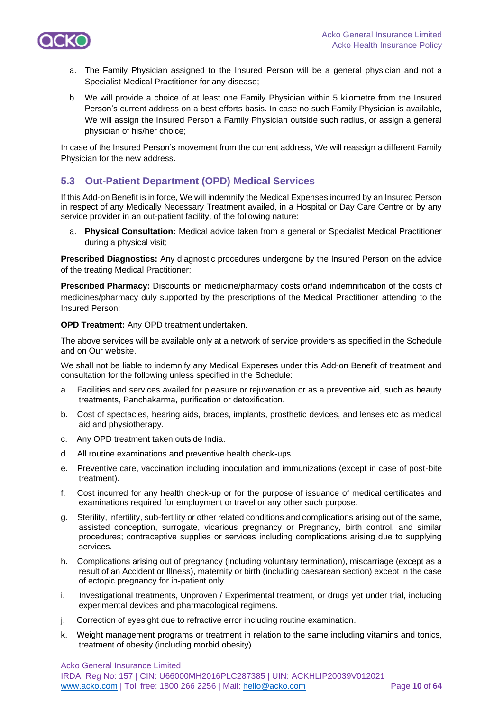

- a. The Family Physician assigned to the Insured Person will be a general physician and not a Specialist Medical Practitioner for any disease;
- b. We will provide a choice of at least one Family Physician within 5 kilometre from the Insured Person's current address on a best efforts basis. In case no such Family Physician is available, We will assign the Insured Person a Family Physician outside such radius, or assign a general physician of his/her choice;

In case of the Insured Person's movement from the current address, We will reassign a different Family Physician for the new address.

## **5.3 Out-Patient Department (OPD) Medical Services**

If this Add-on Benefit is in force, We will indemnify the Medical Expenses incurred by an Insured Person in respect of any Medically Necessary Treatment availed, in a Hospital or Day Care Centre or by any service provider in an out-patient facility, of the following nature:

a. **Physical Consultation:** Medical advice taken from a general or Specialist Medical Practitioner during a physical visit;

**Prescribed Diagnostics:** Any diagnostic procedures undergone by the Insured Person on the advice of the treating Medical Practitioner;

**Prescribed Pharmacy:** Discounts on medicine/pharmacy costs or/and indemnification of the costs of medicines/pharmacy duly supported by the prescriptions of the Medical Practitioner attending to the Insured Person;

**OPD Treatment:** Any OPD treatment undertaken.

The above services will be available only at a network of service providers as specified in the Schedule and on Our website.

We shall not be liable to indemnify any Medical Expenses under this Add-on Benefit of treatment and consultation for the following unless specified in the Schedule:

- a. Facilities and services availed for pleasure or rejuvenation or as a preventive aid, such as beauty treatments, Panchakarma, purification or detoxification.
- b. Cost of spectacles, hearing aids, braces, implants, prosthetic devices, and lenses etc as medical aid and physiotherapy.
- c. Any OPD treatment taken outside India.
- d. All routine examinations and preventive health check-ups.
- e. Preventive care, vaccination including inoculation and immunizations (except in case of post-bite treatment).
- f. Cost incurred for any health check-up or for the purpose of issuance of medical certificates and examinations required for employment or travel or any other such purpose.
- g. Sterility, infertility, sub-fertility or other related conditions and complications arising out of the same, assisted conception, surrogate, vicarious pregnancy or Pregnancy, birth control, and similar procedures; contraceptive supplies or services including complications arising due to supplying services.
- h. Complications arising out of pregnancy (including voluntary termination), miscarriage (except as a result of an Accident or Illness), maternity or birth (including caesarean section) except in the case of ectopic pregnancy for in-patient only.
- i. Investigational treatments, Unproven / Experimental treatment, or drugs yet under trial, including experimental devices and pharmacological regimens.
- j. Correction of eyesight due to refractive error including routine examination.
- k. Weight management programs or treatment in relation to the same including vitamins and tonics, treatment of obesity (including morbid obesity).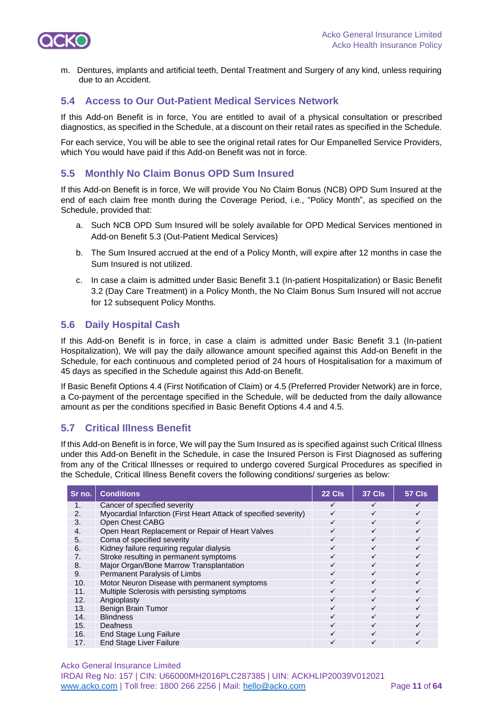

m. Dentures, implants and artificial teeth, Dental Treatment and Surgery of any kind, unless requiring due to an Accident.

## **5.4 Access to Our Out-Patient Medical Services Network**

If this Add-on Benefit is in force, You are entitled to avail of a physical consultation or prescribed diagnostics, as specified in the Schedule, at a discount on their retail rates as specified in the Schedule.

For each service, You will be able to see the original retail rates for Our Empanelled Service Providers, which You would have paid if this Add-on Benefit was not in force.

## **5.5 Monthly No Claim Bonus OPD Sum Insured**

If this Add-on Benefit is in force, We will provide You No Claim Bonus (NCB) OPD Sum Insured at the end of each claim free month during the Coverage Period, i.e., "Policy Month", as specified on the Schedule, provided that:

- a. Such NCB OPD Sum Insured will be solely available for OPD Medical Services mentioned in Add-on Benefit 5.3 (Out-Patient Medical Services)
- b. The Sum Insured accrued at the end of a Policy Month, will expire after 12 months in case the Sum Insured is not utilized.
- c. In case a claim is admitted under Basic Benefit 3.1 (In-patient Hospitalization) or Basic Benefit 3.2 (Day Care Treatment) in a Policy Month, the No Claim Bonus Sum Insured will not accrue for 12 subsequent Policy Months.

## **5.6 Daily Hospital Cash**

If this Add-on Benefit is in force, in case a claim is admitted under Basic Benefit 3.1 (In-patient Hospitalization), We will pay the daily allowance amount specified against this Add-on Benefit in the Schedule, for each continuous and completed period of 24 hours of Hospitalisation for a maximum of 45 days as specified in the Schedule against this Add-on Benefit.

If Basic Benefit Options 4.4 (First Notification of Claim) or 4.5 (Preferred Provider Network) are in force, a Co-payment of the percentage specified in the Schedule, will be deducted from the daily allowance amount as per the conditions specified in Basic Benefit Options 4.4 and 4.5.

## **5.7 Critical Illness Benefit**

If this Add-on Benefit is in force, We will pay the Sum Insured as is specified against such Critical Illness under this Add-on Benefit in the Schedule, in case the Insured Person is First Diagnosed as suffering from any of the Critical Illnesses or required to undergo covered Surgical Procedures as specified in the Schedule, Critical Illness Benefit covers the following conditions/ surgeries as below:

| Sr no.         | <b>Conditions</b>                                                | 22 Cls | <b>37 Cls</b> | <b>57 Cls</b> |
|----------------|------------------------------------------------------------------|--------|---------------|---------------|
| 1.             | Cancer of specified severity                                     | ✓      | ✓             | ✓             |
| 2.             | Myocardial Infarction (First Heart Attack of specified severity) |        | $\checkmark$  |               |
| 3.             | Open Chest CABG                                                  |        | $\checkmark$  |               |
| $\mathbf{4}$ . | Open Heart Replacement or Repair of Heart Valves                 |        | $\checkmark$  |               |
| 5.             | Coma of specified severity                                       | ✓      | $\checkmark$  |               |
| 6.             | Kidney failure requiring regular dialysis                        | ✓      | $\checkmark$  | ✓             |
| 7.             | Stroke resulting in permanent symptoms                           | ✓      | $\checkmark$  |               |
| 8.             | Major Organ/Bone Marrow Transplantation                          | ✓      | $\checkmark$  |               |
| 9.             | Permanent Paralysis of Limbs                                     | ✓      | $\checkmark$  |               |
| 10.            | Motor Neuron Disease with permanent symptoms                     | ✓      | $\checkmark$  |               |
| 11.            | Multiple Sclerosis with persisting symptoms                      | ✓      | $\checkmark$  |               |
| 12.            | Angioplasty                                                      | ✓      | ✓             |               |
| 13.            | Benign Brain Tumor                                               | ✓      | ✓             |               |
| 14.            | <b>Blindness</b>                                                 | ✓      | $\checkmark$  |               |
| 15.            | Deafness                                                         |        | $\checkmark$  |               |
| 16.            | End Stage Lung Failure                                           |        | $\checkmark$  |               |
| 17.            | <b>End Stage Liver Failure</b>                                   |        |               |               |

Acko General Insurance Limited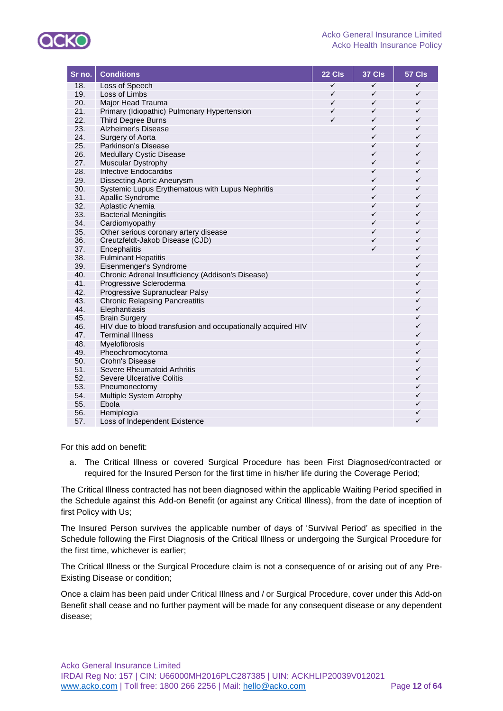

| Sr no.     | <b>Conditions</b>                                            | 22 Cls       | 37 Cls       | 57 Cls       |
|------------|--------------------------------------------------------------|--------------|--------------|--------------|
| 18.        | Loss of Speech                                               | $\checkmark$ | ✓            | $\checkmark$ |
| 19.        | Loss of Limbs                                                | $\checkmark$ | $\checkmark$ | $\checkmark$ |
| 20.        | Major Head Trauma                                            | $\checkmark$ | ✓            | $\checkmark$ |
| 21.        | Primary (Idiopathic) Pulmonary Hypertension                  | $\checkmark$ | ✓            | $\checkmark$ |
| 22.        | <b>Third Degree Burns</b>                                    | ✓            | ✓            | $\checkmark$ |
| 23.        | Alzheimer's Disease                                          |              | ✓            | ✓            |
| 24.        | Surgery of Aorta                                             |              | ✓            | $\checkmark$ |
| 25.        | Parkinson's Disease                                          |              | ✓            | $\checkmark$ |
| 26.        | <b>Medullary Cystic Disease</b>                              |              | ✓            | $\checkmark$ |
| 27.        | Muscular Dystrophy                                           |              | ✓            | $\checkmark$ |
| 28.        | Infective Endocarditis                                       |              | ✓            | ✓            |
| 29.        | <b>Dissecting Aortic Aneurysm</b>                            |              | ✓            | $\checkmark$ |
| 30.        | Systemic Lupus Erythematous with Lupus Nephritis             |              | ✓            | $\checkmark$ |
| 31.        | Apallic Syndrome                                             |              | ✓            | $\checkmark$ |
| 32.        | Aplastic Anemia                                              |              | ✓            | ✓            |
| 33.        | <b>Bacterial Meningitis</b>                                  |              | ✓            | $\checkmark$ |
| 34.        | Cardiomyopathy                                               |              | ✓            | $\checkmark$ |
| 35.        | Other serious coronary artery disease                        |              | ✓            | ✓            |
| 36.        | Creutzfeldt-Jakob Disease (CJD)                              |              | ✓            | ✓            |
| 37.        | Encephalitis                                                 |              | ✓            | $\checkmark$ |
| 38.        | <b>Fulminant Hepatitis</b>                                   |              |              | $\checkmark$ |
| 39.        | Eisenmenger's Syndrome                                       |              |              | $\checkmark$ |
| 40.        | Chronic Adrenal Insufficiency (Addison's Disease)            |              |              | ✓            |
| 41.        | Progressive Scleroderma                                      |              |              | ✓            |
| 42.        | Progressive Supranuclear Palsy                               |              |              | ✓            |
| 43.        | <b>Chronic Relapsing Pancreatitis</b>                        |              |              | $\checkmark$ |
| 44.        | Elephantiasis                                                |              |              | $\checkmark$ |
| 45.        | <b>Brain Surgery</b>                                         |              |              | $\checkmark$ |
| 46.        | HIV due to blood transfusion and occupationally acquired HIV |              |              | ✓            |
| 47.        | <b>Terminal Illness</b>                                      |              |              | $\checkmark$ |
| 48.        | Myelofibrosis                                                |              |              | $\checkmark$ |
| 49.        | Pheochromocytoma                                             |              |              | $\checkmark$ |
| 50.        | Crohn's Disease                                              |              |              | ✓            |
| 51.        | Severe Rheumatoid Arthritis                                  |              |              | ✓            |
| 52.        | Severe Ulcerative Colitis                                    |              |              | $\checkmark$ |
| 53.        | Pneumonectomy                                                |              |              | $\checkmark$ |
| 54.        | Multiple System Atrophy                                      |              |              | ✓            |
| 55.        | Ebola                                                        |              |              | ✓            |
|            |                                                              |              |              |              |
|            |                                                              |              |              |              |
| 56.<br>57. | Hemiplegia<br>Loss of Independent Existence                  |              |              | ✓<br>✓       |

For this add on benefit:

a. The Critical Illness or covered Surgical Procedure has been First Diagnosed/contracted or required for the Insured Person for the first time in his/her life during the Coverage Period;

The Critical Illness contracted has not been diagnosed within the applicable Waiting Period specified in the Schedule against this Add-on Benefit (or against any Critical Illness), from the date of inception of first Policy with Us;

The Insured Person survives the applicable number of days of 'Survival Period' as specified in the Schedule following the First Diagnosis of the Critical Illness or undergoing the Surgical Procedure for the first time, whichever is earlier;

The Critical Illness or the Surgical Procedure claim is not a consequence of or arising out of any Pre-Existing Disease or condition;

Once a claim has been paid under Critical Illness and / or Surgical Procedure, cover under this Add-on Benefit shall cease and no further payment will be made for any consequent disease or any dependent disease;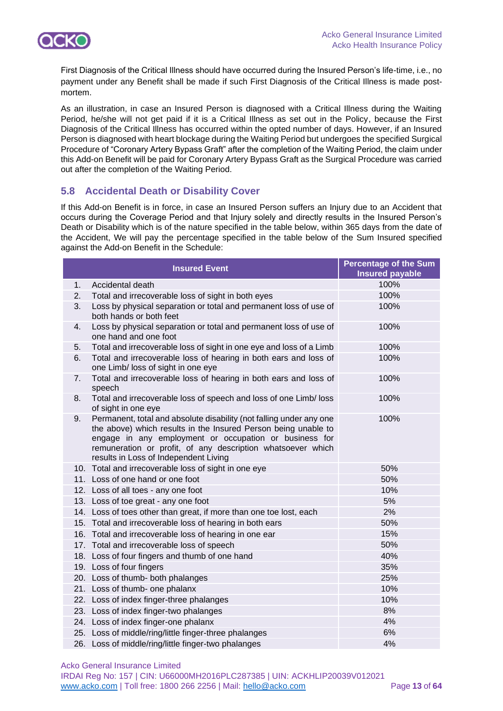

First Diagnosis of the Critical Illness should have occurred during the Insured Person's life-time, i.e., no payment under any Benefit shall be made if such First Diagnosis of the Critical Illness is made postmortem.

As an illustration, in case an Insured Person is diagnosed with a Critical Illness during the Waiting Period, he/she will not get paid if it is a Critical Illness as set out in the Policy, because the First Diagnosis of the Critical Illness has occurred within the opted number of days. However, if an Insured Person is diagnosed with heart blockage during the Waiting Period but undergoes the specified Surgical Procedure of "Coronary Artery Bypass Graft" after the completion of the Waiting Period, the claim under this Add-on Benefit will be paid for Coronary Artery Bypass Graft as the Surgical Procedure was carried out after the completion of the Waiting Period.

## **5.8 Accidental Death or Disability Cover**

If this Add-on Benefit is in force, in case an Insured Person suffers an Injury due to an Accident that occurs during the Coverage Period and that Injury solely and directly results in the Insured Person's Death or Disability which is of the nature specified in the table below, within 365 days from the date of the Accident, We will pay the percentage specified in the table below of the Sum Insured specified against the Add-on Benefit in the Schedule:

|     | <b>Insured Event</b>                                                                                                                                                                                                                                                                                    | <b>Percentage of the Sum</b><br><b>Insured payable</b> |
|-----|---------------------------------------------------------------------------------------------------------------------------------------------------------------------------------------------------------------------------------------------------------------------------------------------------------|--------------------------------------------------------|
| 1.  | Accidental death                                                                                                                                                                                                                                                                                        | 100%                                                   |
| 2.  | Total and irrecoverable loss of sight in both eyes                                                                                                                                                                                                                                                      | 100%                                                   |
| 3.  | Loss by physical separation or total and permanent loss of use of<br>both hands or both feet                                                                                                                                                                                                            | 100%                                                   |
| 4.  | Loss by physical separation or total and permanent loss of use of<br>one hand and one foot                                                                                                                                                                                                              | 100%                                                   |
| 5.  | Total and irrecoverable loss of sight in one eye and loss of a Limb                                                                                                                                                                                                                                     | 100%                                                   |
| 6.  | Total and irrecoverable loss of hearing in both ears and loss of<br>one Limb/ loss of sight in one eye                                                                                                                                                                                                  | 100%                                                   |
| 7.  | Total and irrecoverable loss of hearing in both ears and loss of<br>speech                                                                                                                                                                                                                              | 100%                                                   |
| 8.  | Total and irrecoverable loss of speech and loss of one Limb/ loss<br>of sight in one eye                                                                                                                                                                                                                | 100%                                                   |
| 9.  | Permanent, total and absolute disability (not falling under any one<br>the above) which results in the Insured Person being unable to<br>engage in any employment or occupation or business for<br>remuneration or profit, of any description whatsoever which<br>results in Loss of Independent Living | 100%                                                   |
|     | 10. Total and irrecoverable loss of sight in one eye                                                                                                                                                                                                                                                    | 50%                                                    |
|     | 11. Loss of one hand or one foot                                                                                                                                                                                                                                                                        | 50%                                                    |
|     | 12. Loss of all toes - any one foot                                                                                                                                                                                                                                                                     | 10%                                                    |
|     | 13. Loss of toe great - any one foot                                                                                                                                                                                                                                                                    | 5%                                                     |
|     | 14. Loss of toes other than great, if more than one toe lost, each                                                                                                                                                                                                                                      | 2%                                                     |
|     | 15. Total and irrecoverable loss of hearing in both ears                                                                                                                                                                                                                                                | 50%                                                    |
|     | 16. Total and irrecoverable loss of hearing in one ear                                                                                                                                                                                                                                                  | 15%                                                    |
|     | 17. Total and irrecoverable loss of speech                                                                                                                                                                                                                                                              | 50%                                                    |
|     | 18. Loss of four fingers and thumb of one hand                                                                                                                                                                                                                                                          | 40%                                                    |
|     | 19. Loss of four fingers                                                                                                                                                                                                                                                                                | 35%                                                    |
|     | 20. Loss of thumb- both phalanges                                                                                                                                                                                                                                                                       | 25%                                                    |
|     | 21. Loss of thumb- one phalanx                                                                                                                                                                                                                                                                          | 10%                                                    |
| 22. | Loss of index finger-three phalanges                                                                                                                                                                                                                                                                    | 10%                                                    |
|     | 23. Loss of index finger-two phalanges                                                                                                                                                                                                                                                                  | 8%                                                     |
|     | 24. Loss of index finger-one phalanx                                                                                                                                                                                                                                                                    | 4%                                                     |
|     | 25. Loss of middle/ring/little finger-three phalanges                                                                                                                                                                                                                                                   | 6%                                                     |
|     | 26. Loss of middle/ring/little finger-two phalanges                                                                                                                                                                                                                                                     | 4%                                                     |

Acko General Insurance Limited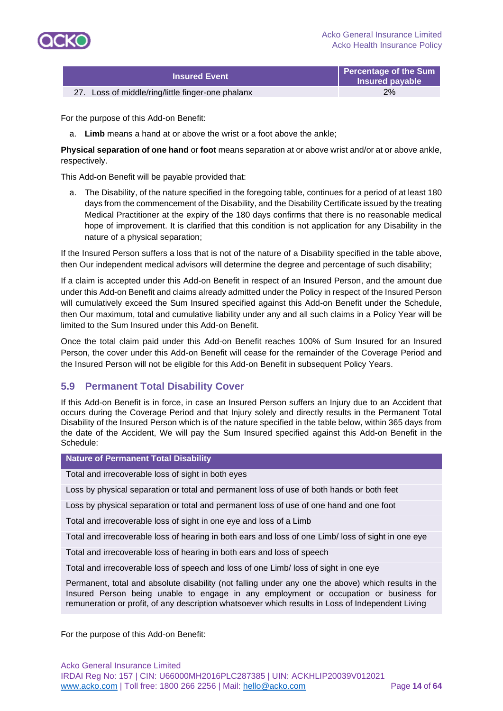

| <b>Insured Event</b>                              | Percentage of the Sum<br>Insured payable |
|---------------------------------------------------|------------------------------------------|
| 27. Loss of middle/ring/little finger-one phalanx | 2%                                       |

For the purpose of this Add-on Benefit:

a. **Limb** means a hand at or above the wrist or a foot above the ankle;

**Physical separation of one hand** or **foot** means separation at or above wrist and/or at or above ankle, respectively.

This Add-on Benefit will be payable provided that:

a. The Disability, of the nature specified in the foregoing table, continues for a period of at least 180 days from the commencement of the Disability, and the Disability Certificate issued by the treating Medical Practitioner at the expiry of the 180 days confirms that there is no reasonable medical hope of improvement. It is clarified that this condition is not application for any Disability in the nature of a physical separation;

If the Insured Person suffers a loss that is not of the nature of a Disability specified in the table above, then Our independent medical advisors will determine the degree and percentage of such disability;

If a claim is accepted under this Add-on Benefit in respect of an Insured Person, and the amount due under this Add-on Benefit and claims already admitted under the Policy in respect of the Insured Person will cumulatively exceed the Sum Insured specified against this Add-on Benefit under the Schedule, then Our maximum, total and cumulative liability under any and all such claims in a Policy Year will be limited to the Sum Insured under this Add-on Benefit.

Once the total claim paid under this Add-on Benefit reaches 100% of Sum Insured for an Insured Person, the cover under this Add-on Benefit will cease for the remainder of the Coverage Period and the Insured Person will not be eligible for this Add-on Benefit in subsequent Policy Years.

## **5.9 Permanent Total Disability Cover**

If this Add-on Benefit is in force, in case an Insured Person suffers an Injury due to an Accident that occurs during the Coverage Period and that Injury solely and directly results in the Permanent Total Disability of the Insured Person which is of the nature specified in the table below, within 365 days from the date of the Accident, We will pay the Sum Insured specified against this Add-on Benefit in the Schedule:

#### **Nature of Permanent Total Disability**

Total and irrecoverable loss of sight in both eyes

Loss by physical separation or total and permanent loss of use of both hands or both feet

Loss by physical separation or total and permanent loss of use of one hand and one foot

Total and irrecoverable loss of sight in one eye and loss of a Limb

Total and irrecoverable loss of hearing in both ears and loss of one Limb/ loss of sight in one eye

Total and irrecoverable loss of hearing in both ears and loss of speech

Total and irrecoverable loss of speech and loss of one Limb/ loss of sight in one eye

Permanent, total and absolute disability (not falling under any one the above) which results in the Insured Person being unable to engage in any employment or occupation or business for remuneration or profit, of any description whatsoever which results in Loss of Independent Living

For the purpose of this Add-on Benefit: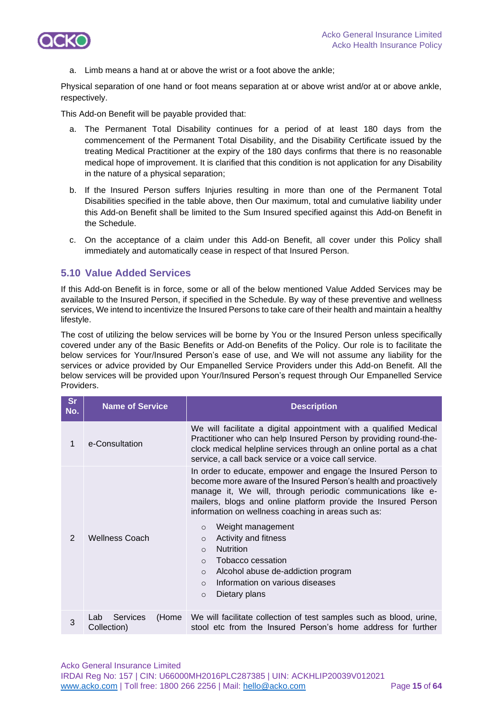

a. Limb means a hand at or above the wrist or a foot above the ankle;

Physical separation of one hand or foot means separation at or above wrist and/or at or above ankle, respectively.

This Add-on Benefit will be payable provided that:

- a. The Permanent Total Disability continues for a period of at least 180 days from the commencement of the Permanent Total Disability, and the Disability Certificate issued by the treating Medical Practitioner at the expiry of the 180 days confirms that there is no reasonable medical hope of improvement. It is clarified that this condition is not application for any Disability in the nature of a physical separation;
- b. If the Insured Person suffers Injuries resulting in more than one of the Permanent Total Disabilities specified in the table above, then Our maximum, total and cumulative liability under this Add-on Benefit shall be limited to the Sum Insured specified against this Add-on Benefit in the Schedule.
- c. On the acceptance of a claim under this Add-on Benefit, all cover under this Policy shall immediately and automatically cease in respect of that Insured Person.

## **5.10 Value Added Services**

If this Add-on Benefit is in force, some or all of the below mentioned Value Added Services may be available to the Insured Person, if specified in the Schedule. By way of these preventive and wellness services, We intend to incentivize the Insured Persons to take care of their health and maintain a healthy lifestyle.

The cost of utilizing the below services will be borne by You or the Insured Person unless specifically covered under any of the Basic Benefits or Add-on Benefits of the Policy. Our role is to facilitate the below services for Your/Insured Person's ease of use, and We will not assume any liability for the services or advice provided by Our Empanelled Service Providers under this Add-on Benefit. All the below services will be provided upon Your/Insured Person's request through Our Empanelled Service Providers.

| <b>Sr</b><br>No. | <b>Name of Service</b>                  | <b>Description</b>                                                                                                                                                                                                                                                                                                                                                                                                                                                                                                                                                                       |
|------------------|-----------------------------------------|------------------------------------------------------------------------------------------------------------------------------------------------------------------------------------------------------------------------------------------------------------------------------------------------------------------------------------------------------------------------------------------------------------------------------------------------------------------------------------------------------------------------------------------------------------------------------------------|
| 1                | e-Consultation                          | We will facilitate a digital appointment with a qualified Medical<br>Practitioner who can help Insured Person by providing round-the-<br>clock medical helpline services through an online portal as a chat<br>service, a call back service or a voice call service.                                                                                                                                                                                                                                                                                                                     |
| $\overline{2}$   | <b>Wellness Coach</b>                   | In order to educate, empower and engage the Insured Person to<br>become more aware of the Insured Person's health and proactively<br>manage it, We will, through periodic communications like e-<br>mailers, blogs and online platform provide the Insured Person<br>information on wellness coaching in areas such as:<br>Weight management<br>$\circ$<br>Activity and fitness<br>$\Omega$<br><b>Nutrition</b><br>$\Omega$<br>Tobacco cessation<br>$\Omega$<br>Alcohol abuse de-addiction program<br>$\circ$<br>Information on various diseases<br>$\Omega$<br>Dietary plans<br>$\circ$ |
| 3                | Services<br>(Home<br>Lab<br>Collection) | We will facilitate collection of test samples such as blood, urine,<br>stool etc from the Insured Person's home address for further                                                                                                                                                                                                                                                                                                                                                                                                                                                      |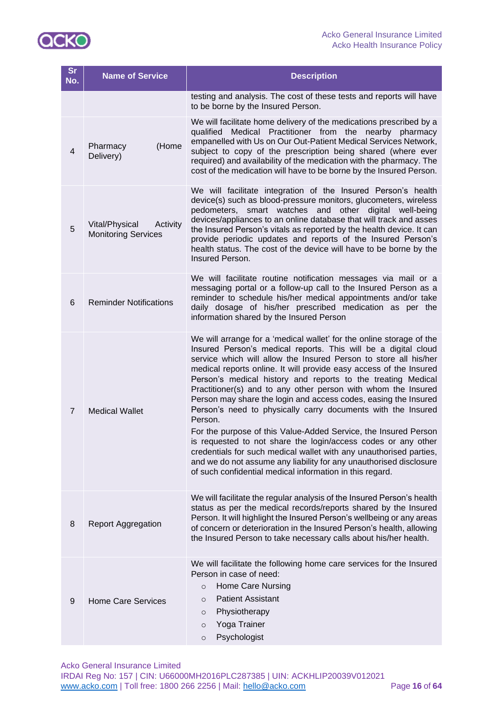

| <b>Sr</b><br>No. | <b>Name of Service</b>                                   | <b>Description</b>                                                                                                                                                                                                                                                                                                                                                                                                                                                                                                                                                                                                                                                                                                                                                                                                                                                                                          |
|------------------|----------------------------------------------------------|-------------------------------------------------------------------------------------------------------------------------------------------------------------------------------------------------------------------------------------------------------------------------------------------------------------------------------------------------------------------------------------------------------------------------------------------------------------------------------------------------------------------------------------------------------------------------------------------------------------------------------------------------------------------------------------------------------------------------------------------------------------------------------------------------------------------------------------------------------------------------------------------------------------|
|                  |                                                          | testing and analysis. The cost of these tests and reports will have<br>to be borne by the Insured Person.                                                                                                                                                                                                                                                                                                                                                                                                                                                                                                                                                                                                                                                                                                                                                                                                   |
| $\overline{4}$   | (Home<br>Pharmacy<br>Delivery)                           | We will facilitate home delivery of the medications prescribed by a<br>qualified Medical Practitioner from the nearby pharmacy<br>empanelled with Us on Our Out-Patient Medical Services Network,<br>subject to copy of the prescription being shared (where ever<br>required) and availability of the medication with the pharmacy. The<br>cost of the medication will have to be borne by the Insured Person.                                                                                                                                                                                                                                                                                                                                                                                                                                                                                             |
| 5                | Vital/Physical<br>Activity<br><b>Monitoring Services</b> | We will facilitate integration of the Insured Person's health<br>device(s) such as blood-pressure monitors, glucometers, wireless<br>pedometers, smart watches<br>and<br>other digital well-being<br>devices/appliances to an online database that will track and asses<br>the Insured Person's vitals as reported by the health device. It can<br>provide periodic updates and reports of the Insured Person's<br>health status. The cost of the device will have to be borne by the<br>Insured Person.                                                                                                                                                                                                                                                                                                                                                                                                    |
| 6                | <b>Reminder Notifications</b>                            | We will facilitate routine notification messages via mail or a<br>messaging portal or a follow-up call to the Insured Person as a<br>reminder to schedule his/her medical appointments and/or take<br>daily dosage of his/her prescribed medication as per the<br>information shared by the Insured Person                                                                                                                                                                                                                                                                                                                                                                                                                                                                                                                                                                                                  |
| $\overline{7}$   | <b>Medical Wallet</b>                                    | We will arrange for a 'medical wallet' for the online storage of the<br>Insured Person's medical reports. This will be a digital cloud<br>service which will allow the Insured Person to store all his/her<br>medical reports online. It will provide easy access of the Insured<br>Person's medical history and reports to the treating Medical<br>Practitioner(s) and to any other person with whom the Insured<br>Person may share the login and access codes, easing the Insured<br>Person's need to physically carry documents with the Insured<br>Person.<br>For the purpose of this Value-Added Service, the Insured Person<br>is requested to not share the login/access codes or any other<br>credentials for such medical wallet with any unauthorised parties,<br>and we do not assume any liability for any unauthorised disclosure<br>of such confidential medical information in this regard. |
| 8                | <b>Report Aggregation</b>                                | We will facilitate the regular analysis of the Insured Person's health<br>status as per the medical records/reports shared by the Insured<br>Person. It will highlight the Insured Person's wellbeing or any areas<br>of concern or deterioration in the Insured Person's health, allowing<br>the Insured Person to take necessary calls about his/her health.                                                                                                                                                                                                                                                                                                                                                                                                                                                                                                                                              |
| $9\,$            | <b>Home Care Services</b>                                | We will facilitate the following home care services for the Insured<br>Person in case of need:<br>Home Care Nursing<br>$\circ$<br><b>Patient Assistant</b><br>$\circ$<br>Physiotherapy<br>$\circ$<br>Yoga Trainer<br>$\circ$<br>Psychologist<br>$\circ$                                                                                                                                                                                                                                                                                                                                                                                                                                                                                                                                                                                                                                                     |

Acko General Insurance Limited IRDAI Reg No: 157 | CIN: U66000MH2016PLC287385 | UIN: ACKHLIP20039V012021 [www.acko.com](http://www.acko.com/) | Toll free: 1800 266 2256 | Mail: [hello@acko.com](mailto:hello@acko.com) Page **16** of **64**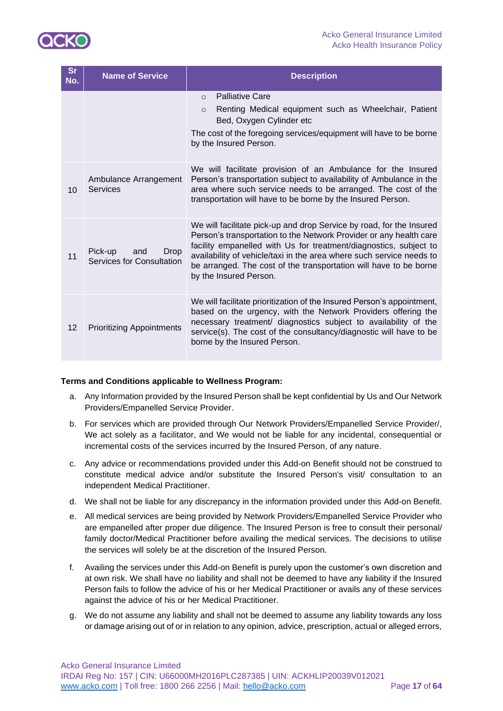

| <b>Sr</b><br>No. | <b>Name of Service</b>                                     | <b>Description</b>                                                                                                                                                                                                                                                                                                                                                                     |
|------------------|------------------------------------------------------------|----------------------------------------------------------------------------------------------------------------------------------------------------------------------------------------------------------------------------------------------------------------------------------------------------------------------------------------------------------------------------------------|
|                  |                                                            | <b>Palliative Care</b><br>$\Omega$<br>Renting Medical equipment such as Wheelchair, Patient<br>$\circ$<br>Bed, Oxygen Cylinder etc<br>The cost of the foregoing services/equipment will have to be borne<br>by the Insured Person.                                                                                                                                                     |
| 10               | Ambulance Arrangement<br>Services                          | We will facilitate provision of an Ambulance for the Insured<br>Person's transportation subject to availability of Ambulance in the<br>area where such service needs to be arranged. The cost of the<br>transportation will have to be borne by the Insured Person.                                                                                                                    |
| 11               | Pick-up<br><b>Drop</b><br>and<br>Services for Consultation | We will facilitate pick-up and drop Service by road, for the Insured<br>Person's transportation to the Network Provider or any health care<br>facility empanelled with Us for treatment/diagnostics, subject to<br>availability of vehicle/taxi in the area where such service needs to<br>be arranged. The cost of the transportation will have to be borne<br>by the Insured Person. |
| 12               | <b>Prioritizing Appointments</b>                           | We will facilitate prioritization of the Insured Person's appointment,<br>based on the urgency, with the Network Providers offering the<br>necessary treatment/ diagnostics subject to availability of the<br>service(s). The cost of the consultancy/diagnostic will have to be<br>borne by the Insured Person.                                                                       |

### **Terms and Conditions applicable to Wellness Program:**

- a. Any Information provided by the Insured Person shall be kept confidential by Us and Our Network Providers/Empanelled Service Provider.
- b. For services which are provided through Our Network Providers/Empanelled Service Provider/, We act solely as a facilitator, and We would not be liable for any incidental, consequential or incremental costs of the services incurred by the Insured Person, of any nature.
- c. Any advice or recommendations provided under this Add-on Benefit should not be construed to constitute medical advice and/or substitute the Insured Person's visit/ consultation to an independent Medical Practitioner.
- d. We shall not be liable for any discrepancy in the information provided under this Add-on Benefit.
- e. All medical services are being provided by Network Providers/Empanelled Service Provider who are empanelled after proper due diligence. The Insured Person is free to consult their personal/ family doctor/Medical Practitioner before availing the medical services. The decisions to utilise the services will solely be at the discretion of the Insured Person.
- f. Availing the services under this Add-on Benefit is purely upon the customer's own discretion and at own risk. We shall have no liability and shall not be deemed to have any liability if the Insured Person fails to follow the advice of his or her Medical Practitioner or avails any of these services against the advice of his or her Medical Practitioner.
- g. We do not assume any liability and shall not be deemed to assume any liability towards any loss or damage arising out of or in relation to any opinion, advice, prescription, actual or alleged errors,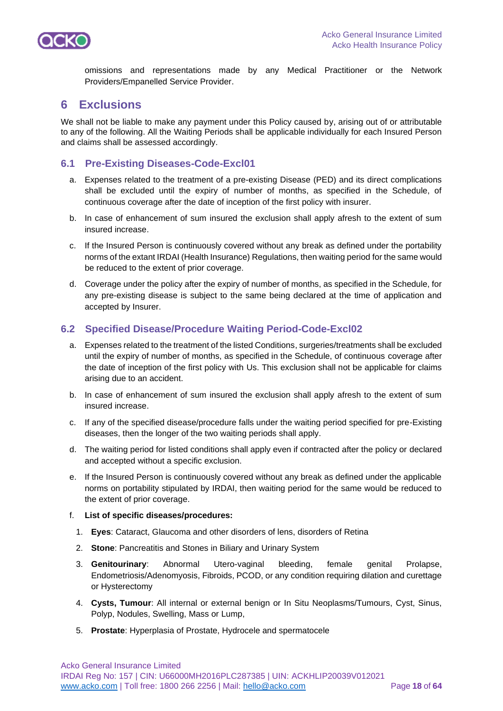

omissions and representations made by any Medical Practitioner or the Network Providers/Empanelled Service Provider.

## **6 Exclusions**

We shall not be liable to make any payment under this Policy caused by, arising out of or attributable to any of the following. All the Waiting Periods shall be applicable individually for each Insured Person and claims shall be assessed accordingly.

## **6.1 Pre-Existing Diseases-Code-Excl01**

- a. Expenses related to the treatment of a pre-existing Disease (PED) and its direct complications shall be excluded until the expiry of number of months, as specified in the Schedule, of continuous coverage after the date of inception of the first policy with insurer.
- b. In case of enhancement of sum insured the exclusion shall apply afresh to the extent of sum insured increase.
- c. If the Insured Person is continuously covered without any break as defined under the portability norms of the extant IRDAI (Health Insurance) Regulations, then waiting period for the same would be reduced to the extent of prior coverage.
- d. Coverage under the policy after the expiry of number of months, as specified in the Schedule, for any pre-existing disease is subject to the same being declared at the time of application and accepted by Insurer.

## **6.2 Specified Disease/Procedure Waiting Period-Code-Excl02**

- a. Expenses related to the treatment of the listed Conditions, surgeries/treatments shall be excluded until the expiry of number of months, as specified in the Schedule, of continuous coverage after the date of inception of the first policy with Us. This exclusion shall not be applicable for claims arising due to an accident.
- b. In case of enhancement of sum insured the exclusion shall apply afresh to the extent of sum insured increase.
- c. If any of the specified disease/procedure falls under the waiting period specified for pre-Existing diseases, then the longer of the two waiting periods shall apply.
- d. The waiting period for listed conditions shall apply even if contracted after the policy or declared and accepted without a specific exclusion.
- e. If the Insured Person is continuously covered without any break as defined under the applicable norms on portability stipulated by IRDAI, then waiting period for the same would be reduced to the extent of prior coverage.
- f. **List of specific diseases/procedures:**
	- 1. **Eyes**: Cataract, Glaucoma and other disorders of lens, disorders of Retina
	- 2. **Stone**: Pancreatitis and Stones in Biliary and Urinary System
	- 3. **Genitourinary**: Abnormal Utero-vaginal bleeding, female genital Prolapse, Endometriosis/Adenomyosis, Fibroids, PCOD, or any condition requiring dilation and curettage or Hysterectomy
	- 4. **Cysts, Tumour**: All internal or external benign or In Situ Neoplasms/Tumours, Cyst, Sinus, Polyp, Nodules, Swelling, Mass or Lump,
	- 5. **Prostate**: Hyperplasia of Prostate, Hydrocele and spermatocele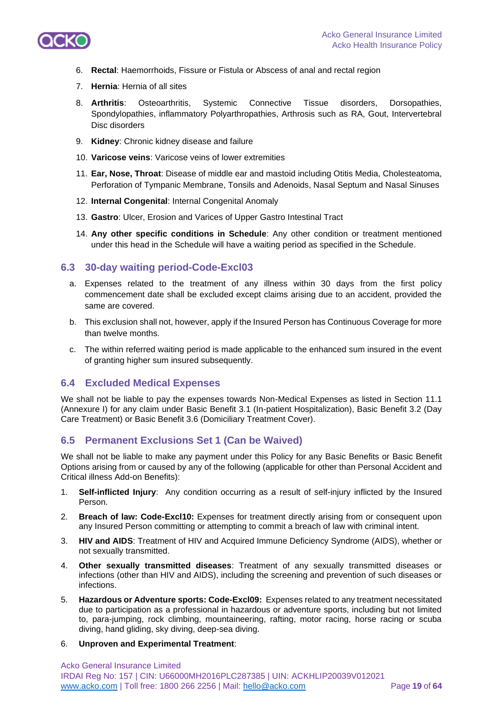

- 6. **Rectal**: Haemorrhoids, Fissure or Fistula or Abscess of anal and rectal region
- 7. **Hernia**: Hernia of all sites
- 8. **Arthritis**: Osteoarthritis, Systemic Connective Tissue disorders, Dorsopathies, Spondylopathies, inflammatory Polyarthropathies, Arthrosis such as RA, Gout, Intervertebral Disc disorders
- 9. **Kidney**: Chronic kidney disease and failure
- 10. **Varicose veins**: Varicose veins of lower extremities
- 11. **Ear, Nose, Throat**: Disease of middle ear and mastoid including Otitis Media, Cholesteatoma, Perforation of Tympanic Membrane, Tonsils and Adenoids, Nasal Septum and Nasal Sinuses
- 12. **Internal Congenital**: Internal Congenital Anomaly
- 13. **Gastro**: Ulcer, Erosion and Varices of Upper Gastro Intestinal Tract
- 14. **Any other specific conditions in Schedule**: Any other condition or treatment mentioned under this head in the Schedule will have a waiting period as specified in the Schedule.

## **6.3 30-day waiting period-Code-Excl03**

- a. Expenses related to the treatment of any illness within 30 days from the first policy commencement date shall be excluded except claims arising due to an accident, provided the same are covered.
- b. This exclusion shall not, however, apply if the Insured Person has Continuous Coverage for more than twelve months.
- c. The within referred waiting period is made applicable to the enhanced sum insured in the event of granting higher sum insured subsequently.

## **6.4 Excluded Medical Expenses**

We shall not be liable to pay the expenses towards Non-Medical Expenses as listed in Section 11.1 (Annexure I) for any claim under Basic Benefit 3.1 (In-patient Hospitalization), Basic Benefit 3.2 (Day Care Treatment) or Basic Benefit 3.6 (Domiciliary Treatment Cover).

## **6.5 Permanent Exclusions Set 1 (Can be Waived)**

We shall not be liable to make any payment under this Policy for any Basic Benefits or Basic Benefit Options arising from or caused by any of the following (applicable for other than Personal Accident and Critical illness Add-on Benefits):

- 1. **Self-inflicted Injury**: Any condition occurring as a result of self-injury inflicted by the Insured Person.
- 2. **Breach of law: Code-Excl10:** Expenses for treatment directly arising from or consequent upon any Insured Person committing or attempting to commit a breach of law with criminal intent.
- 3. **HIV and AIDS**: Treatment of HIV and Acquired Immune Deficiency Syndrome (AIDS), whether or not sexually transmitted.
- 4. **Other sexually transmitted diseases**: Treatment of any sexually transmitted diseases or infections (other than HIV and AIDS), including the screening and prevention of such diseases or infections.
- 5. **Hazardous or Adventure sports: Code-Excl09:** Expenses related to any treatment necessitated due to participation as a professional in hazardous or adventure sports, including but not limited to, para-jumping, rock climbing, mountaineering, rafting, motor racing, horse racing or scuba diving, hand gliding, sky diving, deep-sea diving.
- 6. **Unproven and Experimental Treatment**: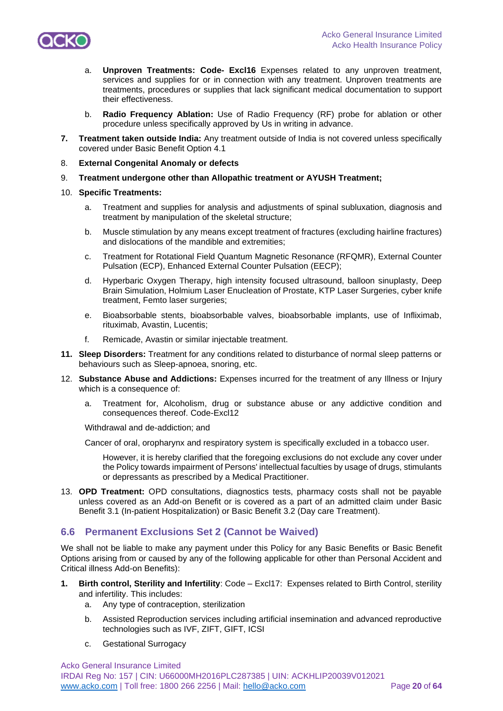

- a. **Unproven Treatments: Code- Excl16** Expenses related to any unproven treatment, services and supplies for or in connection with any treatment. Unproven treatments are treatments, procedures or supplies that lack significant medical documentation to support their effectiveness.
- b. **Radio Frequency Ablation:** Use of Radio Frequency (RF) probe for ablation or other procedure unless specifically approved by Us in writing in advance.
- **7. Treatment taken outside India:** Any treatment outside of India is not covered unless specifically covered under Basic Benefit Option 4.1
- 8. **External Congenital Anomaly or defects**
- 9. **Treatment undergone other than Allopathic treatment or AYUSH Treatment;**
- 10. **Specific Treatments:** 
	- a. Treatment and supplies for analysis and adjustments of spinal subluxation, diagnosis and treatment by manipulation of the skeletal structure;
	- b. Muscle stimulation by any means except treatment of fractures (excluding hairline fractures) and dislocations of the mandible and extremities;
	- c. Treatment for Rotational Field Quantum Magnetic Resonance (RFQMR), External Counter Pulsation (ECP), Enhanced External Counter Pulsation (EECP);
	- d. Hyperbaric Oxygen Therapy, high intensity focused ultrasound, balloon sinuplasty, Deep Brain Simulation, Holmium Laser Enucleation of Prostate, KTP Laser Surgeries, cyber knife treatment, Femto laser surgeries;
	- e. Bioabsorbable stents, bioabsorbable valves, bioabsorbable implants, use of Infliximab, rituximab, Avastin, Lucentis;
	- f. Remicade, Avastin or similar injectable treatment.
- **11. Sleep Disorders:** Treatment for any conditions related to disturbance of normal sleep patterns or behaviours such as Sleep-apnoea, snoring, etc.
- 12. **Substance Abuse and Addictions:** Expenses incurred for the treatment of any Illness or Injury which is a consequence of:
	- a. Treatment for, Alcoholism, drug or substance abuse or any addictive condition and consequences thereof. Code-Excl12

Withdrawal and de-addiction; and

Cancer of oral, oropharynx and respiratory system is specifically excluded in a tobacco user.

However, it is hereby clarified that the foregoing exclusions do not exclude any cover under the Policy towards impairment of Persons' intellectual faculties by usage of drugs, stimulants or depressants as prescribed by a Medical Practitioner.

13. **OPD Treatment:** OPD consultations, diagnostics tests, pharmacy costs shall not be payable unless covered as an Add-on Benefit or is covered as a part of an admitted claim under Basic Benefit 3.1 (In-patient Hospitalization) or Basic Benefit 3.2 (Day care Treatment).

## **6.6 Permanent Exclusions Set 2 (Cannot be Waived)**

We shall not be liable to make any payment under this Policy for any Basic Benefits or Basic Benefit Options arising from or caused by any of the following applicable for other than Personal Accident and Critical illness Add-on Benefits):

- **1. Birth control, Sterility and Infertility**: Code Excl17: Expenses related to Birth Control, sterility and infertility. This includes:
	- a. Any type of contraception, sterilization
	- b. Assisted Reproduction services including artificial insemination and advanced reproductive technologies such as IVF, ZIFT, GIFT, ICSI
	- c. Gestational Surrogacy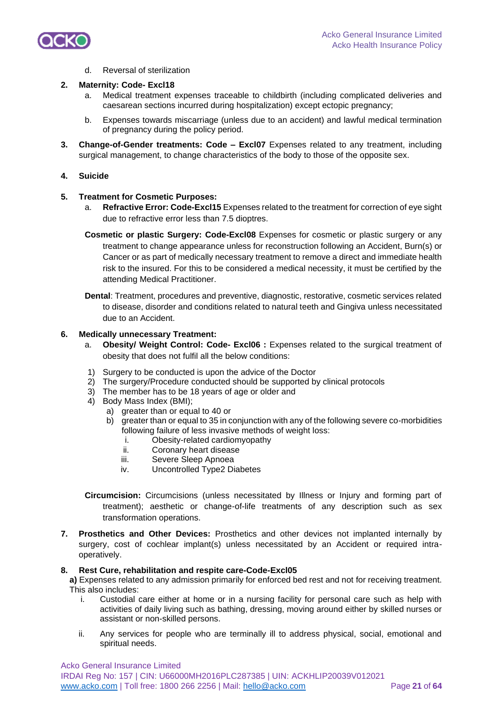

d. Reversal of sterilization

#### **2. Maternity: Code- Excl18**

- a. Medical treatment expenses traceable to childbirth (including complicated deliveries and caesarean sections incurred during hospitalization) except ectopic pregnancy;
- b. Expenses towards miscarriage (unless due to an accident) and lawful medical termination of pregnancy during the policy period.
- **3. Change-of-Gender treatments: Code – Excl07** Expenses related to any treatment, including surgical management, to change characteristics of the body to those of the opposite sex.

#### **4. Suicide**

#### **5. Treatment for Cosmetic Purposes:**

- a. **Refractive Error: Code-Excl15** Expenses related to the treatment for correction of eye sight due to refractive error less than 7.5 dioptres.
- **Cosmetic or plastic Surgery: Code-Excl08** Expenses for cosmetic or plastic surgery or any treatment to change appearance unless for reconstruction following an Accident, Burn(s) or Cancer or as part of medically necessary treatment to remove a direct and immediate health risk to the insured. For this to be considered a medical necessity, it must be certified by the attending Medical Practitioner.
- **Dental**: Treatment, procedures and preventive, diagnostic, restorative, cosmetic services related to disease, disorder and conditions related to natural teeth and Gingiva unless necessitated due to an Accident.

#### **6. Medically unnecessary Treatment:**

- a. **Obesity/ Weight Control: Code- Excl06 :** Expenses related to the surgical treatment of obesity that does not fulfil all the below conditions:
- 1) Surgery to be conducted is upon the advice of the Doctor
- 2) The surgery/Procedure conducted should be supported by clinical protocols
- 3) The member has to be 18 years of age or older and
- 4) Body Mass Index (BMI);
	- a) greater than or equal to 40 or
	- b) greater than or equal to 35 in conjunction with any of the following severe co-morbidities following failure of less invasive methods of weight loss:
		- i. Obesity-related cardiomyopathy
		- ii. Coronary heart disease
		- iii. Severe Sleep Apnoea
		- iv. Uncontrolled Type2 Diabetes

**Circumcision:** Circumcisions (unless necessitated by Illness or Injury and forming part of treatment); aesthetic or change-of-life treatments of any description such as sex transformation operations.

**7. Prosthetics and Other Devices:** Prosthetics and other devices not implanted internally by surgery, cost of cochlear implant(s) unless necessitated by an Accident or required intraoperatively.

#### **8. Rest Cure, rehabilitation and respite care-Code-Excl05**

**a)** Expenses related to any admission primarily for enforced bed rest and not for receiving treatment. This also includes:

- i. Custodial care either at home or in a nursing facility for personal care such as help with activities of daily living such as bathing, dressing, moving around either by skilled nurses or assistant or non-skilled persons.
- ii. Any services for people who are terminally ill to address physical, social, emotional and spiritual needs.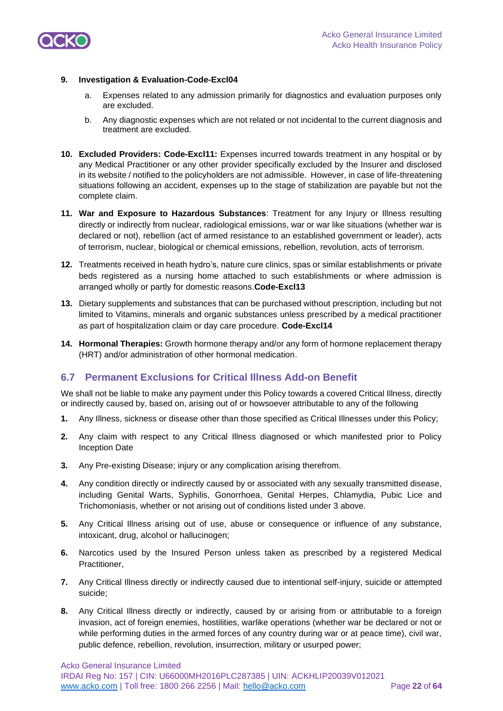

#### **9. Investigation & Evaluation-Code-Excl04**

- a. Expenses related to any admission primarily for diagnostics and evaluation purposes only are excluded.
- b. Any diagnostic expenses which are not related or not incidental to the current diagnosis and treatment are excluded.
- **10. Excluded Providers: Code-Excl11:** Expenses incurred towards treatment in any hospital or by any Medical Practitioner or any other provider specifically excluded by the Insurer and disclosed in its website / notified to the policyholders are not admissible. However, in case of life-threatening situations following an accident, expenses up to the stage of stabilization are payable but not the complete claim.
- **11. War and Exposure to Hazardous Substances**: Treatment for any Injury or Illness resulting directly or indirectly from nuclear, radiological emissions, war or war like situations (whether war is declared or not), rebellion (act of armed resistance to an established government or leader), acts of terrorism, nuclear, biological or chemical emissions, rebellion, revolution, acts of terrorism.
- **12.** Treatments received in heath hydro's, nature cure clinics, spas or similar establishments or private beds registered as a nursing home attached to such establishments or where admission is arranged wholly or partly for domestic reasons.**Code-Excl13**
- **13.** Dietary supplements and substances that can be purchased without prescription, including but not limited to Vitamins, minerals and organic substances unless prescribed by a medical practitioner as part of hospitalization claim or day care procedure. **Code-Excl14**
- **14. Hormonal Therapies:** Growth hormone therapy and/or any form of hormone replacement therapy (HRT) and/or administration of other hormonal medication.

## **6.7 Permanent Exclusions for Critical Illness Add-on Benefit**

We shall not be liable to make any payment under this Policy towards a covered Critical Illness, directly or indirectly caused by, based on, arising out of or howsoever attributable to any of the following

- **1.** Any Illness, sickness or disease other than those specified as Critical Illnesses under this Policy;
- **2.** Any claim with respect to any Critical Illness diagnosed or which manifested prior to Policy Inception Date
- **3.** Any Pre-existing Disease; injury or any complication arising therefrom.
- **4.** Any condition directly or indirectly caused by or associated with any sexually transmitted disease, including Genital Warts, Syphilis, Gonorrhoea, Genital Herpes, Chlamydia, Pubic Lice and Trichomoniasis, whether or not arising out of conditions listed under 3 above.
- **5.** Any Critical Illness arising out of use, abuse or consequence or influence of any substance, intoxicant, drug, alcohol or hallucinogen;
- **6.** Narcotics used by the Insured Person unless taken as prescribed by a registered Medical Practitioner,
- **7.** Any Critical Illness directly or indirectly caused due to intentional self-injury, suicide or attempted suicide;
- **8.** Any Critical Illness directly or indirectly, caused by or arising from or attributable to a foreign invasion, act of foreign enemies, hostilities, warlike operations (whether war be declared or not or while performing duties in the armed forces of any country during war or at peace time), civil war, public defence, rebellion, revolution, insurrection, military or usurped power;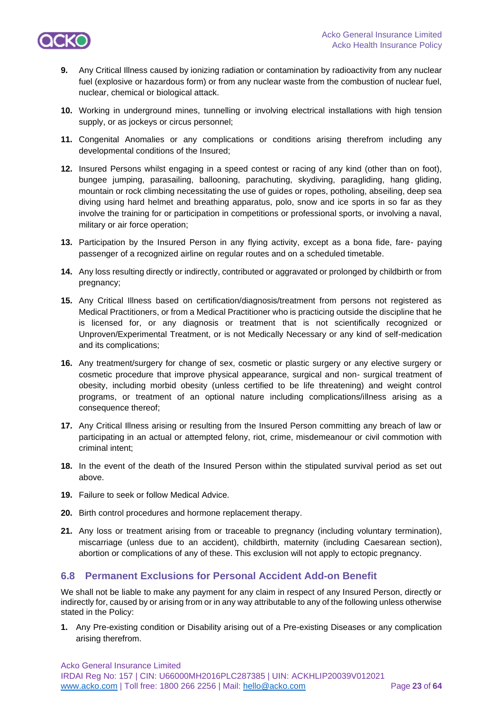

- **9.** Any Critical Illness caused by ionizing radiation or contamination by radioactivity from any nuclear fuel (explosive or hazardous form) or from any nuclear waste from the combustion of nuclear fuel, nuclear, chemical or biological attack.
- **10.** Working in underground mines, tunnelling or involving electrical installations with high tension supply, or as jockeys or circus personnel;
- **11.** Congenital Anomalies or any complications or conditions arising therefrom including any developmental conditions of the Insured;
- **12.** Insured Persons whilst engaging in a speed contest or racing of any kind (other than on foot), bungee jumping, parasailing, ballooning, parachuting, skydiving, paragliding, hang gliding, mountain or rock climbing necessitating the use of guides or ropes, potholing, abseiling, deep sea diving using hard helmet and breathing apparatus, polo, snow and ice sports in so far as they involve the training for or participation in competitions or professional sports, or involving a naval, military or air force operation;
- **13.** Participation by the Insured Person in any flying activity, except as a bona fide, fare- paying passenger of a recognized airline on regular routes and on a scheduled timetable.
- **14.** Any loss resulting directly or indirectly, contributed or aggravated or prolonged by childbirth or from pregnancy;
- **15.** Any Critical Illness based on certification/diagnosis/treatment from persons not registered as Medical Practitioners, or from a Medical Practitioner who is practicing outside the discipline that he is licensed for, or any diagnosis or treatment that is not scientifically recognized or Unproven/Experimental Treatment, or is not Medically Necessary or any kind of self-medication and its complications;
- **16.** Any treatment/surgery for change of sex, cosmetic or plastic surgery or any elective surgery or cosmetic procedure that improve physical appearance, surgical and non- surgical treatment of obesity, including morbid obesity (unless certified to be life threatening) and weight control programs, or treatment of an optional nature including complications/illness arising as a consequence thereof;
- **17.** Any Critical Illness arising or resulting from the Insured Person committing any breach of law or participating in an actual or attempted felony, riot, crime, misdemeanour or civil commotion with criminal intent;
- **18.** In the event of the death of the Insured Person within the stipulated survival period as set out above.
- **19.** Failure to seek or follow Medical Advice.
- **20.** Birth control procedures and hormone replacement therapy.
- **21.** Any loss or treatment arising from or traceable to pregnancy (including voluntary termination), miscarriage (unless due to an accident), childbirth, maternity (including Caesarean section), abortion or complications of any of these. This exclusion will not apply to ectopic pregnancy.

## **6.8 Permanent Exclusions for Personal Accident Add-on Benefit**

We shall not be liable to make any payment for any claim in respect of any Insured Person, directly or indirectly for, caused by or arising from or in any way attributable to any of the following unless otherwise stated in the Policy:

**1.** Any Pre-existing condition or Disability arising out of a Pre-existing Diseases or any complication arising therefrom.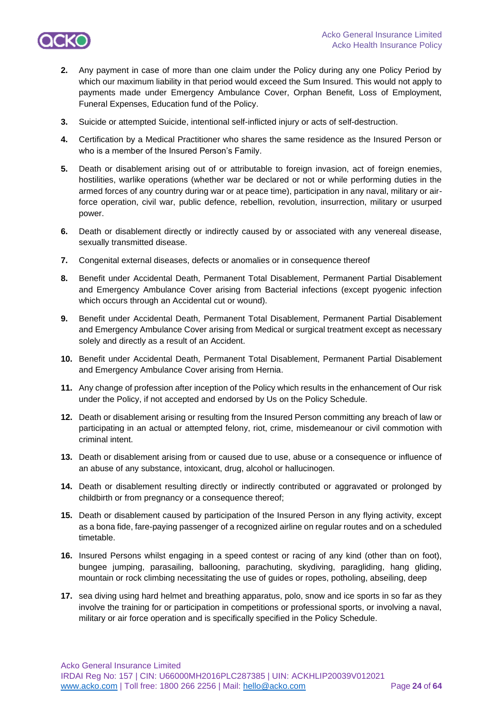

- **2.** Any payment in case of more than one claim under the Policy during any one Policy Period by which our maximum liability in that period would exceed the Sum Insured. This would not apply to payments made under Emergency Ambulance Cover, Orphan Benefit, Loss of Employment, Funeral Expenses, Education fund of the Policy.
- **3.** Suicide or attempted Suicide, intentional self-inflicted injury or acts of self-destruction.
- **4.** Certification by a Medical Practitioner who shares the same residence as the Insured Person or who is a member of the Insured Person's Family.
- **5.** Death or disablement arising out of or attributable to foreign invasion, act of foreign enemies, hostilities, warlike operations (whether war be declared or not or while performing duties in the armed forces of any country during war or at peace time), participation in any naval, military or airforce operation, civil war, public defence, rebellion, revolution, insurrection, military or usurped power.
- **6.** Death or disablement directly or indirectly caused by or associated with any venereal disease, sexually transmitted disease.
- **7.** Congenital external diseases, defects or anomalies or in consequence thereof
- **8.** Benefit under Accidental Death, Permanent Total Disablement, Permanent Partial Disablement and Emergency Ambulance Cover arising from Bacterial infections (except pyogenic infection which occurs through an Accidental cut or wound).
- **9.** Benefit under Accidental Death, Permanent Total Disablement, Permanent Partial Disablement and Emergency Ambulance Cover arising from Medical or surgical treatment except as necessary solely and directly as a result of an Accident.
- **10.** Benefit under Accidental Death, Permanent Total Disablement, Permanent Partial Disablement and Emergency Ambulance Cover arising from Hernia.
- **11.** Any change of profession after inception of the Policy which results in the enhancement of Our risk under the Policy, if not accepted and endorsed by Us on the Policy Schedule.
- **12.** Death or disablement arising or resulting from the Insured Person committing any breach of law or participating in an actual or attempted felony, riot, crime, misdemeanour or civil commotion with criminal intent.
- **13.** Death or disablement arising from or caused due to use, abuse or a consequence or influence of an abuse of any substance, intoxicant, drug, alcohol or hallucinogen.
- **14.** Death or disablement resulting directly or indirectly contributed or aggravated or prolonged by childbirth or from pregnancy or a consequence thereof;
- **15.** Death or disablement caused by participation of the Insured Person in any flying activity, except as a bona fide, fare-paying passenger of a recognized airline on regular routes and on a scheduled timetable.
- **16.** Insured Persons whilst engaging in a speed contest or racing of any kind (other than on foot), bungee jumping, parasailing, ballooning, parachuting, skydiving, paragliding, hang gliding, mountain or rock climbing necessitating the use of guides or ropes, potholing, abseiling, deep
- **17.** sea diving using hard helmet and breathing apparatus, polo, snow and ice sports in so far as they involve the training for or participation in competitions or professional sports, or involving a naval, military or air force operation and is specifically specified in the Policy Schedule.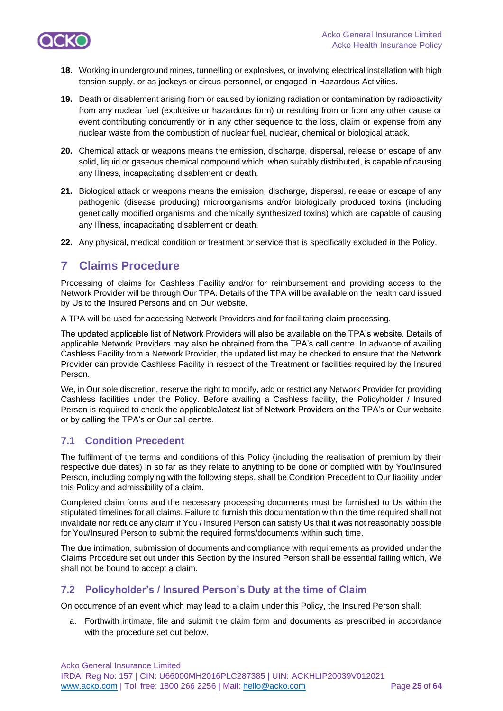

- **18.** Working in underground mines, tunnelling or explosives, or involving electrical installation with high tension supply, or as jockeys or circus personnel, or engaged in Hazardous Activities.
- **19.** Death or disablement arising from or caused by ionizing radiation or contamination by radioactivity from any nuclear fuel (explosive or hazardous form) or resulting from or from any other cause or event contributing concurrently or in any other sequence to the loss, claim or expense from any nuclear waste from the combustion of nuclear fuel, nuclear, chemical or biological attack.
- **20.** Chemical attack or weapons means the emission, discharge, dispersal, release or escape of any solid, liquid or gaseous chemical compound which, when suitably distributed, is capable of causing any Illness, incapacitating disablement or death.
- **21.** Biological attack or weapons means the emission, discharge, dispersal, release or escape of any pathogenic (disease producing) microorganisms and/or biologically produced toxins (including genetically modified organisms and chemically synthesized toxins) which are capable of causing any Illness, incapacitating disablement or death.
- **22.** Any physical, medical condition or treatment or service that is specifically excluded in the Policy.

## **7 Claims Procedure**

Processing of claims for Cashless Facility and/or for reimbursement and providing access to the Network Provider will be through Our TPA. Details of the TPA will be available on the health card issued by Us to the Insured Persons and on Our website.

A TPA will be used for accessing Network Providers and for facilitating claim processing.

The updated applicable list of Network Providers will also be available on the TPA's website. Details of applicable Network Providers may also be obtained from the TPA's call centre. In advance of availing Cashless Facility from a Network Provider, the updated list may be checked to ensure that the Network Provider can provide Cashless Facility in respect of the Treatment or facilities required by the Insured Person.

We, in Our sole discretion, reserve the right to modify, add or restrict any Network Provider for providing Cashless facilities under the Policy. Before availing a Cashless facility, the Policyholder / Insured Person is required to check the applicable/latest list of Network Providers on the TPA's or Our website or by calling the TPA's or Our call centre.

## **7.1 Condition Precedent**

The fulfilment of the terms and conditions of this Policy (including the realisation of premium by their respective due dates) in so far as they relate to anything to be done or complied with by You/Insured Person, including complying with the following steps, shall be Condition Precedent to Our liability under this Policy and admissibility of a claim.

Completed claim forms and the necessary processing documents must be furnished to Us within the stipulated timelines for all claims. Failure to furnish this documentation within the time required shall not invalidate nor reduce any claim if You / Insured Person can satisfy Us that it was not reasonably possible for You/Insured Person to submit the required forms/documents within such time.

The due intimation, submission of documents and compliance with requirements as provided under the Claims Procedure set out under this Section by the Insured Person shall be essential failing which, We shall not be bound to accept a claim.

## **7.2 Policyholder's / Insured Person's Duty at the time of Claim**

On occurrence of an event which may lead to a claim under this Policy, the Insured Person shall:

a. Forthwith intimate, file and submit the claim form and documents as prescribed in accordance with the procedure set out below.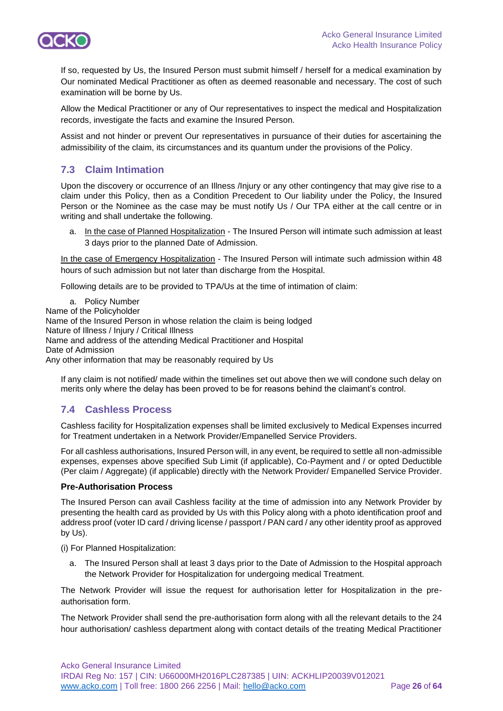

If so, requested by Us, the Insured Person must submit himself / herself for a medical examination by Our nominated Medical Practitioner as often as deemed reasonable and necessary. The cost of such examination will be borne by Us.

Allow the Medical Practitioner or any of Our representatives to inspect the medical and Hospitalization records, investigate the facts and examine the Insured Person.

Assist and not hinder or prevent Our representatives in pursuance of their duties for ascertaining the admissibility of the claim, its circumstances and its quantum under the provisions of the Policy.

## **7.3 Claim Intimation**

Upon the discovery or occurrence of an Illness /Injury or any other contingency that may give rise to a claim under this Policy, then as a Condition Precedent to Our liability under the Policy, the Insured Person or the Nominee as the case may be must notify Us / Our TPA either at the call centre or in writing and shall undertake the following.

a. In the case of Planned Hospitalization - The Insured Person will intimate such admission at least 3 days prior to the planned Date of Admission.

In the case of Emergency Hospitalization - The Insured Person will intimate such admission within 48 hours of such admission but not later than discharge from the Hospital.

Following details are to be provided to TPA/Us at the time of intimation of claim:

a. Policy Number Name of the Policyholder Name of the Insured Person in whose relation the claim is being lodged Nature of Illness / Injury / Critical Illness Name and address of the attending Medical Practitioner and Hospital Date of Admission Any other information that may be reasonably required by Us

If any claim is not notified/ made within the timelines set out above then we will condone such delay on merits only where the delay has been proved to be for reasons behind the claimant's control.

## **7.4 Cashless Process**

Cashless facility for Hospitalization expenses shall be limited exclusively to Medical Expenses incurred for Treatment undertaken in a Network Provider/Empanelled Service Providers.

For all cashless authorisations, Insured Person will, in any event, be required to settle all non-admissible expenses, expenses above specified Sub Limit (if applicable), Co-Payment and / or opted Deductible (Per claim / Aggregate) (if applicable) directly with the Network Provider/ Empanelled Service Provider.

## **Pre-Authorisation Process**

The Insured Person can avail Cashless facility at the time of admission into any Network Provider by presenting the health card as provided by Us with this Policy along with a photo identification proof and address proof (voter ID card / driving license / passport / PAN card / any other identity proof as approved by Us).

(i) For Planned Hospitalization:

a. The Insured Person shall at least 3 days prior to the Date of Admission to the Hospital approach the Network Provider for Hospitalization for undergoing medical Treatment.

The Network Provider will issue the request for authorisation letter for Hospitalization in the preauthorisation form.

The Network Provider shall send the pre-authorisation form along with all the relevant details to the 24 hour authorisation/ cashless department along with contact details of the treating Medical Practitioner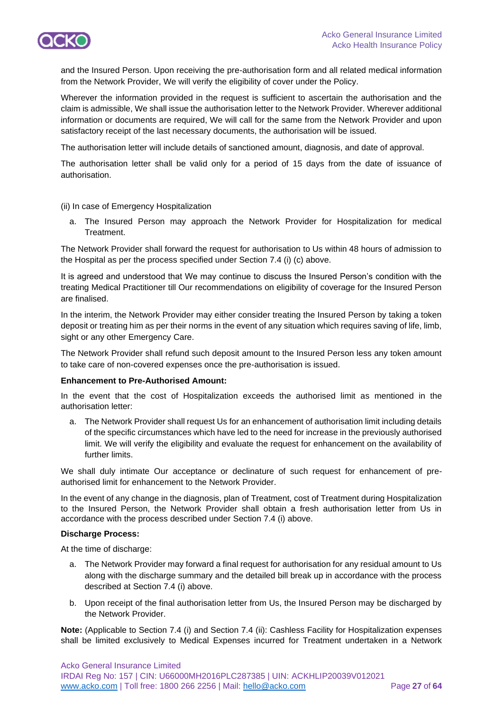

and the Insured Person. Upon receiving the pre-authorisation form and all related medical information from the Network Provider, We will verify the eligibility of cover under the Policy.

Wherever the information provided in the request is sufficient to ascertain the authorisation and the claim is admissible, We shall issue the authorisation letter to the Network Provider. Wherever additional information or documents are required, We will call for the same from the Network Provider and upon satisfactory receipt of the last necessary documents, the authorisation will be issued.

The authorisation letter will include details of sanctioned amount, diagnosis, and date of approval.

The authorisation letter shall be valid only for a period of 15 days from the date of issuance of authorisation.

(ii) In case of Emergency Hospitalization

a. The Insured Person may approach the Network Provider for Hospitalization for medical Treatment.

The Network Provider shall forward the request for authorisation to Us within 48 hours of admission to the Hospital as per the process specified under Section 7.4 (i) (c) above.

It is agreed and understood that We may continue to discuss the Insured Person's condition with the treating Medical Practitioner till Our recommendations on eligibility of coverage for the Insured Person are finalised.

In the interim, the Network Provider may either consider treating the Insured Person by taking a token deposit or treating him as per their norms in the event of any situation which requires saving of life, limb, sight or any other Emergency Care.

The Network Provider shall refund such deposit amount to the Insured Person less any token amount to take care of non-covered expenses once the pre-authorisation is issued.

### **Enhancement to Pre-Authorised Amount:**

In the event that the cost of Hospitalization exceeds the authorised limit as mentioned in the authorisation letter:

a. The Network Provider shall request Us for an enhancement of authorisation limit including details of the specific circumstances which have led to the need for increase in the previously authorised limit. We will verify the eligibility and evaluate the request for enhancement on the availability of further limits.

We shall duly intimate Our acceptance or declinature of such request for enhancement of preauthorised limit for enhancement to the Network Provider.

In the event of any change in the diagnosis, plan of Treatment, cost of Treatment during Hospitalization to the Insured Person, the Network Provider shall obtain a fresh authorisation letter from Us in accordance with the process described under Section 7.4 (i) above.

#### **Discharge Process:**

At the time of discharge:

- a. The Network Provider may forward a final request for authorisation for any residual amount to Us along with the discharge summary and the detailed bill break up in accordance with the process described at Section 7.4 (i) above.
- b. Upon receipt of the final authorisation letter from Us, the Insured Person may be discharged by the Network Provider.

**Note:** (Applicable to Section 7.4 (i) and Section 7.4 (ii): Cashless Facility for Hospitalization expenses shall be limited exclusively to Medical Expenses incurred for Treatment undertaken in a Network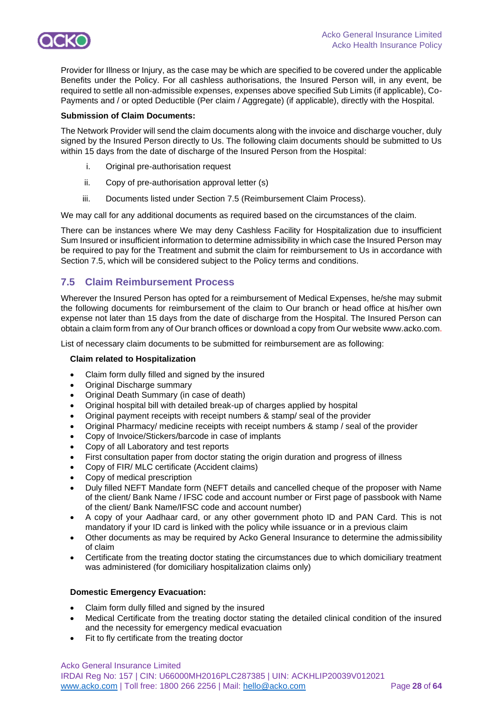

Provider for Illness or Injury, as the case may be which are specified to be covered under the applicable Benefits under the Policy. For all cashless authorisations, the Insured Person will, in any event, be required to settle all non-admissible expenses, expenses above specified Sub Limits (if applicable), Co-Payments and / or opted Deductible (Per claim / Aggregate) (if applicable), directly with the Hospital.

#### **Submission of Claim Documents:**

The Network Provider will send the claim documents along with the invoice and discharge voucher, duly signed by the Insured Person directly to Us. The following claim documents should be submitted to Us within 15 days from the date of discharge of the Insured Person from the Hospital:

- i. Original pre-authorisation request
- ii. Copy of pre-authorisation approval letter (s)
- iii. Documents listed under Section 7.5 (Reimbursement Claim Process).

We may call for any additional documents as required based on the circumstances of the claim.

There can be instances where We may deny Cashless Facility for Hospitalization due to insufficient Sum Insured or insufficient information to determine admissibility in which case the Insured Person may be required to pay for the Treatment and submit the claim for reimbursement to Us in accordance with Section 7.5, which will be considered subject to the Policy terms and conditions.

## **7.5 Claim Reimbursement Process**

Wherever the Insured Person has opted for a reimbursement of Medical Expenses, he/she may submit the following documents for reimbursement of the claim to Our branch or head office at his/her own expense not later than 15 days from the date of discharge from the Hospital. The Insured Person can obtain a claim form from any of Our branch offices or download a copy from Our website www.acko.com.

List of necessary claim documents to be submitted for reimbursement are as following:

#### **Claim related to Hospitalization**

- Claim form dully filled and signed by the insured
- Original Discharge summary
- Original Death Summary (in case of death)
- Original hospital bill with detailed break-up of charges applied by hospital
- Original payment receipts with receipt numbers & stamp/ seal of the provider
- Original Pharmacy/ medicine receipts with receipt numbers & stamp / seal of the provider
- Copy of Invoice/Stickers/barcode in case of implants
- Copy of all Laboratory and test reports
- First consultation paper from doctor stating the origin duration and progress of illness
- Copy of FIR/ MLC certificate (Accident claims)
- Copy of medical prescription
- Duly filled NEFT Mandate form (NEFT details and cancelled cheque of the proposer with Name of the client/ Bank Name / IFSC code and account number or First page of passbook with Name of the client/ Bank Name/IFSC code and account number)
- A copy of your Aadhaar card, or any other government photo ID and PAN Card. This is not mandatory if your ID card is linked with the policy while issuance or in a previous claim
- Other documents as may be required by Acko General Insurance to determine the admissibility of claim
- Certificate from the treating doctor stating the circumstances due to which domiciliary treatment was administered (for domiciliary hospitalization claims only)

#### **Domestic Emergency Evacuation:**

- Claim form dully filled and signed by the insured
- Medical Certificate from the treating doctor stating the detailed clinical condition of the insured and the necessity for emergency medical evacuation
- Fit to fly certificate from the treating doctor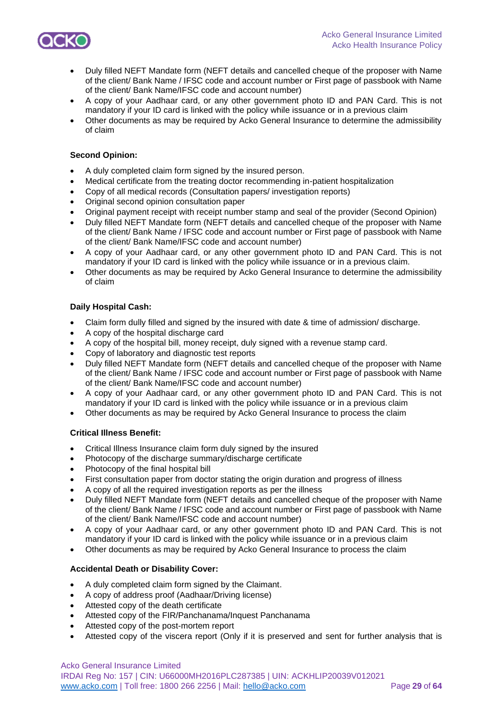

- Duly filled NEFT Mandate form (NEFT details and cancelled cheque of the proposer with Name of the client/ Bank Name / IFSC code and account number or First page of passbook with Name of the client/ Bank Name/IFSC code and account number)
- A copy of your Aadhaar card, or any other government photo ID and PAN Card. This is not mandatory if your ID card is linked with the policy while issuance or in a previous claim
- Other documents as may be required by Acko General Insurance to determine the admissibility of claim

### **Second Opinion:**

- A duly completed claim form signed by the insured person.
- Medical certificate from the treating doctor recommending in-patient hospitalization
- Copy of all medical records (Consultation papers/ investigation reports)
- Original second opinion consultation paper
- Original payment receipt with receipt number stamp and seal of the provider (Second Opinion)
- Duly filled NEFT Mandate form (NEFT details and cancelled cheque of the proposer with Name of the client/ Bank Name / IFSC code and account number or First page of passbook with Name of the client/ Bank Name/IFSC code and account number)
- A copy of your Aadhaar card, or any other government photo ID and PAN Card. This is not mandatory if your ID card is linked with the policy while issuance or in a previous claim.
- Other documents as may be required by Acko General Insurance to determine the admissibility of claim

#### **Daily Hospital Cash:**

- Claim form dully filled and signed by the insured with date & time of admission/ discharge.
- A copy of the hospital discharge card
- A copy of the hospital bill, money receipt, duly signed with a revenue stamp card.
- Copy of laboratory and diagnostic test reports
- Duly filled NEFT Mandate form (NEFT details and cancelled cheque of the proposer with Name of the client/ Bank Name / IFSC code and account number or First page of passbook with Name of the client/ Bank Name/IFSC code and account number)
- A copy of your Aadhaar card, or any other government photo ID and PAN Card. This is not mandatory if your ID card is linked with the policy while issuance or in a previous claim
- Other documents as may be required by Acko General Insurance to process the claim

### **Critical Illness Benefit:**

- Critical Illness Insurance claim form duly signed by the insured
- Photocopy of the discharge summary/discharge certificate
- Photocopy of the final hospital bill
- First consultation paper from doctor stating the origin duration and progress of illness
- A copy of all the required investigation reports as per the illness
- Duly filled NEFT Mandate form (NEFT details and cancelled cheque of the proposer with Name of the client/ Bank Name / IFSC code and account number or First page of passbook with Name of the client/ Bank Name/IFSC code and account number)
- A copy of your Aadhaar card, or any other government photo ID and PAN Card. This is not mandatory if your ID card is linked with the policy while issuance or in a previous claim
- Other documents as may be required by Acko General Insurance to process the claim

### **Accidental Death or Disability Cover:**

- A duly completed claim form signed by the Claimant.
- A copy of address proof (Aadhaar/Driving license)
- Attested copy of the death certificate
- Attested copy of the FIR/Panchanama/Inquest Panchanama
- Attested copy of the post-mortem report
- Attested copy of the viscera report (Only if it is preserved and sent for further analysis that is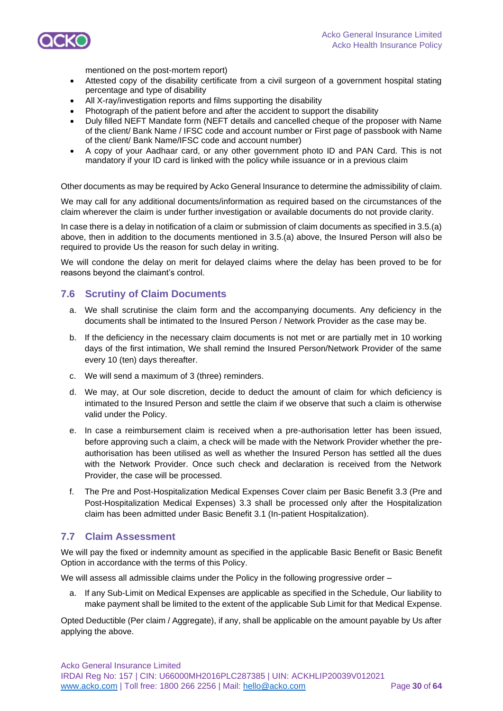

mentioned on the post-mortem report)

- Attested copy of the disability certificate from a civil surgeon of a government hospital stating percentage and type of disability
- All X-ray/investigation reports and films supporting the disability
- Photograph of the patient before and after the accident to support the disability
- Duly filled NEFT Mandate form (NEFT details and cancelled cheque of the proposer with Name of the client/ Bank Name / IFSC code and account number or First page of passbook with Name of the client/ Bank Name/IFSC code and account number)
- A copy of your Aadhaar card, or any other government photo ID and PAN Card. This is not mandatory if your ID card is linked with the policy while issuance or in a previous claim

Other documents as may be required by Acko General Insurance to determine the admissibility of claim.

We may call for any additional documents/information as required based on the circumstances of the claim wherever the claim is under further investigation or available documents do not provide clarity.

In case there is a delay in notification of a claim or submission of claim documents as specified in 3.5.(a) above, then in addition to the documents mentioned in 3.5.(a) above, the Insured Person will also be required to provide Us the reason for such delay in writing.

We will condone the delay on merit for delayed claims where the delay has been proved to be for reasons beyond the claimant's control.

### **7.6 Scrutiny of Claim Documents**

- a. We shall scrutinise the claim form and the accompanying documents. Any deficiency in the documents shall be intimated to the Insured Person / Network Provider as the case may be.
- b. If the deficiency in the necessary claim documents is not met or are partially met in 10 working days of the first intimation, We shall remind the Insured Person/Network Provider of the same every 10 (ten) days thereafter.
- c. We will send a maximum of 3 (three) reminders.
- d. We may, at Our sole discretion, decide to deduct the amount of claim for which deficiency is intimated to the Insured Person and settle the claim if we observe that such a claim is otherwise valid under the Policy.
- e. In case a reimbursement claim is received when a pre-authorisation letter has been issued, before approving such a claim, a check will be made with the Network Provider whether the preauthorisation has been utilised as well as whether the Insured Person has settled all the dues with the Network Provider. Once such check and declaration is received from the Network Provider, the case will be processed.
- f. The Pre and Post-Hospitalization Medical Expenses Cover claim per Basic Benefit 3.3 (Pre and Post-Hospitalization Medical Expenses) 3.3 shall be processed only after the Hospitalization claim has been admitted under Basic Benefit 3.1 (In-patient Hospitalization).

## **7.7 Claim Assessment**

We will pay the fixed or indemnity amount as specified in the applicable Basic Benefit or Basic Benefit Option in accordance with the terms of this Policy.

We will assess all admissible claims under the Policy in the following progressive order –

a. If any Sub-Limit on Medical Expenses are applicable as specified in the Schedule, Our liability to make payment shall be limited to the extent of the applicable Sub Limit for that Medical Expense.

Opted Deductible (Per claim / Aggregate), if any, shall be applicable on the amount payable by Us after applying the above.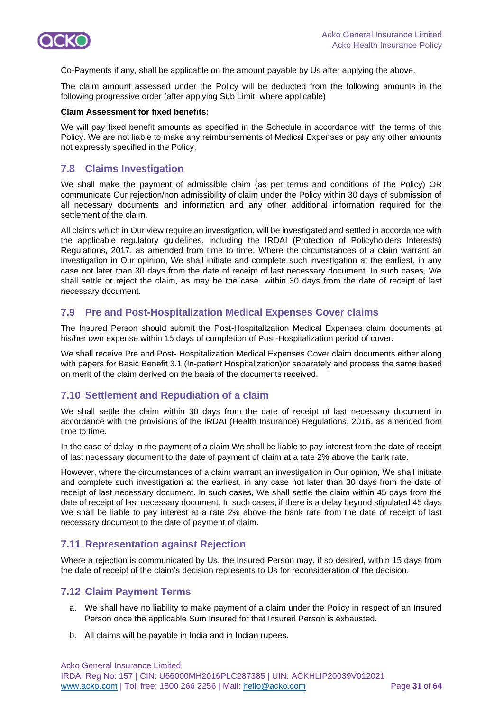

Co-Payments if any, shall be applicable on the amount payable by Us after applying the above.

The claim amount assessed under the Policy will be deducted from the following amounts in the following progressive order (after applying Sub Limit, where applicable)

#### **Claim Assessment for fixed benefits:**

We will pay fixed benefit amounts as specified in the Schedule in accordance with the terms of this Policy. We are not liable to make any reimbursements of Medical Expenses or pay any other amounts not expressly specified in the Policy.

## **7.8 Claims Investigation**

We shall make the payment of admissible claim (as per terms and conditions of the Policy) OR communicate Our rejection/non admissibility of claim under the Policy within 30 days of submission of all necessary documents and information and any other additional information required for the settlement of the claim.

All claims which in Our view require an investigation, will be investigated and settled in accordance with the applicable regulatory guidelines, including the IRDAI (Protection of Policyholders Interests) Regulations, 2017, as amended from time to time. Where the circumstances of a claim warrant an investigation in Our opinion, We shall initiate and complete such investigation at the earliest, in any case not later than 30 days from the date of receipt of last necessary document. In such cases, We shall settle or reject the claim, as may be the case, within 30 days from the date of receipt of last necessary document.

### **7.9 Pre and Post-Hospitalization Medical Expenses Cover claims**

The Insured Person should submit the Post-Hospitalization Medical Expenses claim documents at his/her own expense within 15 days of completion of Post-Hospitalization period of cover.

We shall receive Pre and Post- Hospitalization Medical Expenses Cover claim documents either along with papers for Basic Benefit 3.1 (In-patient Hospitalization)or separately and process the same based on merit of the claim derived on the basis of the documents received.

## **7.10 Settlement and Repudiation of a claim**

We shall settle the claim within 30 days from the date of receipt of last necessary document in accordance with the provisions of the IRDAI (Health Insurance) Regulations, 2016, as amended from time to time.

In the case of delay in the payment of a claim We shall be liable to pay interest from the date of receipt of last necessary document to the date of payment of claim at a rate 2% above the bank rate.

However, where the circumstances of a claim warrant an investigation in Our opinion, We shall initiate and complete such investigation at the earliest, in any case not later than 30 days from the date of receipt of last necessary document. In such cases, We shall settle the claim within 45 days from the date of receipt of last necessary document. In such cases, if there is a delay beyond stipulated 45 days We shall be liable to pay interest at a rate 2% above the bank rate from the date of receipt of last necessary document to the date of payment of claim.

## **7.11 Representation against Rejection**

Where a rejection is communicated by Us, the Insured Person may, if so desired, within 15 days from the date of receipt of the claim's decision represents to Us for reconsideration of the decision.

### **7.12 Claim Payment Terms**

- a. We shall have no liability to make payment of a claim under the Policy in respect of an Insured Person once the applicable Sum Insured for that Insured Person is exhausted.
- b. All claims will be payable in India and in Indian rupees.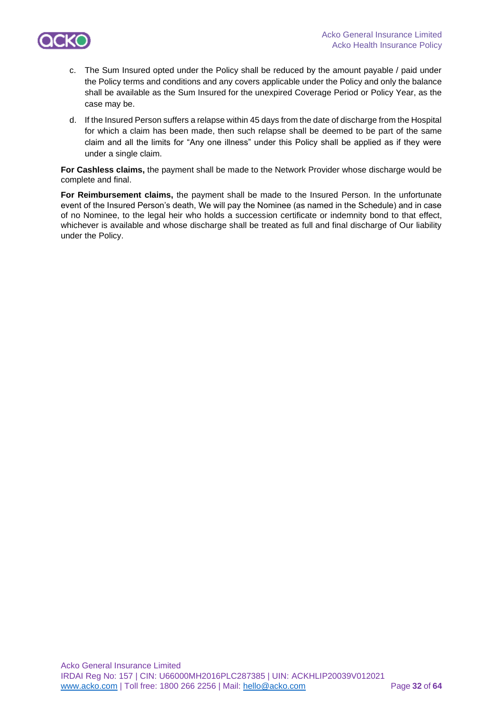

- c. The Sum Insured opted under the Policy shall be reduced by the amount payable / paid under the Policy terms and conditions and any covers applicable under the Policy and only the balance shall be available as the Sum Insured for the unexpired Coverage Period or Policy Year, as the case may be.
- d. If the Insured Person suffers a relapse within 45 days from the date of discharge from the Hospital for which a claim has been made, then such relapse shall be deemed to be part of the same claim and all the limits for "Any one illness" under this Policy shall be applied as if they were under a single claim.

**For Cashless claims,** the payment shall be made to the Network Provider whose discharge would be complete and final.

**For Reimbursement claims,** the payment shall be made to the Insured Person. In the unfortunate event of the Insured Person's death, We will pay the Nominee (as named in the Schedule) and in case of no Nominee, to the legal heir who holds a succession certificate or indemnity bond to that effect, whichever is available and whose discharge shall be treated as full and final discharge of Our liability under the Policy.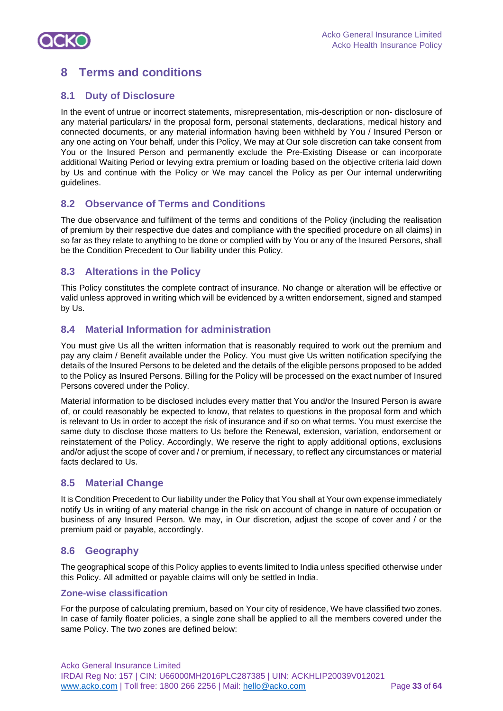

## **8 Terms and conditions**

## **8.1 Duty of Disclosure**

In the event of untrue or incorrect statements, misrepresentation, mis-description or non- disclosure of any material particulars/ in the proposal form, personal statements, declarations, medical history and connected documents, or any material information having been withheld by You / Insured Person or any one acting on Your behalf, under this Policy, We may at Our sole discretion can take consent from You or the Insured Person and permanently exclude the Pre-Existing Disease or can incorporate additional Waiting Period or levying extra premium or loading based on the objective criteria laid down by Us and continue with the Policy or We may cancel the Policy as per Our internal underwriting guidelines.

## **8.2 Observance of Terms and Conditions**

The due observance and fulfilment of the terms and conditions of the Policy (including the realisation of premium by their respective due dates and compliance with the specified procedure on all claims) in so far as they relate to anything to be done or complied with by You or any of the Insured Persons, shall be the Condition Precedent to Our liability under this Policy.

## **8.3 Alterations in the Policy**

This Policy constitutes the complete contract of insurance. No change or alteration will be effective or valid unless approved in writing which will be evidenced by a written endorsement, signed and stamped by Us.

## **8.4 Material Information for administration**

You must give Us all the written information that is reasonably required to work out the premium and pay any claim / Benefit available under the Policy. You must give Us written notification specifying the details of the Insured Persons to be deleted and the details of the eligible persons proposed to be added to the Policy as Insured Persons. Billing for the Policy will be processed on the exact number of Insured Persons covered under the Policy.

Material information to be disclosed includes every matter that You and/or the Insured Person is aware of, or could reasonably be expected to know, that relates to questions in the proposal form and which is relevant to Us in order to accept the risk of insurance and if so on what terms. You must exercise the same duty to disclose those matters to Us before the Renewal, extension, variation, endorsement or reinstatement of the Policy. Accordingly, We reserve the right to apply additional options, exclusions and/or adjust the scope of cover and / or premium, if necessary, to reflect any circumstances or material facts declared to Us.

## **8.5 Material Change**

It is Condition Precedent to Our liability under the Policy that You shall at Your own expense immediately notify Us in writing of any material change in the risk on account of change in nature of occupation or business of any Insured Person. We may, in Our discretion, adjust the scope of cover and / or the premium paid or payable, accordingly.

## **8.6 Geography**

The geographical scope of this Policy applies to events limited to India unless specified otherwise under this Policy. All admitted or payable claims will only be settled in India.

### **Zone-wise classification**

For the purpose of calculating premium, based on Your city of residence, We have classified two zones. In case of family floater policies, a single zone shall be applied to all the members covered under the same Policy. The two zones are defined below: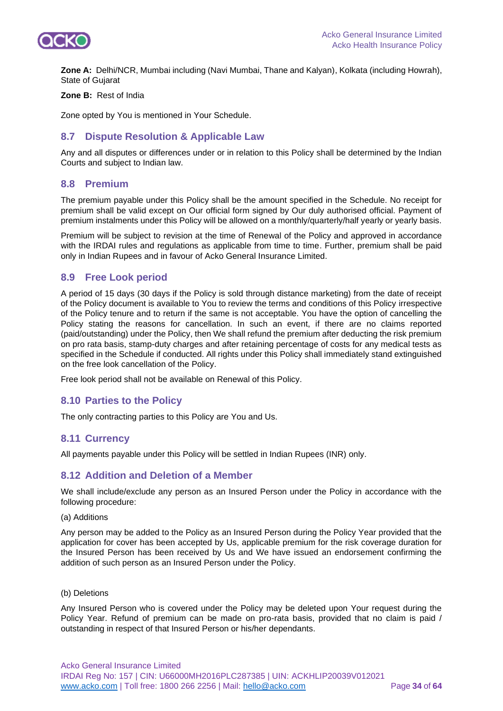

**Zone A:** Delhi/NCR, Mumbai including (Navi Mumbai, Thane and Kalyan), Kolkata (including Howrah), State of Gujarat

#### **Zone B:** Rest of India

Zone opted by You is mentioned in Your Schedule.

## **8.7 Dispute Resolution & Applicable Law**

Any and all disputes or differences under or in relation to this Policy shall be determined by the Indian Courts and subject to Indian law.

#### **8.8 Premium**

The premium payable under this Policy shall be the amount specified in the Schedule. No receipt for premium shall be valid except on Our official form signed by Our duly authorised official. Payment of premium instalments under this Policy will be allowed on a monthly/quarterly/half yearly or yearly basis.

Premium will be subject to revision at the time of Renewal of the Policy and approved in accordance with the IRDAI rules and regulations as applicable from time to time. Further, premium shall be paid only in Indian Rupees and in favour of Acko General Insurance Limited.

### **8.9 Free Look period**

A period of 15 days (30 days if the Policy is sold through distance marketing) from the date of receipt of the Policy document is available to You to review the terms and conditions of this Policy irrespective of the Policy tenure and to return if the same is not acceptable. You have the option of cancelling the Policy stating the reasons for cancellation. In such an event, if there are no claims reported (paid/outstanding) under the Policy, then We shall refund the premium after deducting the risk premium on pro rata basis, stamp-duty charges and after retaining percentage of costs for any medical tests as specified in the Schedule if conducted. All rights under this Policy shall immediately stand extinguished on the free look cancellation of the Policy.

Free look period shall not be available on Renewal of this Policy.

### **8.10 Parties to the Policy**

The only contracting parties to this Policy are You and Us.

### **8.11 Currency**

All payments payable under this Policy will be settled in Indian Rupees (INR) only.

## **8.12 Addition and Deletion of a Member**

We shall include/exclude any person as an Insured Person under the Policy in accordance with the following procedure:

(a) Additions

Any person may be added to the Policy as an Insured Person during the Policy Year provided that the application for cover has been accepted by Us, applicable premium for the risk coverage duration for the Insured Person has been received by Us and We have issued an endorsement confirming the addition of such person as an Insured Person under the Policy.

#### (b) Deletions

Any Insured Person who is covered under the Policy may be deleted upon Your request during the Policy Year. Refund of premium can be made on pro-rata basis, provided that no claim is paid / outstanding in respect of that Insured Person or his/her dependants.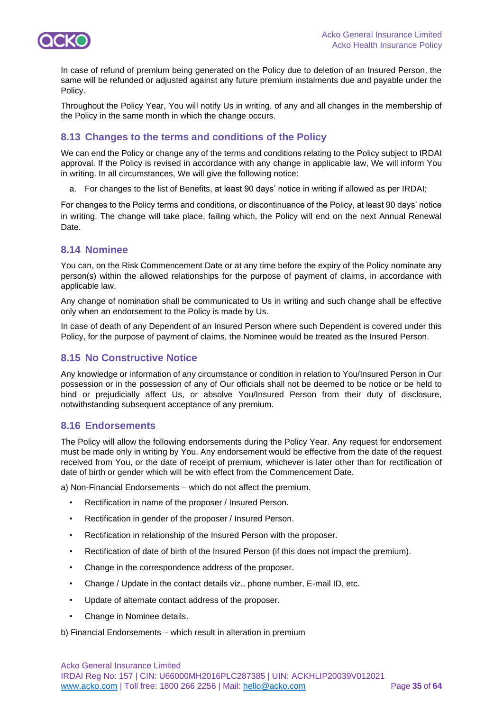

In case of refund of premium being generated on the Policy due to deletion of an Insured Person, the same will be refunded or adjusted against any future premium instalments due and payable under the Policy.

Throughout the Policy Year, You will notify Us in writing, of any and all changes in the membership of the Policy in the same month in which the change occurs.

## **8.13 Changes to the terms and conditions of the Policy**

We can end the Policy or change any of the terms and conditions relating to the Policy subject to IRDAI approval. If the Policy is revised in accordance with any change in applicable law, We will inform You in writing. In all circumstances, We will give the following notice:

a. For changes to the list of Benefits, at least 90 days' notice in writing if allowed as per IRDAI;

For changes to the Policy terms and conditions, or discontinuance of the Policy, at least 90 days' notice in writing. The change will take place, failing which, the Policy will end on the next Annual Renewal Date.

## **8.14 Nominee**

You can, on the Risk Commencement Date or at any time before the expiry of the Policy nominate any person(s) within the allowed relationships for the purpose of payment of claims, in accordance with applicable law.

Any change of nomination shall be communicated to Us in writing and such change shall be effective only when an endorsement to the Policy is made by Us.

In case of death of any Dependent of an Insured Person where such Dependent is covered under this Policy, for the purpose of payment of claims, the Nominee would be treated as the Insured Person.

## **8.15 No Constructive Notice**

Any knowledge or information of any circumstance or condition in relation to You/Insured Person in Our possession or in the possession of any of Our officials shall not be deemed to be notice or be held to bind or prejudicially affect Us, or absolve You/Insured Person from their duty of disclosure, notwithstanding subsequent acceptance of any premium.

## **8.16 Endorsements**

The Policy will allow the following endorsements during the Policy Year. Any request for endorsement must be made only in writing by You. Any endorsement would be effective from the date of the request received from You, or the date of receipt of premium, whichever is later other than for rectification of date of birth or gender which will be with effect from the Commencement Date.

a) Non-Financial Endorsements – which do not affect the premium.

- Rectification in name of the proposer / Insured Person.
- Rectification in gender of the proposer / Insured Person.
- Rectification in relationship of the Insured Person with the proposer.
- Rectification of date of birth of the Insured Person (if this does not impact the premium).
- Change in the correspondence address of the proposer.
- Change / Update in the contact details viz., phone number, E-mail ID, etc.
- Update of alternate contact address of the proposer.
- Change in Nominee details.

b) Financial Endorsements – which result in alteration in premium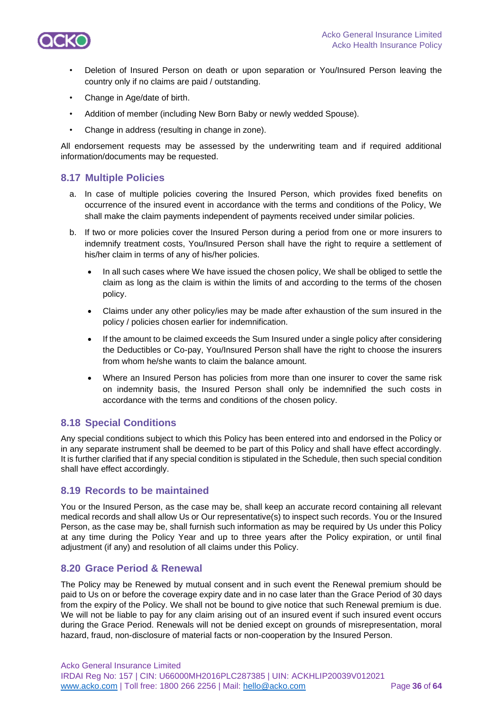

- Deletion of Insured Person on death or upon separation or You/Insured Person leaving the country only if no claims are paid / outstanding.
- Change in Age/date of birth.
- Addition of member (including New Born Baby or newly wedded Spouse).
- Change in address (resulting in change in zone).

All endorsement requests may be assessed by the underwriting team and if required additional information/documents may be requested.

## **8.17 Multiple Policies**

- a. In case of multiple policies covering the Insured Person, which provides fixed benefits on occurrence of the insured event in accordance with the terms and conditions of the Policy, We shall make the claim payments independent of payments received under similar policies.
- b. If two or more policies cover the Insured Person during a period from one or more insurers to indemnify treatment costs, You/Insured Person shall have the right to require a settlement of his/her claim in terms of any of his/her policies.
	- In all such cases where We have issued the chosen policy, We shall be obliged to settle the claim as long as the claim is within the limits of and according to the terms of the chosen policy.
	- Claims under any other policy/ies may be made after exhaustion of the sum insured in the policy / policies chosen earlier for indemnification.
	- If the amount to be claimed exceeds the Sum Insured under a single policy after considering the Deductibles or Co-pay, You/Insured Person shall have the right to choose the insurers from whom he/she wants to claim the balance amount.
	- Where an Insured Person has policies from more than one insurer to cover the same risk on indemnity basis, the Insured Person shall only be indemnified the such costs in accordance with the terms and conditions of the chosen policy.

## **8.18 Special Conditions**

Any special conditions subject to which this Policy has been entered into and endorsed in the Policy or in any separate instrument shall be deemed to be part of this Policy and shall have effect accordingly. It is further clarified that if any special condition is stipulated in the Schedule, then such special condition shall have effect accordingly.

## **8.19 Records to be maintained**

You or the Insured Person, as the case may be, shall keep an accurate record containing all relevant medical records and shall allow Us or Our representative(s) to inspect such records. You or the Insured Person, as the case may be, shall furnish such information as may be required by Us under this Policy at any time during the Policy Year and up to three years after the Policy expiration, or until final adjustment (if any) and resolution of all claims under this Policy.

## **8.20 Grace Period & Renewal**

The Policy may be Renewed by mutual consent and in such event the Renewal premium should be paid to Us on or before the coverage expiry date and in no case later than the Grace Period of 30 days from the expiry of the Policy. We shall not be bound to give notice that such Renewal premium is due. We will not be liable to pay for any claim arising out of an insured event if such insured event occurs during the Grace Period. Renewals will not be denied except on grounds of misrepresentation, moral hazard, fraud, non-disclosure of material facts or non-cooperation by the Insured Person.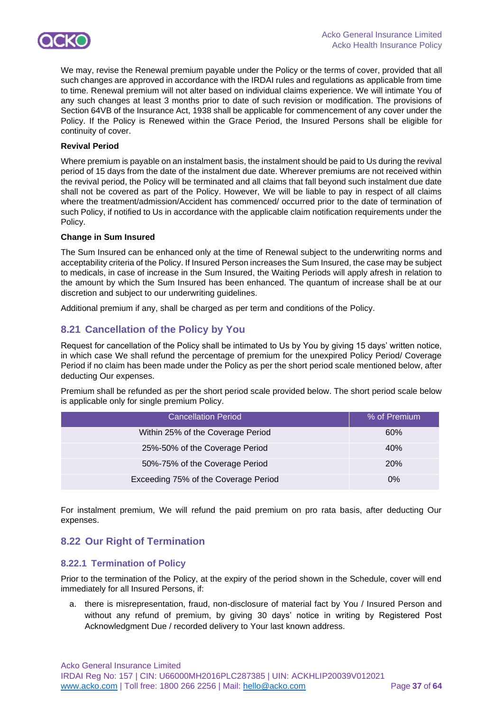

We may, revise the Renewal premium payable under the Policy or the terms of cover, provided that all such changes are approved in accordance with the IRDAI rules and regulations as applicable from time to time. Renewal premium will not alter based on individual claims experience. We will intimate You of any such changes at least 3 months prior to date of such revision or modification. The provisions of Section 64VB of the Insurance Act, 1938 shall be applicable for commencement of any cover under the Policy. If the Policy is Renewed within the Grace Period, the Insured Persons shall be eligible for continuity of cover.

#### **Revival Period**

Where premium is payable on an instalment basis, the instalment should be paid to Us during the revival period of 15 days from the date of the instalment due date. Wherever premiums are not received within the revival period, the Policy will be terminated and all claims that fall beyond such instalment due date shall not be covered as part of the Policy. However, We will be liable to pay in respect of all claims where the treatment/admission/Accident has commenced/ occurred prior to the date of termination of such Policy, if notified to Us in accordance with the applicable claim notification requirements under the Policy.

#### **Change in Sum Insured**

The Sum Insured can be enhanced only at the time of Renewal subject to the underwriting norms and acceptability criteria of the Policy. If Insured Person increases the Sum Insured, the case may be subject to medicals, in case of increase in the Sum Insured, the Waiting Periods will apply afresh in relation to the amount by which the Sum Insured has been enhanced. The quantum of increase shall be at our discretion and subject to our underwriting guidelines.

Additional premium if any, shall be charged as per term and conditions of the Policy.

## **8.21 Cancellation of the Policy by You**

Request for cancellation of the Policy shall be intimated to Us by You by giving 15 days' written notice, in which case We shall refund the percentage of premium for the unexpired Policy Period/ Coverage Period if no claim has been made under the Policy as per the short period scale mentioned below, after deducting Our expenses.

Premium shall be refunded as per the short period scale provided below. The short period scale below is applicable only for single premium Policy.

| <b>Cancellation Period</b>           | % of Premium |
|--------------------------------------|--------------|
| Within 25% of the Coverage Period    | 60%          |
| 25%-50% of the Coverage Period       | 40%          |
| 50%-75% of the Coverage Period       | <b>20%</b>   |
| Exceeding 75% of the Coverage Period | $0\%$        |

For instalment premium, We will refund the paid premium on pro rata basis, after deducting Our expenses.

## **8.22 Our Right of Termination**

## **8.22.1 Termination of Policy**

Prior to the termination of the Policy, at the expiry of the period shown in the Schedule, cover will end immediately for all Insured Persons, if:

a. there is misrepresentation, fraud, non-disclosure of material fact by You / Insured Person and without any refund of premium, by giving 30 days' notice in writing by Registered Post Acknowledgment Due / recorded delivery to Your last known address.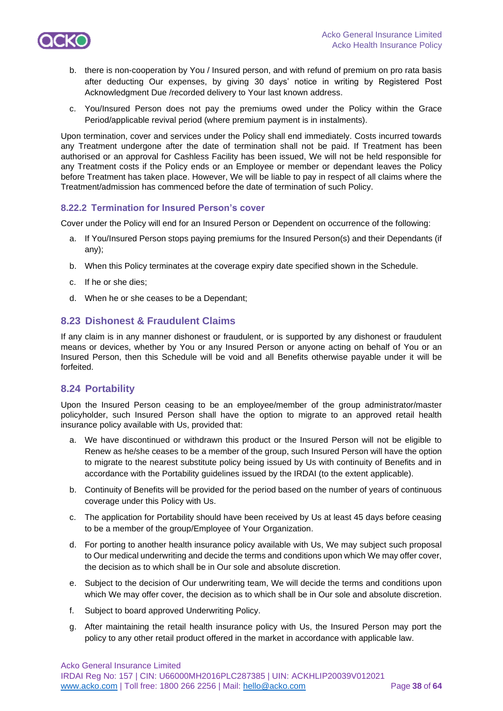

- b. there is non-cooperation by You / Insured person, and with refund of premium on pro rata basis after deducting Our expenses, by giving 30 days' notice in writing by Registered Post Acknowledgment Due /recorded delivery to Your last known address.
- c. You/Insured Person does not pay the premiums owed under the Policy within the Grace Period/applicable revival period (where premium payment is in instalments).

Upon termination, cover and services under the Policy shall end immediately. Costs incurred towards any Treatment undergone after the date of termination shall not be paid. If Treatment has been authorised or an approval for Cashless Facility has been issued, We will not be held responsible for any Treatment costs if the Policy ends or an Employee or member or dependant leaves the Policy before Treatment has taken place. However, We will be liable to pay in respect of all claims where the Treatment/admission has commenced before the date of termination of such Policy.

### **8.22.2 Termination for Insured Person's cover**

Cover under the Policy will end for an Insured Person or Dependent on occurrence of the following:

- a. If You/Insured Person stops paying premiums for the Insured Person(s) and their Dependants (if any);
- b. When this Policy terminates at the coverage expiry date specified shown in the Schedule.
- c. If he or she dies;
- d. When he or she ceases to be a Dependant;

## **8.23 Dishonest & Fraudulent Claims**

If any claim is in any manner dishonest or fraudulent, or is supported by any dishonest or fraudulent means or devices, whether by You or any Insured Person or anyone acting on behalf of You or an Insured Person, then this Schedule will be void and all Benefits otherwise payable under it will be forfeited.

## **8.24 Portability**

Upon the Insured Person ceasing to be an employee/member of the group administrator/master policyholder, such Insured Person shall have the option to migrate to an approved retail health insurance policy available with Us, provided that:

- a. We have discontinued or withdrawn this product or the Insured Person will not be eligible to Renew as he/she ceases to be a member of the group, such Insured Person will have the option to migrate to the nearest substitute policy being issued by Us with continuity of Benefits and in accordance with the Portability guidelines issued by the IRDAI (to the extent applicable).
- b. Continuity of Benefits will be provided for the period based on the number of years of continuous coverage under this Policy with Us.
- c. The application for Portability should have been received by Us at least 45 days before ceasing to be a member of the group/Employee of Your Organization.
- d. For porting to another health insurance policy available with Us, We may subject such proposal to Our medical underwriting and decide the terms and conditions upon which We may offer cover, the decision as to which shall be in Our sole and absolute discretion.
- e. Subject to the decision of Our underwriting team, We will decide the terms and conditions upon which We may offer cover, the decision as to which shall be in Our sole and absolute discretion.
- f. Subject to board approved Underwriting Policy.
- g. After maintaining the retail health insurance policy with Us, the Insured Person may port the policy to any other retail product offered in the market in accordance with applicable law.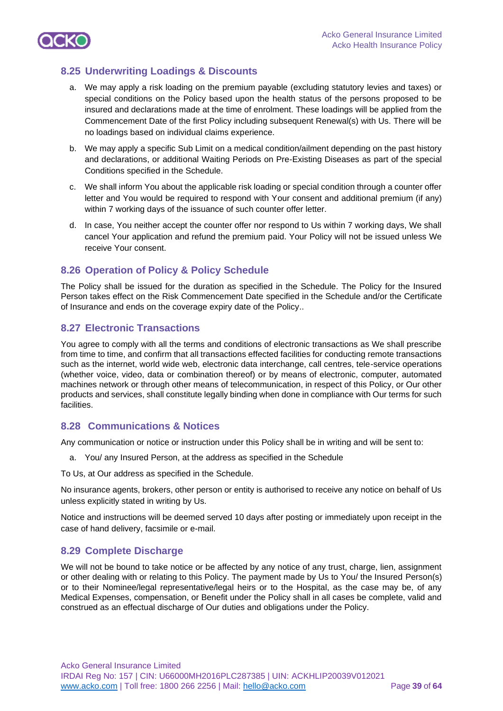

## **8.25 Underwriting Loadings & Discounts**

- a. We may apply a risk loading on the premium payable (excluding statutory levies and taxes) or special conditions on the Policy based upon the health status of the persons proposed to be insured and declarations made at the time of enrolment. These loadings will be applied from the Commencement Date of the first Policy including subsequent Renewal(s) with Us. There will be no loadings based on individual claims experience.
- b. We may apply a specific Sub Limit on a medical condition/ailment depending on the past history and declarations, or additional Waiting Periods on Pre-Existing Diseases as part of the special Conditions specified in the Schedule.
- c. We shall inform You about the applicable risk loading or special condition through a counter offer letter and You would be required to respond with Your consent and additional premium (if any) within 7 working days of the issuance of such counter offer letter.
- d. In case, You neither accept the counter offer nor respond to Us within 7 working days, We shall cancel Your application and refund the premium paid. Your Policy will not be issued unless We receive Your consent.

## **8.26 Operation of Policy & Policy Schedule**

The Policy shall be issued for the duration as specified in the Schedule. The Policy for the Insured Person takes effect on the Risk Commencement Date specified in the Schedule and/or the Certificate of Insurance and ends on the coverage expiry date of the Policy..

## **8.27 Electronic Transactions**

You agree to comply with all the terms and conditions of electronic transactions as We shall prescribe from time to time, and confirm that all transactions effected facilities for conducting remote transactions such as the internet, world wide web, electronic data interchange, call centres, tele-service operations (whether voice, video, data or combination thereof) or by means of electronic, computer, automated machines network or through other means of telecommunication, in respect of this Policy, or Our other products and services, shall constitute legally binding when done in compliance with Our terms for such facilities.

## **8.28 Communications & Notices**

Any communication or notice or instruction under this Policy shall be in writing and will be sent to:

a. You/ any Insured Person, at the address as specified in the Schedule

To Us, at Our address as specified in the Schedule.

No insurance agents, brokers, other person or entity is authorised to receive any notice on behalf of Us unless explicitly stated in writing by Us.

Notice and instructions will be deemed served 10 days after posting or immediately upon receipt in the case of hand delivery, facsimile or e-mail.

## **8.29 Complete Discharge**

We will not be bound to take notice or be affected by any notice of any trust, charge, lien, assignment or other dealing with or relating to this Policy. The payment made by Us to You/ the Insured Person(s) or to their Nominee/legal representative/legal heirs or to the Hospital, as the case may be, of any Medical Expenses, compensation, or Benefit under the Policy shall in all cases be complete, valid and construed as an effectual discharge of Our duties and obligations under the Policy.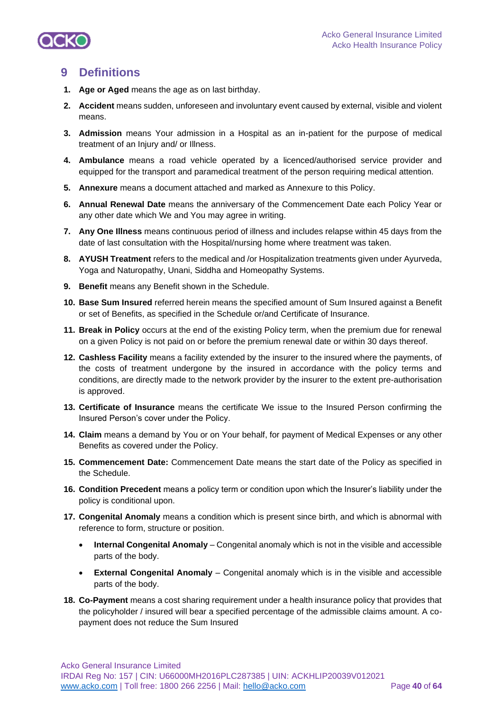

## **9 Definitions**

- **1. Age or Aged** means the age as on last birthday.
- **2. Accident** means sudden, unforeseen and involuntary event caused by external, visible and violent means.
- **3. Admission** means Your admission in a Hospital as an in-patient for the purpose of medical treatment of an Injury and/ or Illness.
- **4. Ambulance** means a road vehicle operated by a licenced/authorised service provider and equipped for the transport and paramedical treatment of the person requiring medical attention.
- **5. Annexure** means a document attached and marked as Annexure to this Policy.
- **6. Annual Renewal Date** means the anniversary of the Commencement Date each Policy Year or any other date which We and You may agree in writing.
- **7. Any One Illness** means continuous period of illness and includes relapse within 45 days from the date of last consultation with the Hospital/nursing home where treatment was taken.
- **8. AYUSH Treatment** refers to the medical and /or Hospitalization treatments given under Ayurveda, Yoga and Naturopathy, Unani, Siddha and Homeopathy Systems.
- **9. Benefit** means any Benefit shown in the Schedule.
- **10. Base Sum Insured** referred herein means the specified amount of Sum Insured against a Benefit or set of Benefits, as specified in the Schedule or/and Certificate of Insurance.
- **11. Break in Policy** occurs at the end of the existing Policy term, when the premium due for renewal on a given Policy is not paid on or before the premium renewal date or within 30 days thereof.
- **12. Cashless Facility** means a facility extended by the insurer to the insured where the payments, of the costs of treatment undergone by the insured in accordance with the policy terms and conditions, are directly made to the network provider by the insurer to the extent pre-authorisation is approved.
- **13. Certificate of Insurance** means the certificate We issue to the Insured Person confirming the Insured Person's cover under the Policy.
- **14. Claim** means a demand by You or on Your behalf, for payment of Medical Expenses or any other Benefits as covered under the Policy.
- **15. Commencement Date:** Commencement Date means the start date of the Policy as specified in the Schedule.
- **16. Condition Precedent** means a policy term or condition upon which the Insurer's liability under the policy is conditional upon.
- **17. Congenital Anomaly** means a condition which is present since birth, and which is abnormal with reference to form, structure or position.
	- **Internal Congenital Anomaly**  Congenital anomaly which is not in the visible and accessible parts of the body.
	- **External Congenital Anomaly**  Congenital anomaly which is in the visible and accessible parts of the body.
- **18. Co-Payment** means a cost sharing requirement under a health insurance policy that provides that the policyholder / insured will bear a specified percentage of the admissible claims amount. A copayment does not reduce the Sum Insured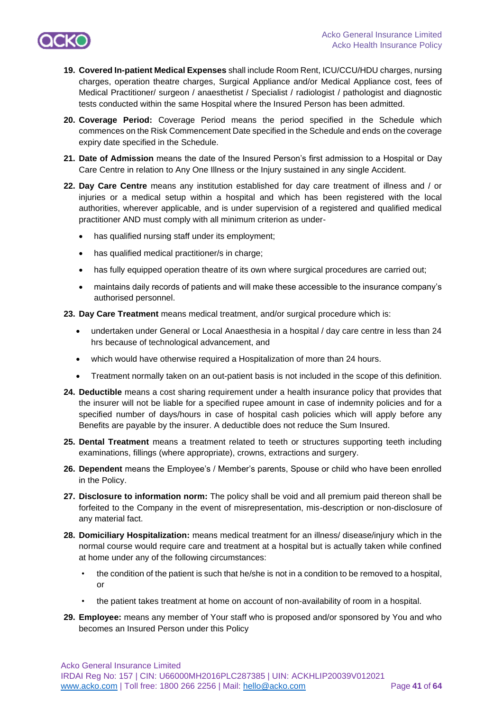

- **19. Covered In-patient Medical Expenses** shall include Room Rent, ICU/CCU/HDU charges, nursing charges, operation theatre charges, Surgical Appliance and/or Medical Appliance cost, fees of Medical Practitioner/ surgeon / anaesthetist / Specialist / radiologist / pathologist and diagnostic tests conducted within the same Hospital where the Insured Person has been admitted.
- **20. Coverage Period:** Coverage Period means the period specified in the Schedule which commences on the Risk Commencement Date specified in the Schedule and ends on the coverage expiry date specified in the Schedule.
- **21. Date of Admission** means the date of the Insured Person's first admission to a Hospital or Day Care Centre in relation to Any One Illness or the Injury sustained in any single Accident.
- **22. Day Care Centre** means any institution established for day care treatment of illness and / or injuries or a medical setup within a hospital and which has been registered with the local authorities, wherever applicable, and is under supervision of a registered and qualified medical practitioner AND must comply with all minimum criterion as under
	- has qualified nursing staff under its employment;
	- has qualified medical practitioner/s in charge;
	- has fully equipped operation theatre of its own where surgical procedures are carried out;
	- maintains daily records of patients and will make these accessible to the insurance company's authorised personnel.
- **23. Day Care Treatment** means medical treatment, and/or surgical procedure which is:
	- undertaken under General or Local Anaesthesia in a hospital / day care centre in less than 24 hrs because of technological advancement, and
	- which would have otherwise required a Hospitalization of more than 24 hours.
	- Treatment normally taken on an out-patient basis is not included in the scope of this definition.
- **24. Deductible** means a cost sharing requirement under a health insurance policy that provides that the insurer will not be liable for a specified rupee amount in case of indemnity policies and for a specified number of days/hours in case of hospital cash policies which will apply before any Benefits are payable by the insurer. A deductible does not reduce the Sum Insured.
- **25. Dental Treatment** means a treatment related to teeth or structures supporting teeth including examinations, fillings (where appropriate), crowns, extractions and surgery.
- **26. Dependent** means the Employee's / Member's parents, Spouse or child who have been enrolled in the Policy.
- **27. Disclosure to information norm:** The policy shall be void and all premium paid thereon shall be forfeited to the Company in the event of misrepresentation, mis-description or non-disclosure of any material fact.
- **28. Domiciliary Hospitalization:** means medical treatment for an illness/ disease/injury which in the normal course would require care and treatment at a hospital but is actually taken while confined at home under any of the following circumstances:
	- the condition of the patient is such that he/she is not in a condition to be removed to a hospital, or
	- the patient takes treatment at home on account of non-availability of room in a hospital.
- **29. Employee:** means any member of Your staff who is proposed and/or sponsored by You and who becomes an Insured Person under this Policy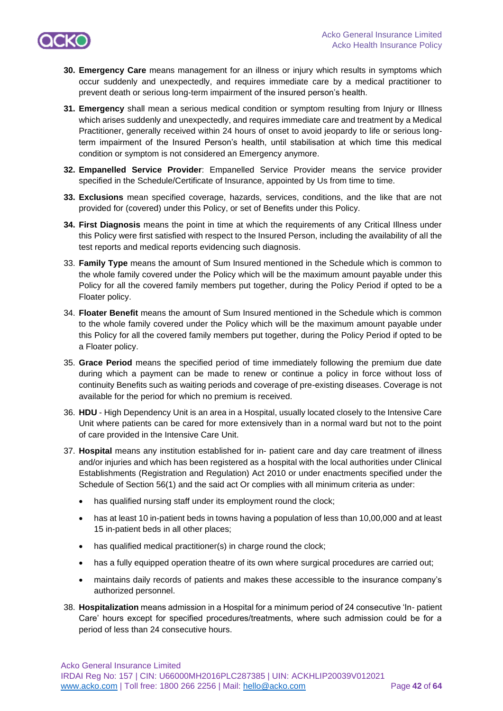

- **30. Emergency Care** means management for an illness or injury which results in symptoms which occur suddenly and unexpectedly, and requires immediate care by a medical practitioner to prevent death or serious long-term impairment of the insured person's health.
- **31. Emergency** shall mean a serious medical condition or symptom resulting from Injury or Illness which arises suddenly and unexpectedly, and requires immediate care and treatment by a Medical Practitioner, generally received within 24 hours of onset to avoid jeopardy to life or serious longterm impairment of the Insured Person's health, until stabilisation at which time this medical condition or symptom is not considered an Emergency anymore.
- **32. Empanelled Service Provider**: Empanelled Service Provider means the service provider specified in the Schedule/Certificate of Insurance, appointed by Us from time to time.
- **33. Exclusions** mean specified coverage, hazards, services, conditions, and the like that are not provided for (covered) under this Policy, or set of Benefits under this Policy.
- **34. First Diagnosis** means the point in time at which the requirements of any Critical Illness under this Policy were first satisfied with respect to the Insured Person, including the availability of all the test reports and medical reports evidencing such diagnosis.
- 33. **Family Type** means the amount of Sum Insured mentioned in the Schedule which is common to the whole family covered under the Policy which will be the maximum amount payable under this Policy for all the covered family members put together, during the Policy Period if opted to be a Floater policy.
- 34. **Floater Benefit** means the amount of Sum Insured mentioned in the Schedule which is common to the whole family covered under the Policy which will be the maximum amount payable under this Policy for all the covered family members put together, during the Policy Period if opted to be a Floater policy.
- 35. **Grace Period** means the specified period of time immediately following the premium due date during which a payment can be made to renew or continue a policy in force without loss of continuity Benefits such as waiting periods and coverage of pre-existing diseases. Coverage is not available for the period for which no premium is received.
- 36. **HDU**  High Dependency Unit is an area in a Hospital, usually located closely to the Intensive Care Unit where patients can be cared for more extensively than in a normal ward but not to the point of care provided in the Intensive Care Unit.
- 37. **Hospital** means any institution established for in- patient care and day care treatment of illness and/or injuries and which has been registered as a hospital with the local authorities under Clinical Establishments (Registration and Regulation) Act 2010 or under enactments specified under the Schedule of Section 56(1) and the said act Or complies with all minimum criteria as under:
	- has qualified nursing staff under its employment round the clock;
	- has at least 10 in-patient beds in towns having a population of less than 10,00,000 and at least 15 in-patient beds in all other places;
	- has qualified medical practitioner(s) in charge round the clock;
	- has a fully equipped operation theatre of its own where surgical procedures are carried out;
	- maintains daily records of patients and makes these accessible to the insurance company's authorized personnel.
- 38. **Hospitalization** means admission in a Hospital for a minimum period of 24 consecutive 'In- patient Care' hours except for specified procedures/treatments, where such admission could be for a period of less than 24 consecutive hours.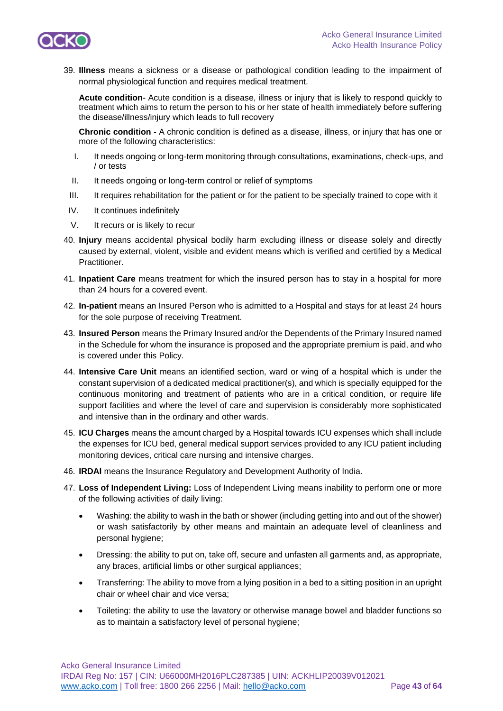

39. **Illness** means a sickness or a disease or pathological condition leading to the impairment of normal physiological function and requires medical treatment.

**Acute condition**- Acute condition is a disease, illness or injury that is likely to respond quickly to treatment which aims to return the person to his or her state of health immediately before suffering the disease/illness/injury which leads to full recovery

**Chronic condition** - A chronic condition is defined as a disease, illness, or injury that has one or more of the following characteristics:

- I. It needs ongoing or long-term monitoring through consultations, examinations, check-ups, and / or tests
- II. It needs ongoing or long-term control or relief of symptoms
- III. It requires rehabilitation for the patient or for the patient to be specially trained to cope with it
- IV. It continues indefinitely
- V. It recurs or is likely to recur
- 40. **Injury** means accidental physical bodily harm excluding illness or disease solely and directly caused by external, violent, visible and evident means which is verified and certified by a Medical Practitioner.
- 41. **Inpatient Care** means treatment for which the insured person has to stay in a hospital for more than 24 hours for a covered event.
- 42. **In-patient** means an Insured Person who is admitted to a Hospital and stays for at least 24 hours for the sole purpose of receiving Treatment.
- 43. **Insured Person** means the Primary Insured and/or the Dependents of the Primary Insured named in the Schedule for whom the insurance is proposed and the appropriate premium is paid, and who is covered under this Policy.
- 44. **Intensive Care Unit** means an identified section, ward or wing of a hospital which is under the constant supervision of a dedicated medical practitioner(s), and which is specially equipped for the continuous monitoring and treatment of patients who are in a critical condition, or require life support facilities and where the level of care and supervision is considerably more sophisticated and intensive than in the ordinary and other wards.
- 45. **ICU Charges** means the amount charged by a Hospital towards ICU expenses which shall include the expenses for ICU bed, general medical support services provided to any ICU patient including monitoring devices, critical care nursing and intensive charges.
- 46. **IRDAI** means the Insurance Regulatory and Development Authority of India.
- 47. **Loss of Independent Living:** Loss of Independent Living means inability to perform one or more of the following activities of daily living:
	- Washing: the ability to wash in the bath or shower (including getting into and out of the shower) or wash satisfactorily by other means and maintain an adequate level of cleanliness and personal hygiene;
	- Dressing: the ability to put on, take off, secure and unfasten all garments and, as appropriate, any braces, artificial limbs or other surgical appliances;
	- Transferring: The ability to move from a lying position in a bed to a sitting position in an upright chair or wheel chair and vice versa;
	- Toileting: the ability to use the lavatory or otherwise manage bowel and bladder functions so as to maintain a satisfactory level of personal hygiene;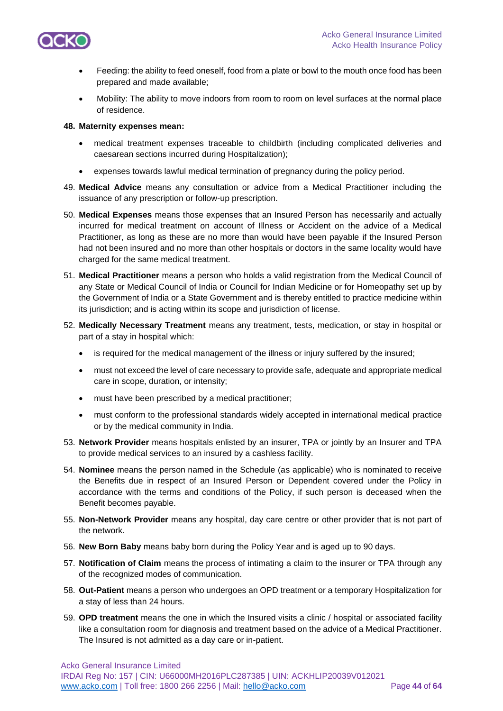

- Feeding: the ability to feed oneself, food from a plate or bowl to the mouth once food has been prepared and made available;
- Mobility: The ability to move indoors from room to room on level surfaces at the normal place of residence.

#### **48. Maternity expenses mean:**

- medical treatment expenses traceable to childbirth (including complicated deliveries and caesarean sections incurred during Hospitalization);
- expenses towards lawful medical termination of pregnancy during the policy period.
- 49. **Medical Advice** means any consultation or advice from a Medical Practitioner including the issuance of any prescription or follow-up prescription.
- 50. **Medical Expenses** means those expenses that an Insured Person has necessarily and actually incurred for medical treatment on account of Illness or Accident on the advice of a Medical Practitioner, as long as these are no more than would have been payable if the Insured Person had not been insured and no more than other hospitals or doctors in the same locality would have charged for the same medical treatment.
- 51. **Medical Practitioner** means a person who holds a valid registration from the Medical Council of any State or Medical Council of India or Council for Indian Medicine or for Homeopathy set up by the Government of India or a State Government and is thereby entitled to practice medicine within its jurisdiction; and is acting within its scope and jurisdiction of license.
- 52. **Medically Necessary Treatment** means any treatment, tests, medication, or stay in hospital or part of a stay in hospital which:
	- is required for the medical management of the illness or injury suffered by the insured;
	- must not exceed the level of care necessary to provide safe, adequate and appropriate medical care in scope, duration, or intensity;
	- must have been prescribed by a medical practitioner;
	- must conform to the professional standards widely accepted in international medical practice or by the medical community in India.
- 53. **Network Provider** means hospitals enlisted by an insurer, TPA or jointly by an Insurer and TPA to provide medical services to an insured by a cashless facility.
- 54. **Nominee** means the person named in the Schedule (as applicable) who is nominated to receive the Benefits due in respect of an Insured Person or Dependent covered under the Policy in accordance with the terms and conditions of the Policy, if such person is deceased when the Benefit becomes payable.
- 55. **Non-Network Provider** means any hospital, day care centre or other provider that is not part of the network.
- 56. **New Born Baby** means baby born during the Policy Year and is aged up to 90 days.
- 57. **Notification of Claim** means the process of intimating a claim to the insurer or TPA through any of the recognized modes of communication.
- 58. **Out-Patient** means a person who undergoes an OPD treatment or a temporary Hospitalization for a stay of less than 24 hours.
- 59. **OPD treatment** means the one in which the Insured visits a clinic / hospital or associated facility like a consultation room for diagnosis and treatment based on the advice of a Medical Practitioner. The Insured is not admitted as a day care or in-patient.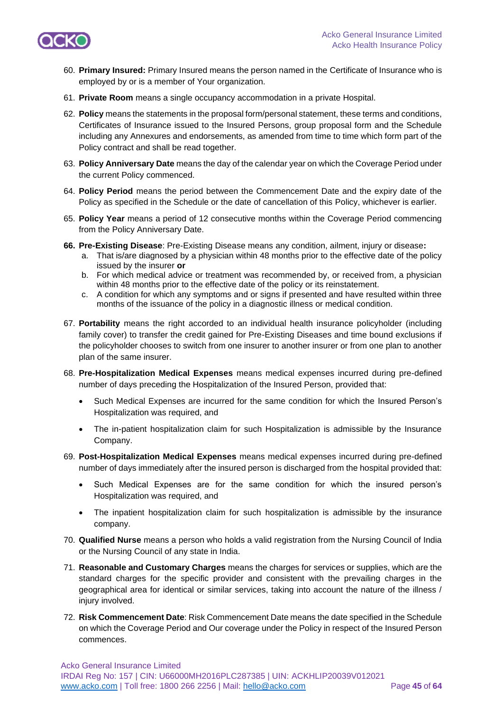

- 60. **Primary Insured:** Primary Insured means the person named in the Certificate of Insurance who is employed by or is a member of Your organization.
- 61. **Private Room** means a single occupancy accommodation in a private Hospital.
- 62. **Policy** means the statements in the proposal form/personal statement, these terms and conditions, Certificates of Insurance issued to the Insured Persons, group proposal form and the Schedule including any Annexures and endorsements, as amended from time to time which form part of the Policy contract and shall be read together.
- 63. **Policy Anniversary Date** means the day of the calendar year on which the Coverage Period under the current Policy commenced.
- 64. **Policy Period** means the period between the Commencement Date and the expiry date of the Policy as specified in the Schedule or the date of cancellation of this Policy, whichever is earlier.
- 65. **Policy Year** means a period of 12 consecutive months within the Coverage Period commencing from the Policy Anniversary Date.
- **66. Pre-Existing Disease**: Pre-Existing Disease means any condition, ailment, injury or disease**:**
	- a. That is/are diagnosed by a physician within 48 months prior to the effective date of the policy issued by the insurer **or**
	- b. For which medical advice or treatment was recommended by, or received from, a physician within 48 months prior to the effective date of the policy or its reinstatement.
	- c. A condition for which any symptoms and or signs if presented and have resulted within three months of the issuance of the policy in a diagnostic illness or medical condition.
- 67. **Portability** means the right accorded to an individual health insurance policyholder (including family cover) to transfer the credit gained for Pre-Existing Diseases and time bound exclusions if the policyholder chooses to switch from one insurer to another insurer or from one plan to another plan of the same insurer.
- 68. **Pre-Hospitalization Medical Expenses** means medical expenses incurred during pre-defined number of days preceding the Hospitalization of the Insured Person, provided that:
	- Such Medical Expenses are incurred for the same condition for which the Insured Person's Hospitalization was required, and
	- The in-patient hospitalization claim for such Hospitalization is admissible by the Insurance Company.
- 69. **Post-Hospitalization Medical Expenses** means medical expenses incurred during pre-defined number of days immediately after the insured person is discharged from the hospital provided that:
	- Such Medical Expenses are for the same condition for which the insured person's Hospitalization was required, and
	- The inpatient hospitalization claim for such hospitalization is admissible by the insurance company.
- 70. **Qualified Nurse** means a person who holds a valid registration from the Nursing Council of India or the Nursing Council of any state in India.
- 71. **Reasonable and Customary Charges** means the charges for services or supplies, which are the standard charges for the specific provider and consistent with the prevailing charges in the geographical area for identical or similar services, taking into account the nature of the illness / injury involved.
- 72. **Risk Commencement Date**: Risk Commencement Date means the date specified in the Schedule on which the Coverage Period and Our coverage under the Policy in respect of the Insured Person commences.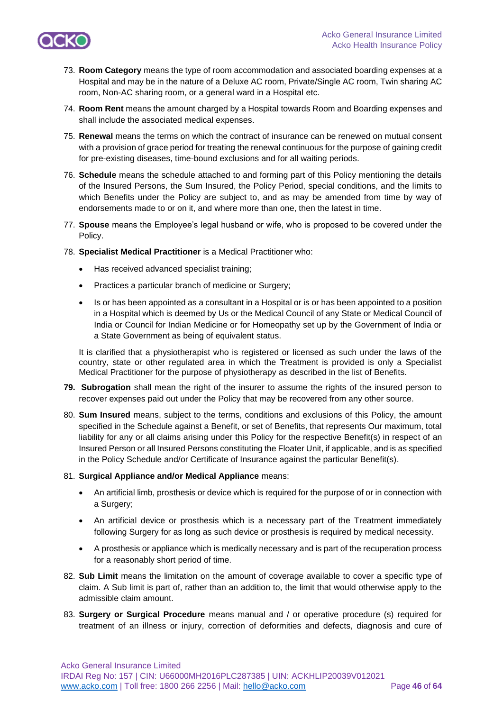

- 73. **Room Category** means the type of room accommodation and associated boarding expenses at a Hospital and may be in the nature of a Deluxe AC room, Private/Single AC room, Twin sharing AC room, Non-AC sharing room, or a general ward in a Hospital etc.
- 74. **Room Rent** means the amount charged by a Hospital towards Room and Boarding expenses and shall include the associated medical expenses.
- 75. **Renewal** means the terms on which the contract of insurance can be renewed on mutual consent with a provision of grace period for treating the renewal continuous for the purpose of gaining credit for pre-existing diseases, time-bound exclusions and for all waiting periods.
- 76. **Schedule** means the schedule attached to and forming part of this Policy mentioning the details of the Insured Persons, the Sum Insured, the Policy Period, special conditions, and the limits to which Benefits under the Policy are subject to, and as may be amended from time by way of endorsements made to or on it, and where more than one, then the latest in time.
- 77. **Spouse** means the Employee's legal husband or wife, who is proposed to be covered under the Policy.
- 78. **Specialist Medical Practitioner** is a Medical Practitioner who:
	- Has received advanced specialist training;
	- Practices a particular branch of medicine or Surgery;
	- Is or has been appointed as a consultant in a Hospital or is or has been appointed to a position in a Hospital which is deemed by Us or the Medical Council of any State or Medical Council of India or Council for Indian Medicine or for Homeopathy set up by the Government of India or a State Government as being of equivalent status.

It is clarified that a physiotherapist who is registered or licensed as such under the laws of the country, state or other regulated area in which the Treatment is provided is only a Specialist Medical Practitioner for the purpose of physiotherapy as described in the list of Benefits.

- **79. Subrogation** shall mean the right of the insurer to assume the rights of the insured person to recover expenses paid out under the Policy that may be recovered from any other source.
- 80. **Sum Insured** means, subject to the terms, conditions and exclusions of this Policy, the amount specified in the Schedule against a Benefit, or set of Benefits, that represents Our maximum, total liability for any or all claims arising under this Policy for the respective Benefit(s) in respect of an Insured Person or all Insured Persons constituting the Floater Unit, if applicable, and is as specified in the Policy Schedule and/or Certificate of Insurance against the particular Benefit(s).

#### 81. **Surgical Appliance and/or Medical Appliance** means:

- An artificial limb, prosthesis or device which is required for the purpose of or in connection with a Surgery;
- An artificial device or prosthesis which is a necessary part of the Treatment immediately following Surgery for as long as such device or prosthesis is required by medical necessity.
- A prosthesis or appliance which is medically necessary and is part of the recuperation process for a reasonably short period of time.
- 82. **Sub Limit** means the limitation on the amount of coverage available to cover a specific type of claim. A Sub limit is part of, rather than an addition to, the limit that would otherwise apply to the admissible claim amount.
- 83. **Surgery or Surgical Procedure** means manual and / or operative procedure (s) required for treatment of an illness or injury, correction of deformities and defects, diagnosis and cure of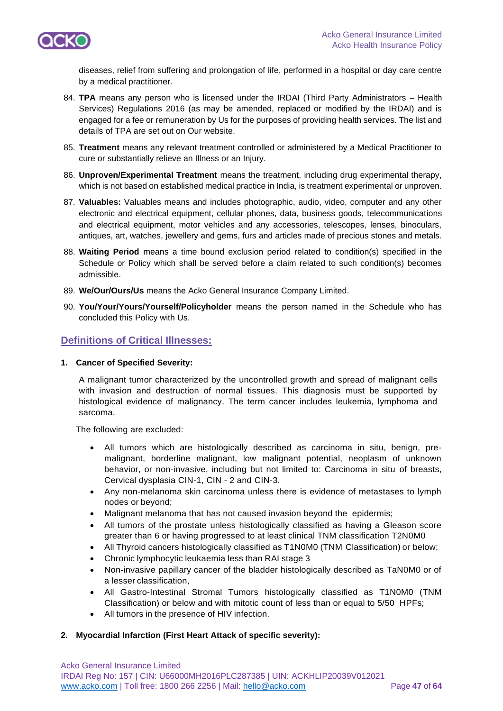

diseases, relief from suffering and prolongation of life, performed in a hospital or day care centre by a medical practitioner.

- 84. **TPA** means any person who is licensed under the IRDAI (Third Party Administrators Health Services) Regulations 2016 (as may be amended, replaced or modified by the IRDAI) and is engaged for a fee or remuneration by Us for the purposes of providing health services. The list and details of TPA are set out on Our website.
- 85. **Treatment** means any relevant treatment controlled or administered by a Medical Practitioner to cure or substantially relieve an Illness or an Injury.
- 86. **Unproven/Experimental Treatment** means the treatment, including drug experimental therapy, which is not based on established medical practice in India, is treatment experimental or unproven.
- 87. **Valuables:** Valuables means and includes photographic, audio, video, computer and any other electronic and electrical equipment, cellular phones, data, business goods, telecommunications and electrical equipment, motor vehicles and any accessories, telescopes, lenses, binoculars, antiques, art, watches, jewellery and gems, furs and articles made of precious stones and metals.
- 88. **Waiting Period** means a time bound exclusion period related to condition(s) specified in the Schedule or Policy which shall be served before a claim related to such condition(s) becomes admissible.
- 89. **We/Our/Ours/Us** means the Acko General Insurance Company Limited.
- 90. **You/Your/Yours/Yourself/Policyholder** means the person named in the Schedule who has concluded this Policy with Us.

## **Definitions of Critical Illnesses:**

#### **1. Cancer of Specified Severity:**

A malignant tumor characterized by the uncontrolled growth and spread of malignant cells with invasion and destruction of normal tissues. This diagnosis must be supported by histological evidence of malignancy. The term cancer includes leukemia, lymphoma and sarcoma.

The following are excluded:

- All tumors which are histologically described as carcinoma in situ, benign, premalignant, borderline malignant, low malignant potential, neoplasm of unknown behavior, or non-invasive, including but not limited to: Carcinoma in situ of breasts, Cervical dysplasia CIN-1, CIN - 2 and CIN-3.
- Any non-melanoma skin carcinoma unless there is evidence of metastases to lymph nodes or beyond;
- Malignant melanoma that has not caused invasion beyond the epidermis;
- All tumors of the prostate unless histologically classified as having a Gleason score greater than 6 or having progressed to at least clinical TNM classification T2N0M0
- All Thyroid cancers histologically classified as T1N0M0 (TNM Classification) or below;
- Chronic lymphocytic leukaemia less than RAI stage 3
- Non-invasive papillary cancer of the bladder histologically described as TaN0M0 or of a lesser classification,
- All Gastro-Intestinal Stromal Tumors histologically classified as T1N0M0 (TNM Classification) or below and with mitotic count of less than or equal to 5/50 HPFs;
- All tumors in the presence of HIV infection.

### **2. Myocardial Infarction (First Heart Attack of specific severity):**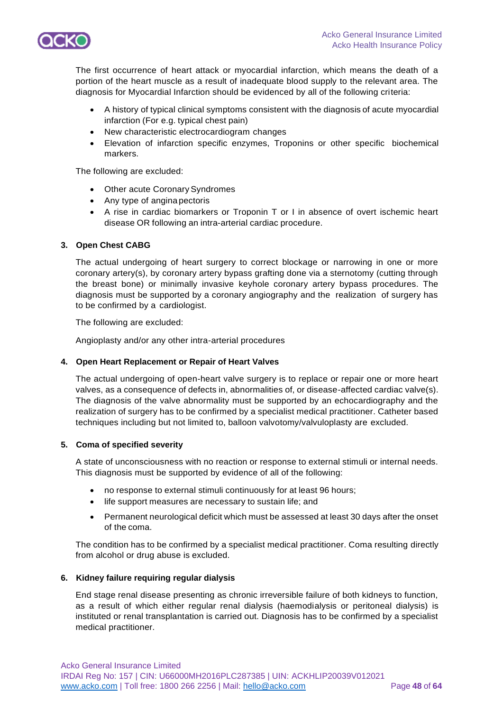

The first occurrence of heart attack or myocardial infarction, which means the death of a portion of the heart muscle as a result of inadequate blood supply to the relevant area. The diagnosis for Myocardial Infarction should be evidenced by all of the following criteria:

- A history of typical clinical symptoms consistent with the diagnosis of acute myocardial infarction (For e.g. typical chest pain)
- New characteristic electrocardiogram changes
- Elevation of infarction specific enzymes, Troponins or other specific biochemical markers.

The following are excluded:

- Other acute Coronary Syndromes
- Any type of anginapectoris
- A rise in cardiac biomarkers or Troponin T or I in absence of overt ischemic heart disease OR following an intra-arterial cardiac procedure.

#### **3. Open Chest CABG**

The actual undergoing of heart surgery to correct blockage or narrowing in one or more coronary artery(s), by coronary artery bypass grafting done via a sternotomy (cutting through the breast bone) or minimally invasive keyhole coronary artery bypass procedures. The diagnosis must be supported by a coronary angiography and the realization of surgery has to be confirmed by a cardiologist.

The following are excluded:

Angioplasty and/or any other intra-arterial procedures

#### **4. Open Heart Replacement or Repair of Heart Valves**

The actual undergoing of open-heart valve surgery is to replace or repair one or more heart valves, as a consequence of defects in, abnormalities of, or disease-affected cardiac valve(s). The diagnosis of the valve abnormality must be supported by an echocardiography and the realization of surgery has to be confirmed by a specialist medical practitioner. Catheter based techniques including but not limited to, balloon valvotomy/valvuloplasty are excluded.

#### **5. Coma of specified severity**

A state of unconsciousness with no reaction or response to external stimuli or internal needs. This diagnosis must be supported by evidence of all of the following:

- no response to external stimuli continuously for at least 96 hours;
- life support measures are necessary to sustain life; and
- Permanent neurological deficit which must be assessed at least 30 days after the onset of the coma.

The condition has to be confirmed by a specialist medical practitioner. Coma resulting directly from alcohol or drug abuse is excluded.

#### **6. Kidney failure requiring regular dialysis**

End stage renal disease presenting as chronic irreversible failure of both kidneys to function, as a result of which either regular renal dialysis (haemodialysis or peritoneal dialysis) is instituted or renal transplantation is carried out. Diagnosis has to be confirmed by a specialist medical practitioner.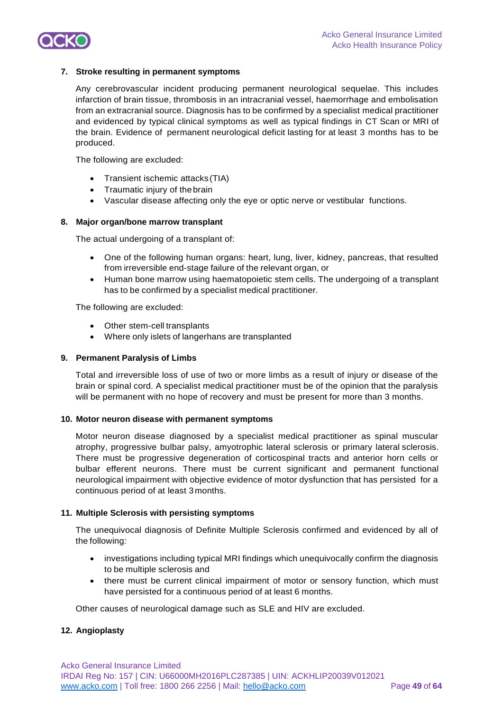

#### **7. Stroke resulting in permanent symptoms**

Any cerebrovascular incident producing permanent neurological sequelae. This includes infarction of brain tissue, thrombosis in an intracranial vessel, haemorrhage and embolisation from an extracranial source. Diagnosis has to be confirmed by a specialist medical practitioner and evidenced by typical clinical symptoms as well as typical findings in CT Scan or MRI of the brain. Evidence of permanent neurological deficit lasting for at least 3 months has to be produced.

The following are excluded:

- Transient ischemic attacks(TIA)
- Traumatic injury of thebrain
- Vascular disease affecting only the eye or optic nerve or vestibular functions.

#### **8. Major organ/bone marrow transplant**

The actual undergoing of a transplant of:

- One of the following human organs: heart, lung, liver, kidney, pancreas, that resulted from irreversible end-stage failure of the relevant organ, or
- Human bone marrow using haematopoietic stem cells. The undergoing of a transplant has to be confirmed by a specialist medical practitioner.

The following are excluded:

- Other stem-cell transplants
- Where only islets of langerhans are transplanted

#### **9. Permanent Paralysis of Limbs**

Total and irreversible loss of use of two or more limbs as a result of injury or disease of the brain or spinal cord. A specialist medical practitioner must be of the opinion that the paralysis will be permanent with no hope of recovery and must be present for more than 3 months.

#### **10. Motor neuron disease with permanent symptoms**

Motor neuron disease diagnosed by a specialist medical practitioner as spinal muscular atrophy, progressive bulbar palsy, amyotrophic lateral sclerosis or primary lateral sclerosis. There must be progressive degeneration of corticospinal tracts and anterior horn cells or bulbar efferent neurons. There must be current significant and permanent functional neurological impairment with objective evidence of motor dysfunction that has persisted for a continuous period of at least 3months.

#### **11. Multiple Sclerosis with persisting symptoms**

The unequivocal diagnosis of Definite Multiple Sclerosis confirmed and evidenced by all of the following:

- investigations including typical MRI findings which unequivocally confirm the diagnosis to be multiple sclerosis and
- there must be current clinical impairment of motor or sensory function, which must have persisted for a continuous period of at least 6 months.

Other causes of neurological damage such as SLE and HIV are excluded.

### **12. Angioplasty**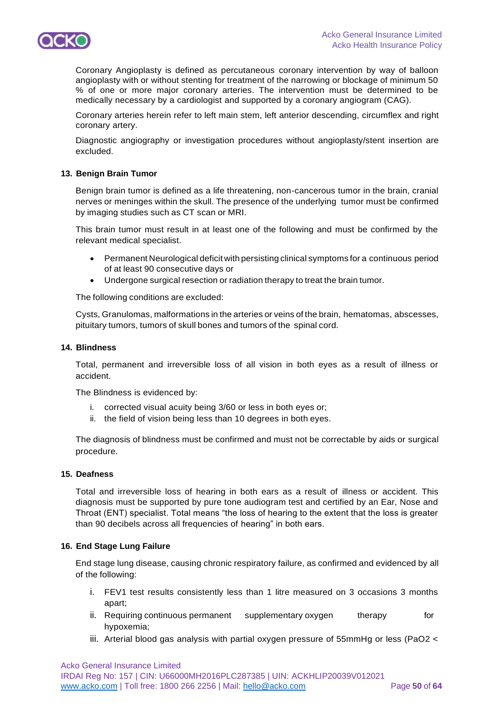

Coronary Angioplasty is defined as percutaneous coronary intervention by way of balloon angioplasty with or without stenting for treatment of the narrowing or blockage of minimum 50 % of one or more major coronary arteries. The intervention must be determined to be medically necessary by a cardiologist and supported by a coronary angiogram (CAG).

Coronary arteries herein refer to left main stem, left anterior descending, circumflex and right coronary artery.

Diagnostic angiography or investigation procedures without angioplasty/stent insertion are excluded.

#### **13. Benign Brain Tumor**

Benign brain tumor is defined as a life threatening, non-cancerous tumor in the brain, cranial nerves or meninges within the skull. The presence of the underlying tumor must be confirmed by imaging studies such as CT scan or MRI.

This brain tumor must result in at least one of the following and must be confirmed by the relevant medical specialist.

- Permanent Neurological deficit with persisting clinical symptoms for a continuous period of at least 90 consecutive days or
- Undergone surgical resection or radiation therapy to treat the brain tumor.

The following conditions are excluded:

Cysts, Granulomas, malformations in the arteries or veins of the brain, hematomas, abscesses, pituitary tumors, tumors of skull bones and tumors of the spinal cord.

### **14. Blindness**

Total, permanent and irreversible loss of all vision in both eyes as a result of illness or accident.

The Blindness is evidenced by:

- i. corrected visual acuity being 3/60 or less in both eyes or;
- ii. the field of vision being less than 10 degrees in both eyes.

The diagnosis of blindness must be confirmed and must not be correctable by aids or surgical procedure.

#### **15. Deafness**

Total and irreversible loss of hearing in both ears as a result of illness or accident. This diagnosis must be supported by pure tone audiogram test and certified by an Ear, Nose and Throat (ENT) specialist. Total means "the loss of hearing to the extent that the loss is greater than 90 decibels across all frequencies of hearing" in both ears.

### **16. End Stage Lung Failure**

End stage lung disease, causing chronic respiratory failure, as confirmed and evidenced by all of the following:

- i. FEV1 test results consistently less than 1 litre measured on 3 occasions 3 months apart;
- ii. Requiring continuous permanent supplementary oxygen therapy for hypoxemia;
- iii. Arterial blood gas analysis with partial oxygen pressure of 55mmHg or less (PaO2 <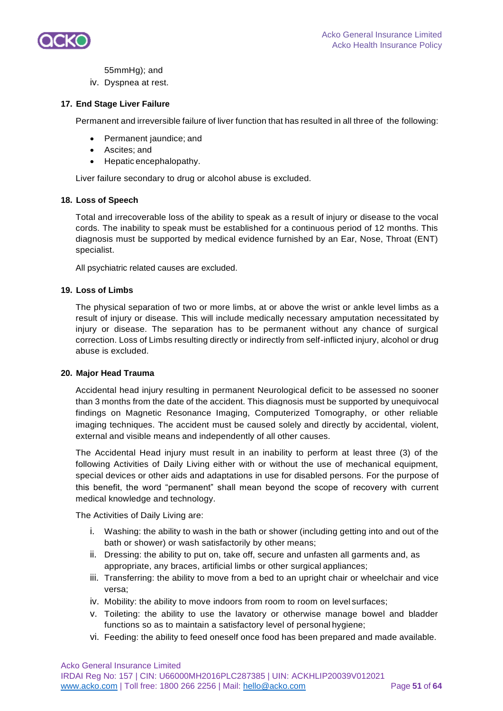

55mmHg); and

iv. Dyspnea at rest.

## **17. End Stage Liver Failure**

Permanent and irreversible failure of liver function that has resulted in all three of the following:

- Permanent jaundice; and
- Ascites; and
- Hepatic encephalopathy.

Liver failure secondary to drug or alcohol abuse is excluded.

### **18. Loss of Speech**

Total and irrecoverable loss of the ability to speak as a result of injury or disease to the vocal cords. The inability to speak must be established for a continuous period of 12 months. This diagnosis must be supported by medical evidence furnished by an Ear, Nose, Throat (ENT) specialist.

All psychiatric related causes are excluded.

### **19. Loss of Limbs**

The physical separation of two or more limbs, at or above the wrist or ankle level limbs as a result of injury or disease. This will include medically necessary amputation necessitated by injury or disease. The separation has to be permanent without any chance of surgical correction. Loss of Limbs resulting directly or indirectly from self-inflicted injury, alcohol or drug abuse is excluded.

### **20. Major Head Trauma**

Accidental head injury resulting in permanent Neurological deficit to be assessed no sooner than 3 months from the date of the accident. This diagnosis must be supported by unequivocal findings on Magnetic Resonance Imaging, Computerized Tomography, or other reliable imaging techniques. The accident must be caused solely and directly by accidental, violent, external and visible means and independently of all other causes.

The Accidental Head injury must result in an inability to perform at least three (3) of the following Activities of Daily Living either with or without the use of mechanical equipment, special devices or other aids and adaptations in use for disabled persons. For the purpose of this benefit, the word "permanent" shall mean beyond the scope of recovery with current medical knowledge and technology.

The Activities of Daily Living are:

- i. Washing: the ability to wash in the bath or shower (including getting into and out of the bath or shower) or wash satisfactorily by other means;
- ii. Dressing: the ability to put on, take off, secure and unfasten all garments and, as appropriate, any braces, artificial limbs or other surgical appliances;
- iii. Transferring: the ability to move from a bed to an upright chair or wheelchair and vice versa;
- iv. Mobility: the ability to move indoors from room to room on level surfaces;
- v. Toileting: the ability to use the lavatory or otherwise manage bowel and bladder functions so as to maintain a satisfactory level of personal hygiene;
- vi. Feeding: the ability to feed oneself once food has been prepared and made available.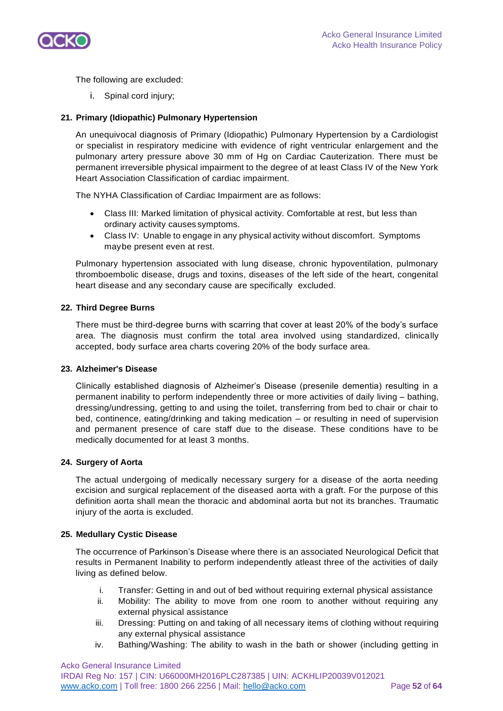

The following are excluded:

i. Spinal cord injury;

## **21. Primary (Idiopathic) Pulmonary Hypertension**

An unequivocal diagnosis of Primary (Idiopathic) Pulmonary Hypertension by a Cardiologist or specialist in respiratory medicine with evidence of right ventricular enlargement and the pulmonary artery pressure above 30 mm of Hg on Cardiac Cauterization. There must be permanent irreversible physical impairment to the degree of at least Class IV of the New York Heart Association Classification of cardiac impairment.

The NYHA Classification of Cardiac Impairment are as follows:

- Class III: Marked limitation of physical activity. Comfortable at rest, but less than ordinary activity causes symptoms.
- Class IV: Unable to engage in any physical activity without discomfort. Symptoms maybe present even at rest.

Pulmonary hypertension associated with lung disease, chronic hypoventilation, pulmonary thromboembolic disease, drugs and toxins, diseases of the left side of the heart, congenital heart disease and any secondary cause are specifically excluded.

#### **22. Third Degree Burns**

There must be third-degree burns with scarring that cover at least 20% of the body's surface area. The diagnosis must confirm the total area involved using standardized, clinically accepted, body surface area charts covering 20% of the body surface area.

### **23. Alzheimer's Disease**

Clinically established diagnosis of Alzheimer's Disease (presenile dementia) resulting in a permanent inability to perform independently three or more activities of daily living – bathing, dressing/undressing, getting to and using the toilet, transferring from bed to chair or chair to bed, continence, eating/drinking and taking medication – or resulting in need of supervision and permanent presence of care staff due to the disease. These conditions have to be medically documented for at least 3 months.

### **24. Surgery of Aorta**

The actual undergoing of medically necessary surgery for a disease of the aorta needing excision and surgical replacement of the diseased aorta with a graft. For the purpose of this definition aorta shall mean the thoracic and abdominal aorta but not its branches. Traumatic injury of the aorta is excluded.

### **25. Medullary Cystic Disease**

The occurrence of Parkinson's Disease where there is an associated Neurological Deficit that results in Permanent Inability to perform independently atleast three of the activities of daily living as defined below.

- i. Transfer: Getting in and out of bed without requiring external physical assistance
- ii. Mobility: The ability to move from one room to another without requiring any external physical assistance
- iii. Dressing: Putting on and taking of all necessary items of clothing without requiring any external physical assistance
- iv. Bathing/Washing: The ability to wash in the bath or shower (including getting in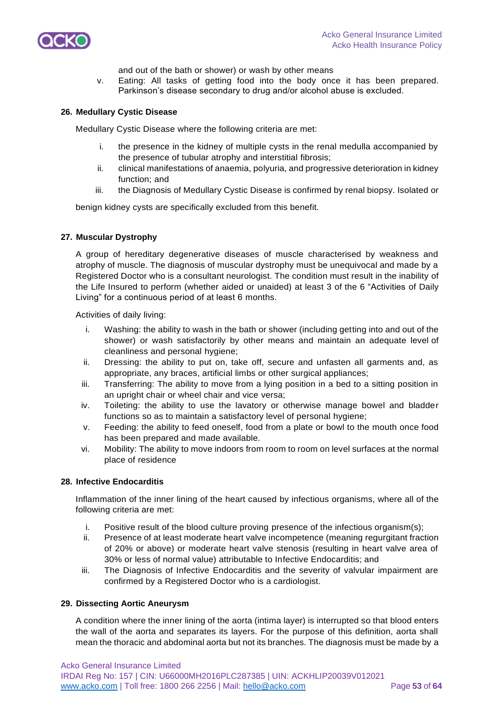

and out of the bath or shower) or wash by other means

v. Eating: All tasks of getting food into the body once it has been prepared. Parkinson's disease secondary to drug and/or alcohol abuse is excluded.

#### **26. Medullary Cystic Disease**

Medullary Cystic Disease where the following criteria are met:

- the presence in the kidney of multiple cysts in the renal medulla accompanied by the presence of tubular atrophy and interstitial fibrosis;
- ii. clinical manifestations of anaemia, polyuria, and progressive deterioration in kidney function; and
- iii. the Diagnosis of Medullary Cystic Disease is confirmed by renal biopsy. Isolated or

benign kidney cysts are specifically excluded from this benefit.

#### **27. Muscular Dystrophy**

A group of hereditary degenerative diseases of muscle characterised by weakness and atrophy of muscle. The diagnosis of muscular dystrophy must be unequivocal and made by a Registered Doctor who is a consultant neurologist. The condition must result in the inability of the Life Insured to perform (whether aided or unaided) at least 3 of the 6 "Activities of Daily Living" for a continuous period of at least 6 months.

Activities of daily living:

- i. Washing: the ability to wash in the bath or shower (including getting into and out of the shower) or wash satisfactorily by other means and maintain an adequate level of cleanliness and personal hygiene;
- ii. Dressing: the ability to put on, take off, secure and unfasten all garments and, as appropriate, any braces, artificial limbs or other surgical appliances;
- iii. Transferring: The ability to move from a lying position in a bed to a sitting position in an upright chair or wheel chair and vice versa;
- iv. Toileting: the ability to use the lavatory or otherwise manage bowel and bladder functions so as to maintain a satisfactory level of personal hygiene;
- v. Feeding: the ability to feed oneself, food from a plate or bowl to the mouth once food has been prepared and made available.
- vi. Mobility: The ability to move indoors from room to room on level surfaces at the normal place of residence

#### **28. Infective Endocarditis**

Inflammation of the inner lining of the heart caused by infectious organisms, where all of the following criteria are met:

- i. Positive result of the blood culture proving presence of the infectious organism(s);
- ii. Presence of at least moderate heart valve incompetence (meaning regurgitant fraction of 20% or above) or moderate heart valve stenosis (resulting in heart valve area of 30% or less of normal value) attributable to Infective Endocarditis; and
- iii. The Diagnosis of Infective Endocarditis and the severity of valvular impairment are confirmed by a Registered Doctor who is a cardiologist.

#### **29. Dissecting Aortic Aneurysm**

A condition where the inner lining of the aorta (intima layer) is interrupted so that blood enters the wall of the aorta and separates its layers. For the purpose of this definition, aorta shall mean the thoracic and abdominal aorta but not its branches. The diagnosis must be made by a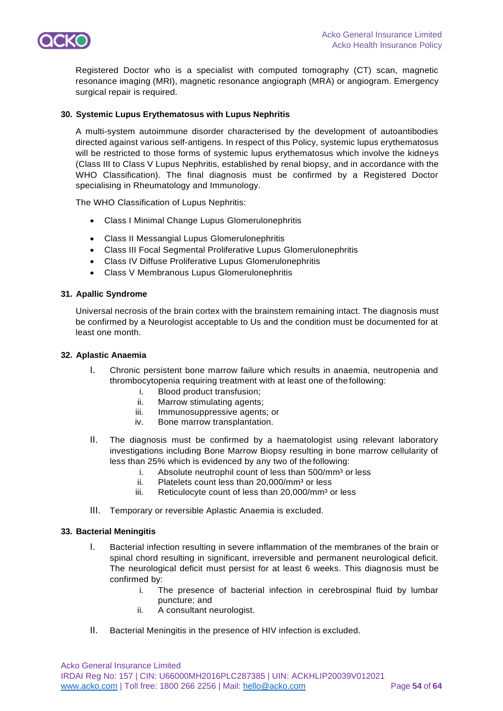

Registered Doctor who is a specialist with computed tomography (CT) scan, magnetic resonance imaging (MRI), magnetic resonance angiograph (MRA) or angiogram. Emergency surgical repair is required.

### **30. Systemic Lupus Erythematosus with Lupus Nephritis**

A multi-system autoimmune disorder characterised by the development of autoantibodies directed against various self-antigens. In respect of this Policy, systemic lupus erythematosus will be restricted to those forms of systemic lupus erythematosus which involve the kidneys (Class III to Class V Lupus Nephritis, established by renal biopsy, and in accordance with the WHO Classification). The final diagnosis must be confirmed by a Registered Doctor specialising in Rheumatology and Immunology.

The WHO Classification of Lupus Nephritis:

- Class I Minimal Change Lupus Glomerulonephritis
- Class II Messangial Lupus Glomerulonephritis
- Class III Focal Segmental Proliferative Lupus Glomerulonephritis
- Class IV Diffuse Proliferative Lupus Glomerulonephritis
- Class V Membranous Lupus Glomerulonephritis

#### **31. Apallic Syndrome**

Universal necrosis of the brain cortex with the brainstem remaining intact. The diagnosis must be confirmed by a Neurologist acceptable to Us and the condition must be documented for at least one month.

#### **32. Aplastic Anaemia**

- I. Chronic persistent bone marrow failure which results in anaemia, neutropenia and thrombocytopenia requiring treatment with at least one of the following:
	- i. Blood product transfusion;
	- ii. Marrow stimulating agents;
	- iii. Immunosuppressive agents; or
	- iv. Bone marrow transplantation.
- II. The diagnosis must be confirmed by a haematologist using relevant laboratory investigations including Bone Marrow Biopsy resulting in bone marrow cellularity of less than 25% which is evidenced by any two of the following:
	- i. Absolute neutrophil count of less than  $500/\text{mm}^3$  or less
	- ii. Platelets count less than  $20,000/\text{mm}^3$  or less
	- iii. Reticulocyte count of less than  $20,000/\text{mm}^3$  or less
- III. Temporary or reversible Aplastic Anaemia is excluded.

#### **33. Bacterial Meningitis**

- I. Bacterial infection resulting in severe inflammation of the membranes of the brain or spinal chord resulting in significant, irreversible and permanent neurological deficit. The neurological deficit must persist for at least 6 weeks. This diagnosis must be confirmed by:
	- i. The presence of bacterial infection in cerebrospinal fluid by lumbar puncture; and
	- ii. A consultant neurologist.
- II. Bacterial Meningitis in the presence of HIV infection is excluded.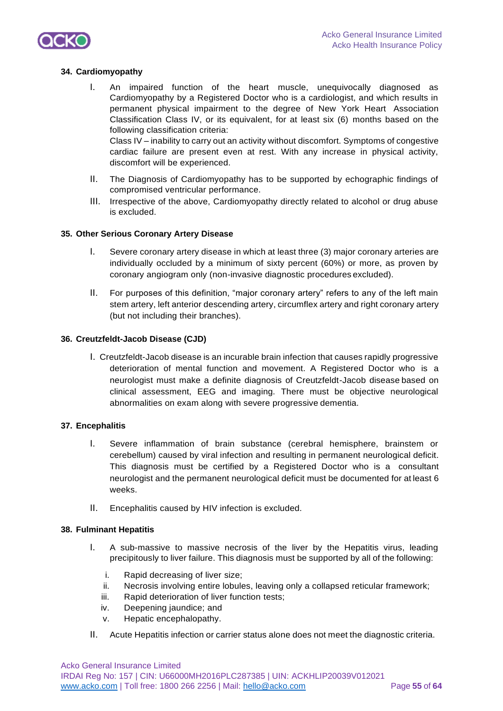

### **34. Cardiomyopathy**

- I. An impaired function of the heart muscle, unequivocally diagnosed as Cardiomyopathy by a Registered Doctor who is a cardiologist, and which results in permanent physical impairment to the degree of New York Heart Association Classification Class IV, or its equivalent, for at least six (6) months based on the following classification criteria: Class IV – inability to carry out an activity without discomfort. Symptoms of congestive cardiac failure are present even at rest. With any increase in physical activity, discomfort will be experienced.
- II. The Diagnosis of Cardiomyopathy has to be supported by echographic findings of compromised ventricular performance.
- III. Irrespective of the above, Cardiomyopathy directly related to alcohol or drug abuse is excluded.

#### **35. Other Serious Coronary Artery Disease**

- I. Severe coronary artery disease in which at least three (3) major coronary arteries are individually occluded by a minimum of sixty percent (60%) or more, as proven by coronary angiogram only (non-invasive diagnostic procedures excluded).
- II. For purposes of this definition, "major coronary artery" refers to any of the left main stem artery, left anterior descending artery, circumflex artery and right coronary artery (but not including their branches).

#### **36. Creutzfeldt-Jacob Disease (CJD)**

I. Creutzfeldt-Jacob disease is an incurable brain infection that causes rapidly progressive deterioration of mental function and movement. A Registered Doctor who is a neurologist must make a definite diagnosis of Creutzfeldt-Jacob disease based on clinical assessment, EEG and imaging. There must be objective neurological abnormalities on exam along with severe progressive dementia.

#### **37. Encephalitis**

- I. Severe inflammation of brain substance (cerebral hemisphere, brainstem or cerebellum) caused by viral infection and resulting in permanent neurological deficit. This diagnosis must be certified by a Registered Doctor who is a consultant neurologist and the permanent neurological deficit must be documented for at least 6 weeks.
- II. Encephalitis caused by HIV infection is excluded.

#### **38. Fulminant Hepatitis**

- I. A sub-massive to massive necrosis of the liver by the Hepatitis virus, leading precipitously to liver failure. This diagnosis must be supported by all of the following:
	- i. Rapid decreasing of liver size;
	- ii. Necrosis involving entire lobules, leaving only a collapsed reticular framework;
	- iii. Rapid deterioration of liver function tests;
	- iv. Deepening jaundice; and
	- v. Hepatic encephalopathy.
- II. Acute Hepatitis infection or carrier status alone does not meet the diagnostic criteria.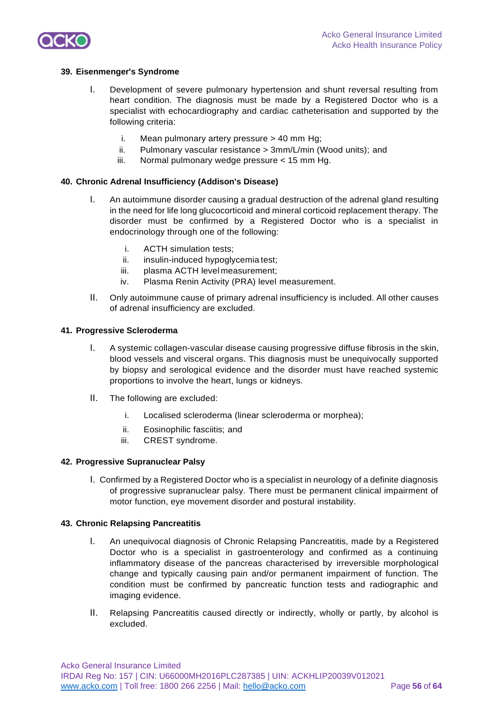

#### **39. Eisenmenger's Syndrome**

- I. Development of severe pulmonary hypertension and shunt reversal resulting from heart condition. The diagnosis must be made by a Registered Doctor who is a specialist with echocardiography and cardiac catheterisation and supported by the following criteria:
	- i. Mean pulmonary artery pressure  $> 40$  mm Hg;
	- ii. Pulmonary vascular resistance > 3mm/L/min (Wood units); and
	- iii. Normal pulmonary wedge pressure < 15 mm Hg.

#### **40. Chronic Adrenal Insufficiency (Addison's Disease)**

- I. An autoimmune disorder causing a gradual destruction of the adrenal gland resulting in the need for life long glucocorticoid and mineral corticoid replacement therapy. The disorder must be confirmed by a Registered Doctor who is a specialist in endocrinology through one of the following:
	- i. ACTH simulation tests;
	- ii. insulin-induced hypoglycemia test;
	- iii. plasma ACTH level measurement;
	- iv. Plasma Renin Activity (PRA) level measurement.
- II. Only autoimmune cause of primary adrenal insufficiency is included. All other causes of adrenal insufficiency are excluded.

#### **41. Progressive Scleroderma**

- I. A systemic collagen-vascular disease causing progressive diffuse fibrosis in the skin, blood vessels and visceral organs. This diagnosis must be unequivocally supported by biopsy and serological evidence and the disorder must have reached systemic proportions to involve the heart, lungs or kidneys.
- II. The following are excluded:
	- i. Localised scleroderma (linear scleroderma or morphea);
	- ii. Eosinophilic fasciitis; and
	- iii. CREST syndrome.

#### **42. Progressive Supranuclear Palsy**

I. Confirmed by a Registered Doctor who is a specialist in neurology of a definite diagnosis of progressive supranuclear palsy. There must be permanent clinical impairment of motor function, eye movement disorder and postural instability.

#### **43. Chronic Relapsing Pancreatitis**

- I. An unequivocal diagnosis of Chronic Relapsing Pancreatitis, made by a Registered Doctor who is a specialist in gastroenterology and confirmed as a continuing inflammatory disease of the pancreas characterised by irreversible morphological change and typically causing pain and/or permanent impairment of function. The condition must be confirmed by pancreatic function tests and radiographic and imaging evidence.
- II. Relapsing Pancreatitis caused directly or indirectly, wholly or partly, by alcohol is excluded.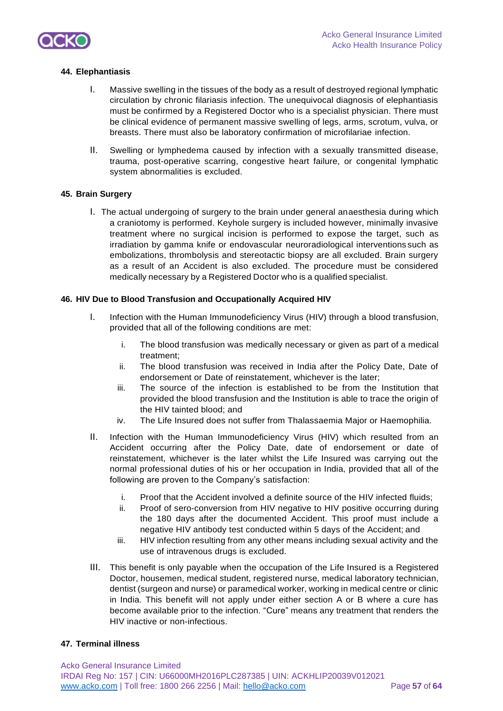

### **44. Elephantiasis**

- I. Massive swelling in the tissues of the body as a result of destroyed regional lymphatic circulation by chronic filariasis infection. The unequivocal diagnosis of elephantiasis must be confirmed by a Registered Doctor who is a specialist physician. There must be clinical evidence of permanent massive swelling of legs, arms, scrotum, vulva, or breasts. There must also be laboratory confirmation of microfilariae infection.
- II. Swelling or lymphedema caused by infection with a sexually transmitted disease, trauma, post-operative scarring, congestive heart failure, or congenital lymphatic system abnormalities is excluded.

#### **45. Brain Surgery**

I. The actual undergoing of surgery to the brain under general anaesthesia during which a craniotomy is performed. Keyhole surgery is included however, minimally invasive treatment where no surgical incision is performed to expose the target, such as irradiation by gamma knife or endovascular neuroradiological interventions such as embolizations, thrombolysis and stereotactic biopsy are all excluded. Brain surgery as a result of an Accident is also excluded. The procedure must be considered medically necessary by a Registered Doctor who is a qualified specialist.

#### **46. HIV Due to Blood Transfusion and Occupationally Acquired HIV**

- I. Infection with the Human Immunodeficiency Virus (HIV) through a blood transfusion, provided that all of the following conditions are met:
	- i. The blood transfusion was medically necessary or given as part of a medical treatment;
	- ii. The blood transfusion was received in India after the Policy Date, Date of endorsement or Date of reinstatement, whichever is the later;
	- iii. The source of the infection is established to be from the Institution that provided the blood transfusion and the Institution is able to trace the origin of the HIV tainted blood; and
	- iv. The Life Insured does not suffer from Thalassaemia Major or Haemophilia.
- II. Infection with the Human Immunodeficiency Virus (HIV) which resulted from an Accident occurring after the Policy Date, date of endorsement or date of reinstatement, whichever is the later whilst the Life Insured was carrying out the normal professional duties of his or her occupation in India, provided that all of the following are proven to the Company's satisfaction:
	- i. Proof that the Accident involved a definite source of the HIV infected fluids;
	- ii. Proof of sero-conversion from HIV negative to HIV positive occurring during the 180 days after the documented Accident. This proof must include a negative HIV antibody test conducted within 5 days of the Accident; and
	- iii. HIV infection resulting from any other means including sexual activity and the use of intravenous drugs is excluded.
- III. This benefit is only payable when the occupation of the Life Insured is a Registered Doctor, housemen, medical student, registered nurse, medical laboratory technician, dentist (surgeon and nurse) or paramedical worker, working in medical centre or clinic in India. This benefit will not apply under either section A or B where a cure has become available prior to the infection. "Cure" means any treatment that renders the HIV inactive or non-infectious.

#### **47. Terminal illness**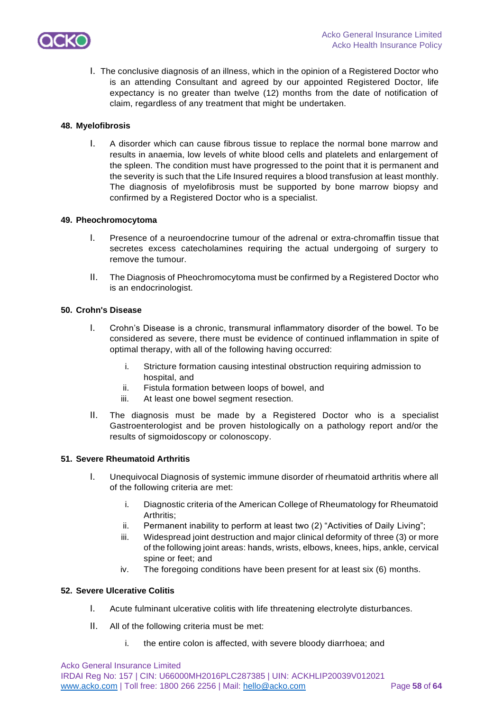

I. The conclusive diagnosis of an illness, which in the opinion of a Registered Doctor who is an attending Consultant and agreed by our appointed Registered Doctor, life expectancy is no greater than twelve (12) months from the date of notification of claim, regardless of any treatment that might be undertaken.

### **48. Myelofibrosis**

I. A disorder which can cause fibrous tissue to replace the normal bone marrow and results in anaemia, low levels of white blood cells and platelets and enlargement of the spleen. The condition must have progressed to the point that it is permanent and the severity is such that the Life Insured requires a blood transfusion at least monthly. The diagnosis of myelofibrosis must be supported by bone marrow biopsy and confirmed by a Registered Doctor who is a specialist.

### **49. Pheochromocytoma**

- I. Presence of a neuroendocrine tumour of the adrenal or extra-chromaffin tissue that secretes excess catecholamines requiring the actual undergoing of surgery to remove the tumour.
- II. The Diagnosis of Pheochromocytoma must be confirmed by a Registered Doctor who is an endocrinologist.

## **50. Crohn's Disease**

- I. Crohn's Disease is a chronic, transmural inflammatory disorder of the bowel. To be considered as severe, there must be evidence of continued inflammation in spite of optimal therapy, with all of the following having occurred:
	- i. Stricture formation causing intestinal obstruction requiring admission to hospital, and
	- ii. Fistula formation between loops of bowel, and
	- iii. At least one bowel segment resection.
- II. The diagnosis must be made by a Registered Doctor who is a specialist Gastroenterologist and be proven histologically on a pathology report and/or the results of sigmoidoscopy or colonoscopy.

### **51. Severe Rheumatoid Arthritis**

- I. Unequivocal Diagnosis of systemic immune disorder of rheumatoid arthritis where all of the following criteria are met:
	- i. Diagnostic criteria of the American College of Rheumatology for Rheumatoid Arthritis:
	- ii. Permanent inability to perform at least two (2) "Activities of Daily Living";
	- iii. Widespread joint destruction and major clinical deformity of three (3) or more of the following joint areas: hands, wrists, elbows, knees, hips, ankle, cervical spine or feet; and
	- iv. The foregoing conditions have been present for at least six (6) months.

### **52. Severe Ulcerative Colitis**

- I. Acute fulminant ulcerative colitis with life threatening electrolyte disturbances.
- II. All of the following criteria must be met:
	- i. the entire colon is affected, with severe bloody diarrhoea; and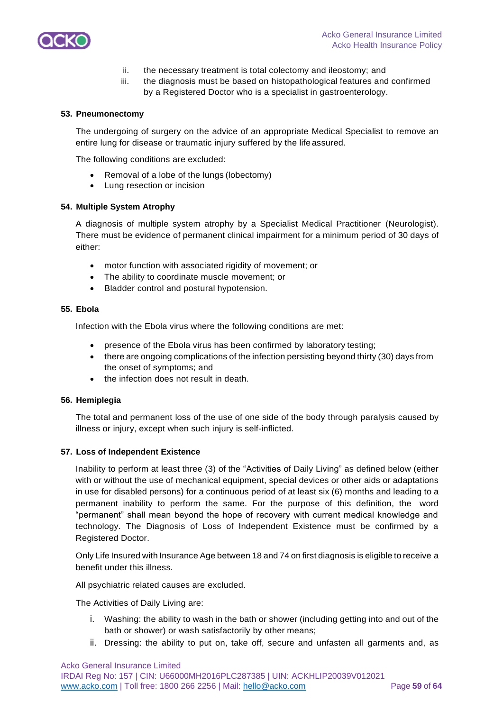

- ii. the necessary treatment is total colectomy and ileostomy; and
- iii. the diagnosis must be based on histopathological features and confirmed by a Registered Doctor who is a specialist in gastroenterology.

#### **53. Pneumonectomy**

The undergoing of surgery on the advice of an appropriate Medical Specialist to remove an entire lung for disease or traumatic injury suffered by the life assured.

The following conditions are excluded:

- Removal of a lobe of the lungs (lobectomy)
- Lung resection or incision

#### **54. Multiple System Atrophy**

A diagnosis of multiple system atrophy by a Specialist Medical Practitioner (Neurologist). There must be evidence of permanent clinical impairment for a minimum period of 30 days of either:

- motor function with associated rigidity of movement; or
- The ability to coordinate muscle movement; or
- Bladder control and postural hypotension.

#### **55. Ebola**

Infection with the Ebola virus where the following conditions are met:

- presence of the Ebola virus has been confirmed by laboratory testing;
- there are ongoing complications of the infection persisting beyond thirty (30) days from the onset of symptoms; and
- the infection does not result in death.

#### **56. Hemiplegia**

The total and permanent loss of the use of one side of the body through paralysis caused by illness or injury, except when such injury is self-inflicted.

#### **57. Loss of Independent Existence**

Inability to perform at least three (3) of the "Activities of Daily Living" as defined below (either with or without the use of mechanical equipment, special devices or other aids or adaptations in use for disabled persons) for a continuous period of at least six (6) months and leading to a permanent inability to perform the same. For the purpose of this definition, the word "permanent" shall mean beyond the hope of recovery with current medical knowledge and technology. The Diagnosis of Loss of Independent Existence must be confirmed by a Registered Doctor.

Only Life Insured with Insurance Age between 18 and 74 on first diagnosis is eligible to receive a benefit under this illness.

All psychiatric related causes are excluded.

The Activities of Daily Living are:

- i. Washing: the ability to wash in the bath or shower (including getting into and out of the bath or shower) or wash satisfactorily by other means;
- ii. Dressing: the ability to put on, take off, secure and unfasten all garments and, as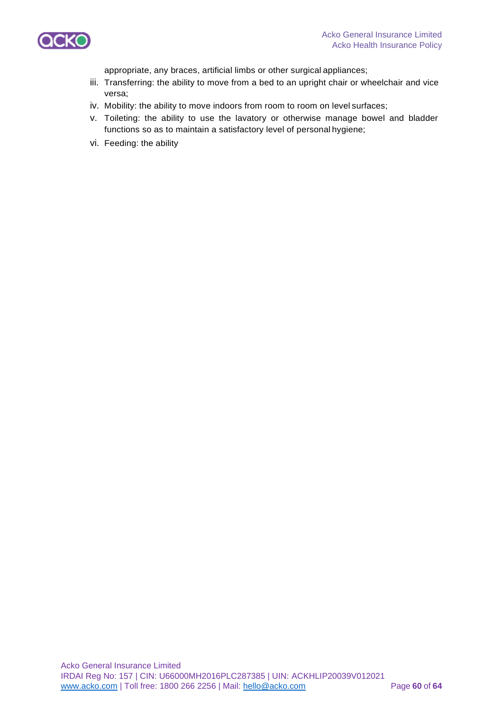

appropriate, any braces, artificial limbs or other surgical appliances;

- iii. Transferring: the ability to move from a bed to an upright chair or wheelchair and vice versa;
- iv. Mobility: the ability to move indoors from room to room on level surfaces;
- v. Toileting: the ability to use the lavatory or otherwise manage bowel and bladder functions so as to maintain a satisfactory level of personal hygiene;
- vi. Feeding: the ability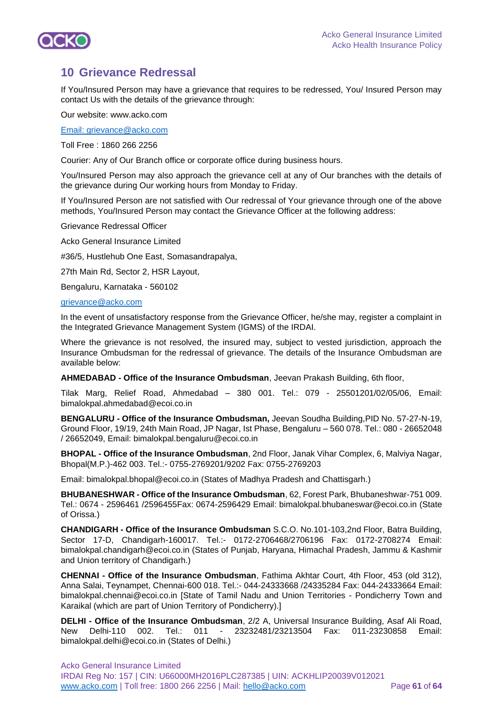

## **10 Grievance Redressal**

If You/Insured Person may have a grievance that requires to be redressed, You/ Insured Person may contact Us with the details of the grievance through:

Our website: www.acko.com

[Email: grievance@acko.com](mailto:customercare@cignattk.in) 

Toll Free : 1860 266 2256

Courier: Any of Our Branch office or corporate office during business hours.

You/Insured Person may also approach the grievance cell at any of Our branches with the details of the grievance during Our working hours from Monday to Friday.

If You/Insured Person are not satisfied with Our redressal of Your grievance through one of the above methods, You/Insured Person may contact the Grievance Officer at the following address:

Grievance Redressal Officer

Acko General Insurance Limited

#36/5, Hustlehub One East, Somasandrapalya,

27th Main Rd, Sector 2, HSR Layout,

Bengaluru, Karnataka - 560102

#### [grievance@acko.com](mailto:grievance@acko.com)

In the event of unsatisfactory response from the Grievance Officer, he/she may, register a complaint in the Integrated Grievance Management System (IGMS) of the IRDAI.

Where the grievance is not resolved, the insured may, subject to vested jurisdiction, approach the Insurance Ombudsman for the redressal of grievance. The details of the Insurance Ombudsman are available below:

**AHMEDABAD - Office of the Insurance Ombudsman**, Jeevan Prakash Building, 6th floor,

Tilak Marg, Relief Road, Ahmedabad – 380 001. Tel.: 079 - 25501201/02/05/06, Email: bimalokpal.ahmedabad@ecoi.co.in

**BENGALURU - Office of the Insurance Ombudsman,** Jeevan Soudha Building,PID No. 57-27-N-19, Ground Floor, 19/19, 24th Main Road, JP Nagar, Ist Phase, Bengaluru – 560 078. Tel.: 080 - 26652048 / 26652049, Email: bimalokpal.bengaluru@ecoi.co.in

**BHOPAL - Office of the Insurance Ombudsman**, 2nd Floor, Janak Vihar Complex, 6, Malviya Nagar, Bhopal(M.P.)-462 003. Tel.:- 0755-2769201/9202 Fax: 0755-2769203

Email: [bimalokpal.bhopal@ecoi.co.in \(](mailto:bimalokpal.bhopal@gbic.co.in)States of Madhya Pradesh and Chattisgarh.)

**BHUBANESHWAR - Office of the Insurance Ombudsman**, 62, Forest Park, Bhubaneshwar-751 009. Tel.: 0674 - 2596461 /2596455Fax: 0674-2596429 Email: [bimalokpal.bhubaneswar@ecoi.co.in \(](mailto:bimalokpal.bhubaneswar@gbic.co.in)State of Orissa.)

**CHANDIGARH - Office of the Insurance Ombudsman** S.C.O. No.101-103,2nd Floor, Batra Building, Sector 17-D, Chandigarh-160017. Tel.:- 0172-2706468/2706196 Fax: 0172-2708274 Email: [bimalokpal.chandigarh@ecoi.co.in](mailto:bimalokpal.chandigarh@gbic.co.in) (States of Punjab, Haryana, Himachal Pradesh, Jammu & Kashmir and Union territory of Chandigarh.)

**CHENNAI - Office of the Insurance Ombudsman**, Fathima Akhtar Court, 4th Floor, 453 (old 312), Anna Salai, Teynampet, Chennai-600 018. Tel.:- 044-24333668 /24335284 Fax: 044-24333664 Email: [bimalokpal.chennai@ecoi.co.in \[](mailto:bimalokpal.chennai@gbic.co.in)State of Tamil Nadu and Union Territories - Pondicherry Town and Karaikal (which are part of Union Territory of Pondicherry).]

**DELHI - Office of the Insurance Ombudsman**, 2/2 A, Universal Insurance Building, Asaf Ali Road, New Delhi-110 002. Tel.: 011 - 23232481/23213504 Fax: 011-23230858 Email: [bimalokpal.delhi@ecoi.co.in \(](mailto:bimalokpal.delhi@gbic.co.in)States of Delhi.)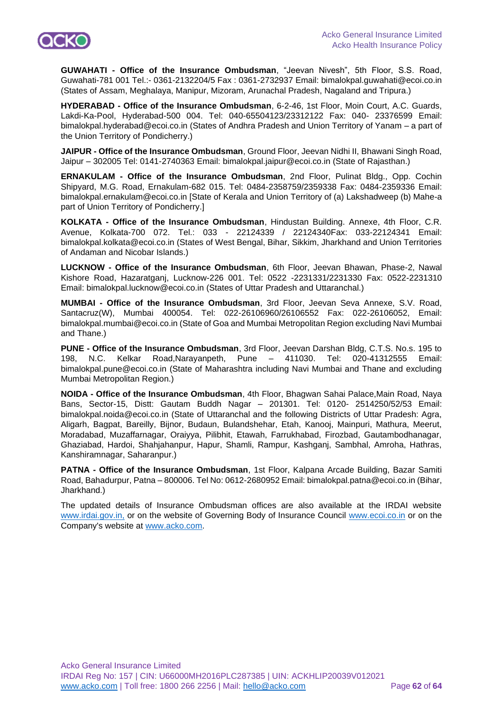

**GUWAHATI - Office of the Insurance Ombudsman**, "Jeevan Nivesh", 5th Floor, S.S. Road, Guwahati-781 001 Tel.:- 0361-2132204/5 Fax : 0361-2732937 Email: [bimalokpal.guwahati@ecoi.co.in](mailto:bimalokpal.guwahati@gbic.co.in) (States of Assam, Meghalaya, Manipur, Mizoram, Arunachal Pradesh, Nagaland and Tripura.)

**HYDERABAD - Office of the Insurance Ombudsman**, 6-2-46, 1st Floor, Moin Court, A.C. Guards, Lakdi-Ka-Pool, Hyderabad-500 004. Tel: 040-65504123/23312122 Fax: 040- 23376599 Email: [bimalokpal.hyderabad@ecoi.co.in \(](mailto:bimalokpal.hyderabad@gbic.co.in)States of Andhra Pradesh and Union Territory of Yanam – a part of the Union Territory of Pondicherry.)

**JAIPUR - Office of the Insurance Ombudsman**, Ground Floor, Jeevan Nidhi II, Bhawani Singh Road, Jaipur – 302005 Tel: 0141-2740363 Email: [bimalokpal.jaipur@ecoi.co.in](mailto:bimalokpal.jaipur@gbic.co.in) (State of Rajasthan.)

**ERNAKULAM - Office of the Insurance Ombudsman**, 2nd Floor, Pulinat Bldg., Opp. Cochin Shipyard, M.G. Road, Ernakulam-682 015. Tel: 0484-2358759/2359338 Fax: 0484-2359336 Email: [bimalokpal.ernakulam@ecoi.co.in](mailto:bimalokpal.ernakulam@gbic.co.in) [State of Kerala and Union Territory of (a) Lakshadweep (b) Mahe-a part of Union Territory of Pondicherry.]

**KOLKATA - Office of the Insurance Ombudsman**, Hindustan Building. Annexe, 4th Floor, C.R. Avenue, Kolkata-700 072. Tel.: 033 - 22124339 / 22124340Fax: 033-22124341 Email: [bimalokpal.kolkata@ecoi.co.in](mailto:bimalokpal.kolkata@gbic.co.in) (States of West Bengal, Bihar, Sikkim, Jharkhand and Union Territories of Andaman and Nicobar Islands.)

**LUCKNOW - Office of the Insurance Ombudsman**, 6th Floor, Jeevan Bhawan, Phase-2, Nawal Kishore Road, Hazaratganj, Lucknow-226 001. Tel: 0522 -2231331/2231330 Fax: 0522-2231310 Email: [bimalokpal.lucknow@ecoi.co.in](mailto:bimalokpal.lucknow@gbic.co.in) (States of Uttar Pradesh and Uttaranchal.)

**MUMBAI - Office of the Insurance Ombudsman**, 3rd Floor, Jeevan Seva Annexe, S.V. Road, Santacruz(W), Mumbai 400054. Tel: 022-26106960/26106552 Fax: 022-26106052, Email: [bimalokpal.mumbai@ecoi.co.in](mailto:bimalokpal.mumbai@gbic.co.in) (State of Goa and Mumbai Metropolitan Region excluding Navi Mumbai and Thane.)

**PUNE - Office of the Insurance Ombudsman**, 3rd Floor, Jeevan Darshan Bldg, C.T.S. No.s. 195 to 198, N.C. Kelkar Road,Narayanpeth, Pune – 411030. Tel: 020-41312555 Email: [bimalokpal.pune@ecoi.co.in](mailto:bimalokpal.pune@gbic.co.in) (State of Maharashtra including Navi Mumbai and Thane and excluding Mumbai Metropolitan Region.)

**NOIDA - Office of the Insurance Ombudsman**, 4th Floor, Bhagwan Sahai Palace,Main Road, Naya Bans, Sector-15, Distt: Gautam Buddh Nagar – 201301. Tel: 0120- 2514250/52/53 Email: [bimalokpal.noida@ecoi.co.in](mailto:bimalokpal.noida@gbic.co.in) (State of Uttaranchal and the following Districts of Uttar Pradesh: Agra, Aligarh, Bagpat, Bareilly, Bijnor, Budaun, Bulandshehar, Etah, Kanooj, Mainpuri, Mathura, Meerut, Moradabad, Muzaffarnagar, Oraiyya, Pilibhit, Etawah, Farrukhabad, Firozbad, Gautambodhanagar, Ghaziabad, Hardoi, Shahjahanpur, Hapur, Shamli, Rampur, Kashganj, Sambhal, Amroha, Hathras, Kanshiramnagar, Saharanpur.)

**PATNA - Office of the Insurance Ombudsman**, 1st Floor, Kalpana Arcade Building, Bazar Samiti Road, Bahadurpur, Patna – 800006. Tel No: 0612-2680952 Email[: bimalokpal.patna@ecoi.co.in \(](mailto:bimalokpal.patna@gbic.co.in)Bihar, Jharkhand.)

The updated details of Insurance Ombudsman offices are also available at the IRDAI website [www.irdai.gov.in,](http://www.irdai.gov.in,/) or on the website of Governing Body of Insurance Council [www.ecoi.co.in](http://www.gbic.co.in/) or on the Company's website at [www.acko.com.](http://www.acko.com/)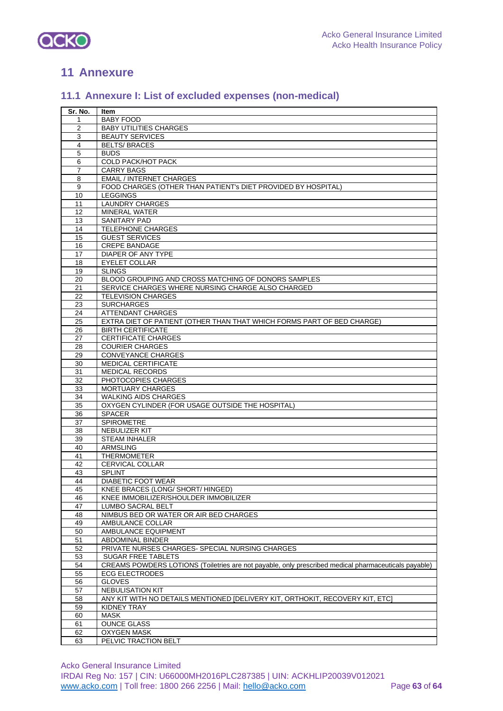

## **Annexure**

## **11.1 Annexure I: List of excluded expenses (non-medical)**

| Sr. No.  | Item                                                                                                 |
|----------|------------------------------------------------------------------------------------------------------|
| 1        | <b>BABY FOOD</b>                                                                                     |
| 2        | <b>BABY UTILITIES CHARGES</b>                                                                        |
| 3        | <b>BEAUTY SERVICES</b>                                                                               |
| 4        | <b>BELTS/BRACES</b>                                                                                  |
| 5        | <b>BUDS</b>                                                                                          |
| 6        | <b>COLD PACK/HOT PACK</b>                                                                            |
| 7        | <b>CARRY BAGS</b>                                                                                    |
| 8        | <b>EMAIL / INTERNET CHARGES</b>                                                                      |
| 9        | FOOD CHARGES (OTHER THAN PATIENT's DIET PROVIDED BY HOSPITAL)                                        |
| 10       | <b>LEGGINGS</b>                                                                                      |
| 11       | <b>LAUNDRY CHARGES</b>                                                                               |
| 12       | <b>MINERAL WATER</b>                                                                                 |
|          | <b>SANITARY PAD</b>                                                                                  |
| 13<br>14 | <b>TELEPHONE CHARGES</b>                                                                             |
|          |                                                                                                      |
| 15       | <b>GUEST SERVICES</b>                                                                                |
| 16       | <b>CREPE BANDAGE</b>                                                                                 |
| 17       | DIAPER OF ANY TYPE                                                                                   |
| 18       | <b>EYELET COLLAR</b>                                                                                 |
| 19       | <b>SLINGS</b>                                                                                        |
| 20       | BLOOD GROUPING AND CROSS MATCHING OF DONORS SAMPLES                                                  |
| 21       | SERVICE CHARGES WHERE NURSING CHARGE ALSO CHARGED                                                    |
| 22       | <b>TELEVISION CHARGES</b>                                                                            |
| 23       | <b>SURCHARGES</b>                                                                                    |
| 24       | <b>ATTENDANT CHARGES</b>                                                                             |
| 25       | EXTRA DIET OF PATIENT (OTHER THAN THAT WHICH FORMS PART OF BED CHARGE)                               |
| 26       | <b>BIRTH CERTIFICATE</b>                                                                             |
| 27       | <b>CERTIFICATE CHARGES</b>                                                                           |
| 28       | <b>COURIER CHARGES</b>                                                                               |
| 29       | <b>CONVEYANCE CHARGES</b>                                                                            |
| 30       | <b>MEDICAL CERTIFICATE</b>                                                                           |
| 31       | <b>MEDICAL RECORDS</b>                                                                               |
| 32       | PHOTOCOPIES CHARGES                                                                                  |
| 33       | <b>MORTUARY CHARGES</b>                                                                              |
| 34       | <b>WALKING AIDS CHARGES</b>                                                                          |
| 35       | OXYGEN CYLINDER (FOR USAGE OUTSIDE THE HOSPITAL)                                                     |
| 36       | <b>SPACER</b>                                                                                        |
| 37       | SPIROMETRE                                                                                           |
| 38       | NEBULIZER KIT                                                                                        |
| 39       | <b>STEAM INHALER</b>                                                                                 |
| 40       | <b>ARMSLING</b>                                                                                      |
| 41       | <b>THERMOMETER</b>                                                                                   |
| 42       | <b>CERVICAL COLLAR</b>                                                                               |
| 43       | <b>SPLINT</b>                                                                                        |
| 44       | DIABETIC FOOT WEAR                                                                                   |
| 45       | KNEE BRACES (LONG/ SHORT/ HINGED)                                                                    |
| 46       | KNEE IMMOBILIZER/SHOULDER IMMOBILIZER                                                                |
| 47       | <b>LUMBO SACRAL BELT</b>                                                                             |
| 48       | NIMBUS BED OR WATER OR AIR BED CHARGES                                                               |
| 49       | AMBULANCE COLLAR                                                                                     |
| 50       | AMBULANCE EQUIPMENT                                                                                  |
| 51       | ABDOMINAL BINDER                                                                                     |
| 52       | PRIVATE NURSES CHARGES- SPECIAL NURSING CHARGES                                                      |
| 53       | <b>SUGAR FREE TABLETS</b>                                                                            |
| 54       | CREAMS POWDERS LOTIONS (Toiletries are not payable, only prescribed medical pharmaceuticals payable) |
|          | <b>ECG ELECTRODES</b>                                                                                |
| 55       |                                                                                                      |
| 56       | <b>GLOVES</b>                                                                                        |
| 57       | <b>NEBULISATION KIT</b>                                                                              |
| 58       | ANY KIT WITH NO DETAILS MENTIONED [DELIVERY KIT, ORTHOKIT, RECOVERY KIT, ETC]                        |
| 59       | KIDNEY TRAY                                                                                          |
| 60       | <b>MASK</b>                                                                                          |
| 61       | <b>OUNCE GLASS</b>                                                                                   |
| 62       | <b>OXYGEN MASK</b>                                                                                   |
| 63       | PELVIC TRACTION BELT                                                                                 |